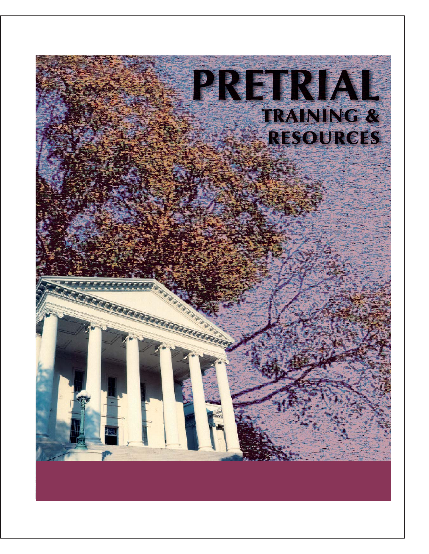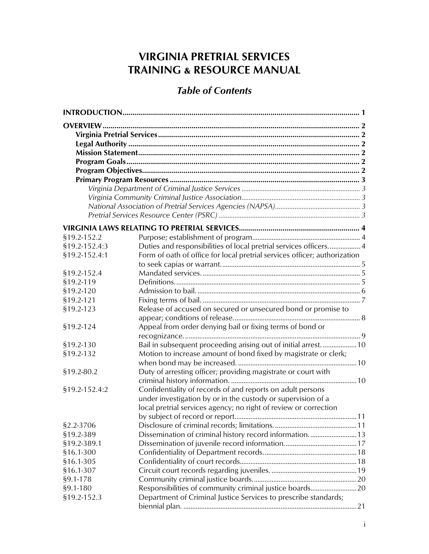# **VIRGINIA PRETRIAL SERVICES TRAINING & RESOURCE MANUAL**

# *Table of Contents*

| §19.2-152.2            |                                                                           |  |
|------------------------|---------------------------------------------------------------------------|--|
| §19.2-152.4:3          | Duties and responsibilities of local pretrial services officers 4         |  |
| §19.2-152.4:1          | Form of oath of office for local pretrial services officer; authorization |  |
|                        |                                                                           |  |
| \$19.2-152.4           |                                                                           |  |
| §19.2-119              |                                                                           |  |
| §19.2-120              |                                                                           |  |
| §19.2-121              |                                                                           |  |
| §19.2-123              | Release of accused on secured or unsecured bond or promise to             |  |
|                        |                                                                           |  |
| §19.2-124              | Appeal from order denying bail or fixing terms of bond or                 |  |
|                        |                                                                           |  |
| §19.2-130              | Bail in subsequent proceeding arising out of initial arrest 10            |  |
| §19.2-132              | Motion to increase amount of bond fixed by magistrate or clerk;           |  |
|                        |                                                                           |  |
| §19.2-80.2             | Duty of arresting officer; providing magistrate or court with             |  |
|                        |                                                                           |  |
| §19.2-152.4:2          | Confidentiality of records of and reports on adult persons                |  |
|                        | under investigation by or in the custody or supervision of a              |  |
|                        | local pretrial services agency; no right of review or correction          |  |
|                        |                                                                           |  |
| §2.2-3706<br>§19.2-389 |                                                                           |  |
| §19.2-389.1            | Dissemination of criminal history record information 13                   |  |
| §16.1-300              |                                                                           |  |
| §16.1-305              |                                                                           |  |
| §16.1-307              |                                                                           |  |
| §9.1-178               |                                                                           |  |
| §9.1-180               | Responsibilities of community criminal justice boards 20                  |  |
| §19.2-152.3            | Department of Criminal Justice Services to prescribe standards;           |  |
|                        |                                                                           |  |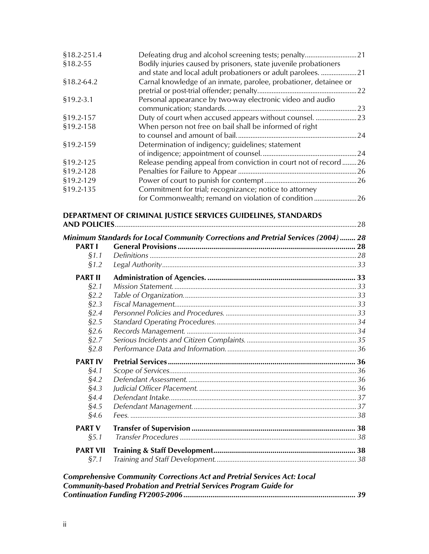| §18.2-251.4     |                                                                                           |    |
|-----------------|-------------------------------------------------------------------------------------------|----|
| §18.2-55        | Bodily injuries caused by prisoners, state juvenile probationers                          |    |
|                 | and state and local adult probationers or adult parolees. 21                              |    |
| \$18.2-64.2     | Carnal knowledge of an inmate, parolee, probationer, detainee or                          |    |
| $$19.2 - 3.1$   | Personal appearance by two-way electronic video and audio                                 |    |
|                 |                                                                                           |    |
| §19.2-157       | Duty of court when accused appears without counsel. 23                                    |    |
| §19.2-158       | When person not free on bail shall be informed of right                                   |    |
|                 |                                                                                           |    |
| §19.2-159       | Determination of indigency; guidelines; statement                                         |    |
|                 |                                                                                           |    |
| §19.2-125       | Release pending appeal from conviction in court not of record26                           |    |
| §19.2-128       |                                                                                           |    |
| §19.2-129       |                                                                                           |    |
| §19.2-135       | Commitment for trial; recognizance; notice to attorney                                    |    |
|                 | for Commonwealth; remand on violation of condition 26                                     |    |
|                 |                                                                                           |    |
|                 | DEPARTMENT OF CRIMINAL JUSTICE SERVICES GUIDELINES, STANDARDS                             |    |
|                 |                                                                                           |    |
|                 | <b>Minimum Standards for Local Community Corrections and Pretrial Services (2004)  28</b> |    |
| <b>PART I</b>   |                                                                                           |    |
| \$1.1           |                                                                                           |    |
| \$1.2           |                                                                                           |    |
| <b>PART II</b>  |                                                                                           |    |
| \$2.1           |                                                                                           |    |
| \$2.2           |                                                                                           |    |
| $\S2.3$         |                                                                                           |    |
| $\S$ 2.4        |                                                                                           |    |
| $\S2.5$         |                                                                                           |    |
| \$2.6           |                                                                                           |    |
| $\S$ 2.7        |                                                                                           |    |
| $\S2.8$         |                                                                                           |    |
| <b>PART IV</b>  | <b>Pretrial Services.</b>                                                                 | 36 |
| §4.1            |                                                                                           |    |
| §4.2            |                                                                                           |    |
| §4.3            |                                                                                           |    |
| §4.4            |                                                                                           |    |
| §4.5            |                                                                                           |    |
| <i>§4.6</i>     |                                                                                           |    |
| <b>PART V</b>   |                                                                                           |    |
| \$5.1           |                                                                                           |    |
| <b>PART VII</b> |                                                                                           |    |
| \$7.1           |                                                                                           |    |
|                 |                                                                                           |    |

| <b>Comprehensive Community Corrections Act and Pretrial Services Act: Local</b> |  |
|---------------------------------------------------------------------------------|--|
| <b>Community-based Probation and Pretrial Services Program Guide for</b>        |  |
|                                                                                 |  |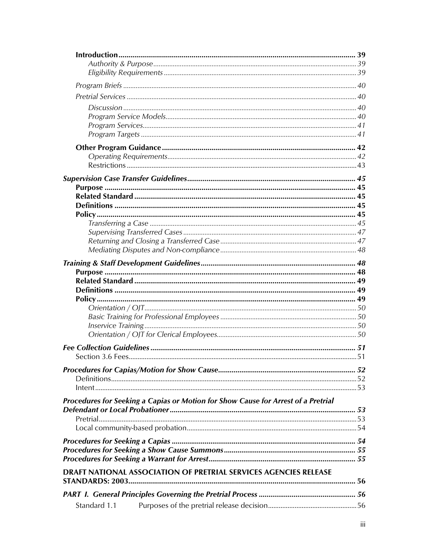| Policy                                                                            |  |
|-----------------------------------------------------------------------------------|--|
|                                                                                   |  |
|                                                                                   |  |
|                                                                                   |  |
|                                                                                   |  |
|                                                                                   |  |
|                                                                                   |  |
|                                                                                   |  |
|                                                                                   |  |
|                                                                                   |  |
|                                                                                   |  |
|                                                                                   |  |
|                                                                                   |  |
|                                                                                   |  |
|                                                                                   |  |
|                                                                                   |  |
|                                                                                   |  |
|                                                                                   |  |
|                                                                                   |  |
| Procedures for Seeking a Capias or Motion for Show Cause for Arrest of a Pretrial |  |
|                                                                                   |  |
|                                                                                   |  |
|                                                                                   |  |
|                                                                                   |  |
|                                                                                   |  |
|                                                                                   |  |
|                                                                                   |  |
| DRAFT NATIONAL ASSOCIATION OF PRETRIAL SERVICES AGENCIES RELEASE                  |  |
|                                                                                   |  |
|                                                                                   |  |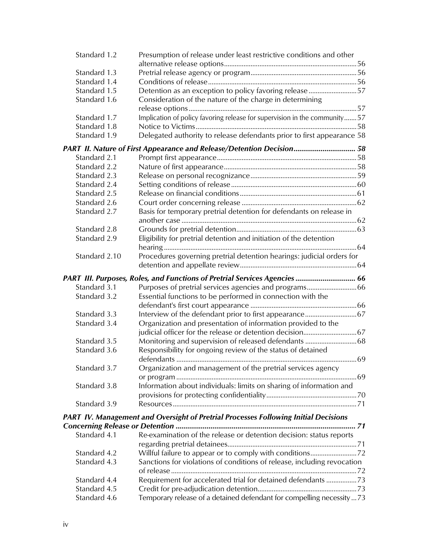| Standard 1.2  | Presumption of release under least restrictive conditions and other                        |    |
|---------------|--------------------------------------------------------------------------------------------|----|
|               |                                                                                            |    |
| Standard 1.3  |                                                                                            |    |
| Standard 1.4  |                                                                                            |    |
| Standard 1.5  | Detention as an exception to policy favoring release 57                                    |    |
| Standard 1.6  | Consideration of the nature of the charge in determining                                   |    |
|               |                                                                                            |    |
| Standard 1.7  | Implication of policy favoring release for supervision in the community57                  |    |
| Standard 1.8  |                                                                                            |    |
| Standard 1.9  | Delegated authority to release defendants prior to first appearance 58                     |    |
|               | PART II. Nature of First Appearance and Release/Detention Decision 58                      |    |
| Standard 2.1  |                                                                                            |    |
| Standard 2.2  |                                                                                            |    |
| Standard 2.3  |                                                                                            |    |
| Standard 2.4  |                                                                                            |    |
| Standard 2.5  |                                                                                            |    |
| Standard 2.6  |                                                                                            |    |
| Standard 2.7  | Basis for temporary pretrial detention for defendants on release in                        |    |
|               |                                                                                            |    |
| Standard 2.8  |                                                                                            |    |
| Standard 2.9  | Eligibility for pretrial detention and initiation of the detention                         |    |
|               |                                                                                            |    |
| Standard 2.10 | Procedures governing pretrial detention hearings: judicial orders for                      |    |
|               |                                                                                            |    |
|               | PART III. Purposes, Roles, and Functions of Pretrial Services Agencies  66                 |    |
| Standard 3.1  |                                                                                            |    |
| Standard 3.2  | Essential functions to be performed in connection with the                                 |    |
|               |                                                                                            |    |
| Standard 3.3  |                                                                                            |    |
| Standard 3.4  | Organization and presentation of information provided to the                               |    |
|               | judicial officer for the release or detention decision 67                                  |    |
| Standard 3.5  |                                                                                            |    |
| Standard 3.6  | Responsibility for ongoing review of the status of detained                                |    |
|               |                                                                                            | 69 |
| Standard 3.7  | Organization and management of the pretrial services agency                                |    |
|               |                                                                                            |    |
| Standard 3.8  | Information about individuals: limits on sharing of information and                        |    |
|               |                                                                                            |    |
| Standard 3.9  |                                                                                            |    |
|               | <b>PART IV. Management and Oversight of Pretrial Processes Following Initial Decisions</b> |    |
|               |                                                                                            |    |
| Standard 4.1  | Re-examination of the release or detention decision: status reports                        |    |
|               |                                                                                            |    |
| Standard 4.2  |                                                                                            |    |
| Standard 4.3  | Sanctions for violations of conditions of release, including revocation                    |    |
|               |                                                                                            |    |
| Standard 4.4  | Requirement for accelerated trial for detained defendants 73                               |    |
| Standard 4.5  |                                                                                            |    |
| Standard 4.6  | Temporary release of a detained defendant for compelling necessity73                       |    |
|               |                                                                                            |    |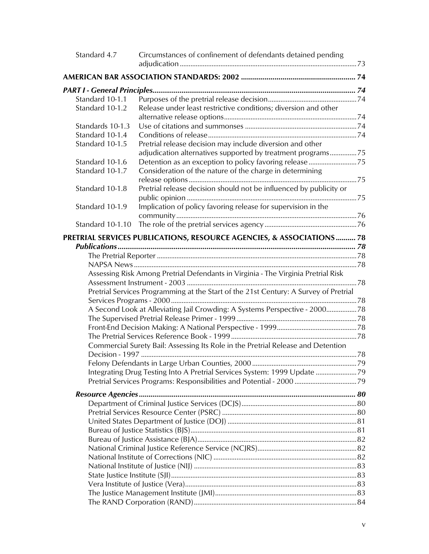| Standard 4.7     | Circumstances of confinement of defendants detained pending                          |  |
|------------------|--------------------------------------------------------------------------------------|--|
|                  |                                                                                      |  |
|                  |                                                                                      |  |
| Standard 10-1.1  |                                                                                      |  |
| Standard 10-1.2  | Release under least restrictive conditions; diversion and other                      |  |
|                  |                                                                                      |  |
| Standards 10-1.3 |                                                                                      |  |
| Standard 10-1.4  |                                                                                      |  |
| Standard 10-1.5  | Pretrial release decision may include diversion and other                            |  |
|                  | adjudication alternatives supported by treatment programs75                          |  |
| Standard 10-1.6  |                                                                                      |  |
| Standard 10-1.7  | Consideration of the nature of the charge in determining                             |  |
|                  |                                                                                      |  |
| Standard 10-1.8  | Pretrial release decision should not be influenced by publicity or                   |  |
| Standard 10-1.9  | Implication of policy favoring release for supervision in the                        |  |
|                  |                                                                                      |  |
| Standard 10-1.10 |                                                                                      |  |
|                  | PRETRIAL SERVICES PUBLICATIONS, RESOURCE AGENCIES, & ASSOCIATIONS  78                |  |
|                  |                                                                                      |  |
|                  |                                                                                      |  |
|                  |                                                                                      |  |
|                  | Assessing Risk Among Pretrial Defendants in Virginia - The Virginia Pretrial Risk    |  |
|                  |                                                                                      |  |
|                  | Pretrial Services Programming at the Start of the 21st Century: A Survey of Pretrial |  |
|                  |                                                                                      |  |
|                  | A Second Look at Alleviating Jail Crowding: A Systems Perspective - 200078           |  |
|                  |                                                                                      |  |
|                  |                                                                                      |  |
|                  |                                                                                      |  |
|                  | Commercial Surety Bail: Assessing Its Role in the Pretrial Release and Detention     |  |
|                  |                                                                                      |  |
|                  | Felony Defendants in Large Urban Counties, 2000                                      |  |
|                  |                                                                                      |  |
|                  |                                                                                      |  |
|                  |                                                                                      |  |
|                  |                                                                                      |  |
|                  |                                                                                      |  |
|                  |                                                                                      |  |
|                  |                                                                                      |  |
|                  |                                                                                      |  |
|                  |                                                                                      |  |
|                  |                                                                                      |  |
|                  |                                                                                      |  |
|                  |                                                                                      |  |
|                  |                                                                                      |  |
|                  |                                                                                      |  |
|                  |                                                                                      |  |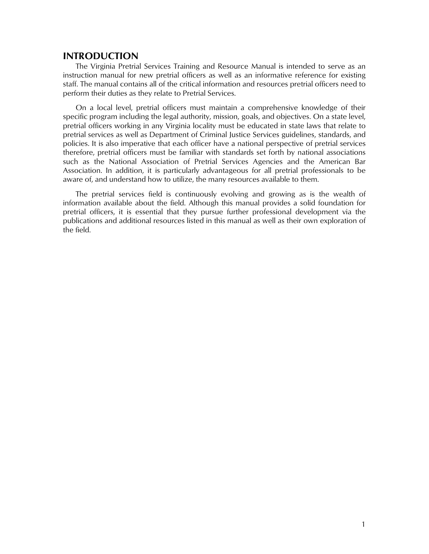## **INTRODUCTION**

The Virginia Pretrial Services Training and Resource Manual is intended to serve as an instruction manual for new pretrial officers as well as an informative reference for existing staff. The manual contains all of the critical information and resources pretrial officers need to perform their duties as they relate to Pretrial Services.

On a local level, pretrial officers must maintain a comprehensive knowledge of their specific program including the legal authority, mission, goals, and objectives. On a state level, pretrial officers working in any Virginia locality must be educated in state laws that relate to pretrial services as well as Department of Criminal Justice Services guidelines, standards, and policies. It is also imperative that each officer have a national perspective of pretrial services therefore, pretrial officers must be familiar with standards set forth by national associations such as the National Association of Pretrial Services Agencies and the American Bar Association. In addition, it is particularly advantageous for all pretrial professionals to be aware of, and understand how to utilize, the many resources available to them.

The pretrial services field is continuously evolving and growing as is the wealth of information available about the field. Although this manual provides a solid foundation for pretrial officers, it is essential that they pursue further professional development via the publications and additional resources listed in this manual as well as their own exploration of the field.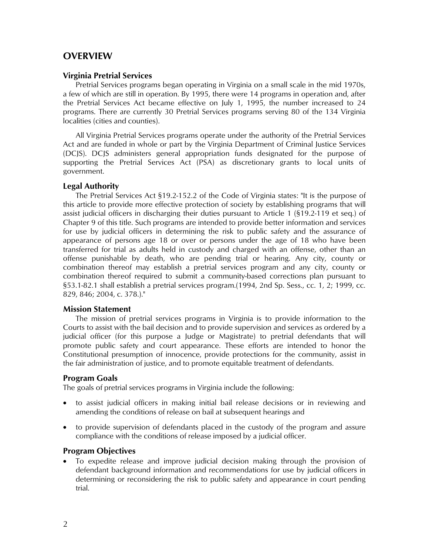## **OVERVIEW**

## **Virginia Pretrial Services**

Pretrial Services programs began operating in Virginia on a small scale in the mid 1970s, a few of which are still in operation. By 1995, there were 14 programs in operation and, after the Pretrial Services Act became effective on July 1, 1995, the number increased to 24 programs. There are currently 30 Pretrial Services programs serving 80 of the 134 Virginia localities (cities and counties).

All Virginia Pretrial Services programs operate under the authority of the Pretrial Services Act and are funded in whole or part by the Virginia Department of Criminal Justice Services (DCJS). DCJS administers general appropriation funds designated for the purpose of supporting the Pretrial Services Act (PSA) as discretionary grants to local units of government.

#### **Legal Authority**

The Pretrial Services Act §19.2-152.2 of the Code of Virginia states: "It is the purpose of this article to provide more effective protection of society by establishing programs that will assist judicial officers in discharging their duties pursuant to Article 1 (§19.2-119 et seq.) of Chapter 9 of this title. Such programs are intended to provide better information and services for use by judicial officers in determining the risk to public safety and the assurance of appearance of persons age 18 or over or persons under the age of 18 who have been transferred for trial as adults held in custody and charged with an offense, other than an offense punishable by death, who are pending trial or hearing. Any city, county or combination thereof may establish a pretrial services program and any city, county or combination thereof required to submit a community-based corrections plan pursuant to §53.1-82.1 shall establish a pretrial services program.(1994, 2nd Sp. Sess., cc. 1, 2; 1999, cc. 829, 846; 2004, c. 378.)."

#### **Mission Statement**

The mission of pretrial services programs in Virginia is to provide information to the Courts to assist with the bail decision and to provide supervision and services as ordered by a judicial officer (for this purpose a Judge or Magistrate) to pretrial defendants that will promote public safety and court appearance. These efforts are intended to honor the Constitutional presumption of innocence, provide protections for the community, assist in the fair administration of justice, and to promote equitable treatment of defendants.

## **Program Goals**

The goals of pretrial services programs in Virginia include the following:

- to assist judicial officers in making initial bail release decisions or in reviewing and amending the conditions of release on bail at subsequent hearings and
- to provide supervision of defendants placed in the custody of the program and assure compliance with the conditions of release imposed by a judicial officer.

#### **Program Objectives**

To expedite release and improve judicial decision making through the provision of defendant background information and recommendations for use by judicial officers in determining or reconsidering the risk to public safety and appearance in court pending trial.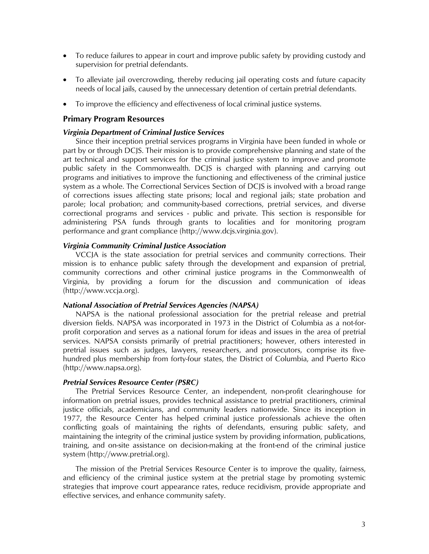- To reduce failures to appear in court and improve public safety by providing custody and supervision for pretrial defendants.
- x To alleviate jail overcrowding, thereby reducing jail operating costs and future capacity needs of local jails, caused by the unnecessary detention of certain pretrial defendants.
- To improve the efficiency and effectiveness of local criminal justice systems.

#### **Primary Program Resources**

#### *Virginia Department of Criminal Justice Services*

Since their inception pretrial services programs in Virginia have been funded in whole or part by or through DCJS. Their mission is to provide comprehensive planning and state of the art technical and support services for the criminal justice system to improve and promote public safety in the Commonwealth. DCJS is charged with planning and carrying out programs and initiatives to improve the functioning and effectiveness of the criminal justice system as a whole. The Correctional Services Section of DCJS is involved with a broad range of corrections issues affecting state prisons; local and regional jails; state probation and parole; local probation; and community-based corrections, pretrial services, and diverse correctional programs and services - public and private. This section is responsible for administering PSA funds through grants to localities and for monitoring program performance and grant compliance (http://www.dcjs.virginia.gov).

#### *Virginia Community Criminal Justice Association*

VCCJA is the state association for pretrial services and community corrections. Their mission is to enhance public safety through the development and expansion of pretrial, community corrections and other criminal justice programs in the Commonwealth of Virginia, by providing a forum for the discussion and communication of ideas (http://www.vccja.org).

#### *National Association of Pretrial Services Agencies (NAPSA)*

NAPSA is the national professional association for the pretrial release and pretrial diversion fields. NAPSA was incorporated in 1973 in the District of Columbia as a not-forprofit corporation and serves as a national forum for ideas and issues in the area of pretrial services. NAPSA consists primarily of pretrial practitioners; however, others interested in pretrial issues such as judges, lawyers, researchers, and prosecutors, comprise its fivehundred plus membership from forty-four states, the District of Columbia, and Puerto Rico (http://www.napsa.org).

#### *Pretrial Services Resource Center (PSRC)*

The Pretrial Services Resource Center, an independent, non-profit clearinghouse for information on pretrial issues, provides technical assistance to pretrial practitioners, criminal justice officials, academicians, and community leaders nationwide. Since its inception in 1977, the Resource Center has helped criminal justice professionals achieve the often conflicting goals of maintaining the rights of defendants, ensuring public safety, and maintaining the integrity of the criminal justice system by providing information, publications, training, and on-site assistance on decision-making at the front-end of the criminal justice system (http://www.pretrial.org).

The mission of the Pretrial Services Resource Center is to improve the quality, fairness, and efficiency of the criminal justice system at the pretrial stage by promoting systemic strategies that improve court appearance rates, reduce recidivism, provide appropriate and effective services, and enhance community safety.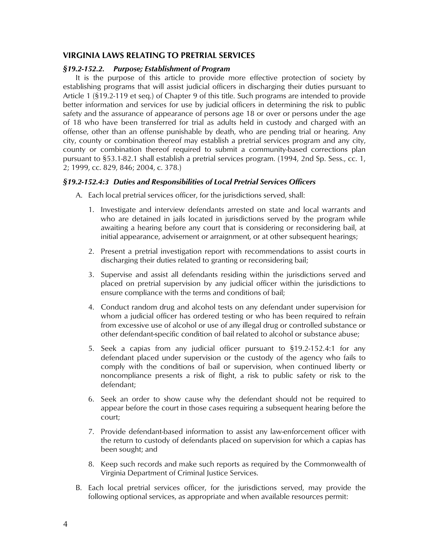## **VIRGINIA LAWS RELATING TO PRETRIAL SERVICES**

#### *§19.2-152.2. Purpose; Establishment of Program*

It is the purpose of this article to provide more effective protection of society by establishing programs that will assist judicial officers in discharging their duties pursuant to Article 1 (§19.2-119 et seq.) of Chapter 9 of this title. Such programs are intended to provide better information and services for use by judicial officers in determining the risk to public safety and the assurance of appearance of persons age 18 or over or persons under the age of 18 who have been transferred for trial as adults held in custody and charged with an offense, other than an offense punishable by death, who are pending trial or hearing. Any city, county or combination thereof may establish a pretrial services program and any city, county or combination thereof required to submit a community-based corrections plan pursuant to §53.1-82.1 shall establish a pretrial services program. (1994, 2nd Sp. Sess., cc. 1, 2; 1999, cc. 829, 846; 2004, c. 378.)

## *§19.2-152.4:3 Duties and Responsibilities of Local Pretrial Services Officers*

- A. Each local pretrial services officer, for the jurisdictions served, shall:
	- 1. Investigate and interview defendants arrested on state and local warrants and who are detained in jails located in jurisdictions served by the program while awaiting a hearing before any court that is considering or reconsidering bail, at initial appearance, advisement or arraignment, or at other subsequent hearings;
	- 2. Present a pretrial investigation report with recommendations to assist courts in discharging their duties related to granting or reconsidering bail;
	- 3. Supervise and assist all defendants residing within the jurisdictions served and placed on pretrial supervision by any judicial officer within the jurisdictions to ensure compliance with the terms and conditions of bail;
	- 4. Conduct random drug and alcohol tests on any defendant under supervision for whom a judicial officer has ordered testing or who has been required to refrain from excessive use of alcohol or use of any illegal drug or controlled substance or other defendant-specific condition of bail related to alcohol or substance abuse;
	- 5. Seek a capias from any judicial officer pursuant to §19.2-152.4:1 for any defendant placed under supervision or the custody of the agency who fails to comply with the conditions of bail or supervision, when continued liberty or noncompliance presents a risk of flight, a risk to public safety or risk to the defendant;
	- 6. Seek an order to show cause why the defendant should not be required to appear before the court in those cases requiring a subsequent hearing before the court;
	- 7. Provide defendant-based information to assist any law-enforcement officer with the return to custody of defendants placed on supervision for which a capias has been sought; and
	- 8. Keep such records and make such reports as required by the Commonwealth of Virginia Department of Criminal Justice Services.
- B. Each local pretrial services officer, for the jurisdictions served, may provide the following optional services, as appropriate and when available resources permit: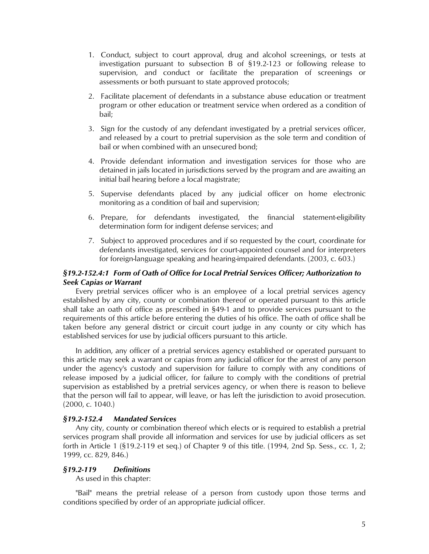- 1. Conduct, subject to court approval, drug and alcohol screenings, or tests at investigation pursuant to subsection B of §19.2-123 or following release to supervision, and conduct or facilitate the preparation of screenings or assessments or both pursuant to state approved protocols;
- 2. Facilitate placement of defendants in a substance abuse education or treatment program or other education or treatment service when ordered as a condition of bail;
- 3. Sign for the custody of any defendant investigated by a pretrial services officer, and released by a court to pretrial supervision as the sole term and condition of bail or when combined with an unsecured bond;
- 4. Provide defendant information and investigation services for those who are detained in jails located in jurisdictions served by the program and are awaiting an initial bail hearing before a local magistrate;
- 5. Supervise defendants placed by any judicial officer on home electronic monitoring as a condition of bail and supervision;
- 6. Prepare, for defendants investigated, the financial statement-eligibility determination form for indigent defense services; and
- 7. Subject to approved procedures and if so requested by the court, coordinate for defendants investigated, services for court-appointed counsel and for interpreters for foreign-language speaking and hearing-impaired defendants. (2003, c. 603.)

## *§19.2-152.4:1 Form of Oath of Office for Local Pretrial Services Officer; Authorization to Seek Capias or Warrant*

Every pretrial services officer who is an employee of a local pretrial services agency established by any city, county or combination thereof or operated pursuant to this article shall take an oath of office as prescribed in §49-1 and to provide services pursuant to the requirements of this article before entering the duties of his office. The oath of office shall be taken before any general district or circuit court judge in any county or city which has established services for use by judicial officers pursuant to this article.

In addition, any officer of a pretrial services agency established or operated pursuant to this article may seek a warrant or capias from any judicial officer for the arrest of any person under the agency's custody and supervision for failure to comply with any conditions of release imposed by a judicial officer, for failure to comply with the conditions of pretrial supervision as established by a pretrial services agency, or when there is reason to believe that the person will fail to appear, will leave, or has left the jurisdiction to avoid prosecution. (2000, c. 1040.)

## *§19.2-152.4 Mandated Services*

Any city, county or combination thereof which elects or is required to establish a pretrial services program shall provide all information and services for use by judicial officers as set forth in Article 1 (§19.2-119 et seq.) of Chapter 9 of this title. (1994, 2nd Sp. Sess., cc. 1, 2; 1999, cc. 829, 846.)

## *§19.2-119 Definitions*

As used in this chapter:

"Bail" means the pretrial release of a person from custody upon those terms and conditions specified by order of an appropriate judicial officer.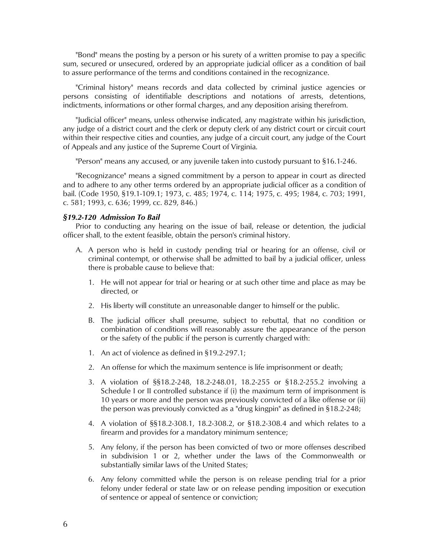"Bond" means the posting by a person or his surety of a written promise to pay a specific sum, secured or unsecured, ordered by an appropriate judicial officer as a condition of bail to assure performance of the terms and conditions contained in the recognizance.

"Criminal history" means records and data collected by criminal justice agencies or persons consisting of identifiable descriptions and notations of arrests, detentions, indictments, informations or other formal charges, and any deposition arising therefrom.

"Judicial officer" means, unless otherwise indicated, any magistrate within his jurisdiction, any judge of a district court and the clerk or deputy clerk of any district court or circuit court within their respective cities and counties, any judge of a circuit court, any judge of the Court of Appeals and any justice of the Supreme Court of Virginia.

"Person" means any accused, or any juvenile taken into custody pursuant to §16.1-246.

"Recognizance" means a signed commitment by a person to appear in court as directed and to adhere to any other terms ordered by an appropriate judicial officer as a condition of bail. (Code 1950, §19.1-109.1; 1973, c. 485; 1974, c. 114; 1975, c. 495; 1984, c. 703; 1991, c. 581; 1993, c. 636; 1999, cc. 829, 846.)

#### *§19.2-120 Admission To Bail*

Prior to conducting any hearing on the issue of bail, release or detention, the judicial officer shall, to the extent feasible, obtain the person's criminal history.

- A. A person who is held in custody pending trial or hearing for an offense, civil or criminal contempt, or otherwise shall be admitted to bail by a judicial officer, unless there is probable cause to believe that:
	- 1. He will not appear for trial or hearing or at such other time and place as may be directed, or
	- 2. His liberty will constitute an unreasonable danger to himself or the public.
	- B. The judicial officer shall presume, subject to rebuttal, that no condition or combination of conditions will reasonably assure the appearance of the person or the safety of the public if the person is currently charged with:
	- 1. An act of violence as defined in §19.2-297.1;
	- 2. An offense for which the maximum sentence is life imprisonment or death;
	- 3. A violation of §§18.2-248, 18.2-248.01, 18.2-255 or §18.2-255.2 involving a Schedule I or II controlled substance if (i) the maximum term of imprisonment is 10 years or more and the person was previously convicted of a like offense or (ii) the person was previously convicted as a "drug kingpin" as defined in §18.2-248;
	- 4. A violation of §§18.2-308.1, 18.2-308.2, or §18.2-308.4 and which relates to a firearm and provides for a mandatory minimum sentence;
	- 5. Any felony, if the person has been convicted of two or more offenses described in subdivision 1 or 2, whether under the laws of the Commonwealth or substantially similar laws of the United States;
	- 6. Any felony committed while the person is on release pending trial for a prior felony under federal or state law or on release pending imposition or execution of sentence or appeal of sentence or conviction;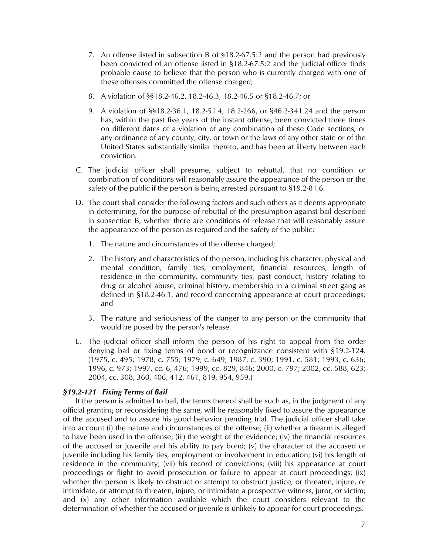- 7. An offense listed in subsection B of §18.2-67.5:2 and the person had previously been convicted of an offense listed in §18.2-67.5:2 and the judicial officer finds probable cause to believe that the person who is currently charged with one of these offenses committed the offense charged;
- 8. A violation of §§18.2-46.2, 18.2-46.3, 18.2-46.5 or §18.2-46.7; or
- 9. A violation of §§18.2-36.1, 18.2-51.4, 18.2-266, or §46.2-341.24 and the person has, within the past five years of the instant offense, been convicted three times on different dates of a violation of any combination of these Code sections, or any ordinance of any county, city, or town or the laws of any other state or of the United States substantially similar thereto, and has been at liberty between each conviction.
- C. The judicial officer shall presume, subject to rebuttal, that no condition or combination of conditions will reasonably assure the appearance of the person or the safety of the public if the person is being arrested pursuant to §19.2-81.6.
- D. The court shall consider the following factors and such others as it deems appropriate in determining, for the purpose of rebuttal of the presumption against bail described in subsection B, whether there are conditions of release that will reasonably assure the appearance of the person as required and the safety of the public:
	- 1. The nature and circumstances of the offense charged;
	- 2. The history and characteristics of the person, including his character, physical and mental condition, family ties, employment, financial resources, length of residence in the community, community ties, past conduct, history relating to drug or alcohol abuse, criminal history, membership in a criminal street gang as defined in §18.2-46.1, and record concerning appearance at court proceedings; and
	- 3. The nature and seriousness of the danger to any person or the community that would be posed by the person's release.
- E. The judicial officer shall inform the person of his right to appeal from the order denying bail or fixing terms of bond or recognizance consistent with §19.2-124. (1975, c. 495; 1978, c. 755; 1979, c. 649; 1987, c. 390; 1991, c. 581; 1993, c. 636; 1996, c. 973; 1997, cc. 6, 476; 1999, cc. 829, 846; 2000, c. 797; 2002, cc. 588, 623; 2004, cc. 308, 360, 406, 412, 461, 819, 954, 959.)

## *§19.2-121 Fixing Terms of Bail*

If the person is admitted to bail, the terms thereof shall be such as, in the judgment of any official granting or reconsidering the same, will be reasonably fixed to assure the appearance of the accused and to assure his good behavior pending trial. The judicial officer shall take into account (i) the nature and circumstances of the offense; (ii) whether a firearm is alleged to have been used in the offense; (iii) the weight of the evidence; (iv) the financial resources of the accused or juvenile and his ability to pay bond; (v) the character of the accused or juvenile including his family ties, employment or involvement in education; (vi) his length of residence in the community; (vii) his record of convictions; (viii) his appearance at court proceedings or flight to avoid prosecution or failure to appear at court proceedings; (ix) whether the person is likely to obstruct or attempt to obstruct justice, or threaten, injure, or intimidate, or attempt to threaten, injure, or intimidate a prospective witness, juror, or victim; and (x) any other information available which the court considers relevant to the determination of whether the accused or juvenile is unlikely to appear for court proceedings.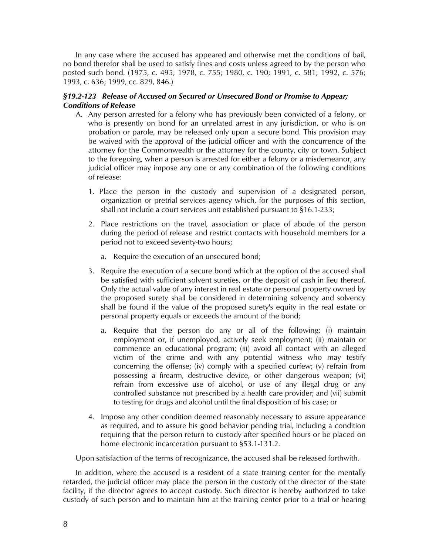In any case where the accused has appeared and otherwise met the conditions of bail, no bond therefor shall be used to satisfy fines and costs unless agreed to by the person who posted such bond. (1975, c. 495; 1978, c. 755; 1980, c. 190; 1991, c. 581; 1992, c. 576; 1993, c. 636; 1999, cc. 829, 846.)

## *§19.2-123 Release of Accused on Secured or Unsecured Bond or Promise to Appear; Conditions of Release*

- A. Any person arrested for a felony who has previously been convicted of a felony, or who is presently on bond for an unrelated arrest in any jurisdiction, or who is on probation or parole, may be released only upon a secure bond. This provision may be waived with the approval of the judicial officer and with the concurrence of the attorney for the Commonwealth or the attorney for the county, city or town. Subject to the foregoing, when a person is arrested for either a felony or a misdemeanor, any judicial officer may impose any one or any combination of the following conditions of release:
	- 1. Place the person in the custody and supervision of a designated person, organization or pretrial services agency which, for the purposes of this section, shall not include a court services unit established pursuant to §16.1-233;
	- 2. Place restrictions on the travel, association or place of abode of the person during the period of release and restrict contacts with household members for a period not to exceed seventy-two hours;
		- a. Require the execution of an unsecured bond;
	- 3. Require the execution of a secure bond which at the option of the accused shall be satisfied with sufficient solvent sureties, or the deposit of cash in lieu thereof. Only the actual value of any interest in real estate or personal property owned by the proposed surety shall be considered in determining solvency and solvency shall be found if the value of the proposed surety's equity in the real estate or personal property equals or exceeds the amount of the bond;
		- a. Require that the person do any or all of the following: (i) maintain employment or, if unemployed, actively seek employment; (ii) maintain or commence an educational program; (iii) avoid all contact with an alleged victim of the crime and with any potential witness who may testify concerning the offense; (iv) comply with a specified curfew; (v) refrain from possessing a firearm, destructive device, or other dangerous weapon; (vi) refrain from excessive use of alcohol, or use of any illegal drug or any controlled substance not prescribed by a health care provider; and (vii) submit to testing for drugs and alcohol until the final disposition of his case; or
	- 4. Impose any other condition deemed reasonably necessary to assure appearance as required, and to assure his good behavior pending trial, including a condition requiring that the person return to custody after specified hours or be placed on home electronic incarceration pursuant to §53.1-131.2.

Upon satisfaction of the terms of recognizance, the accused shall be released forthwith.

In addition, where the accused is a resident of a state training center for the mentally retarded, the judicial officer may place the person in the custody of the director of the state facility, if the director agrees to accept custody. Such director is hereby authorized to take custody of such person and to maintain him at the training center prior to a trial or hearing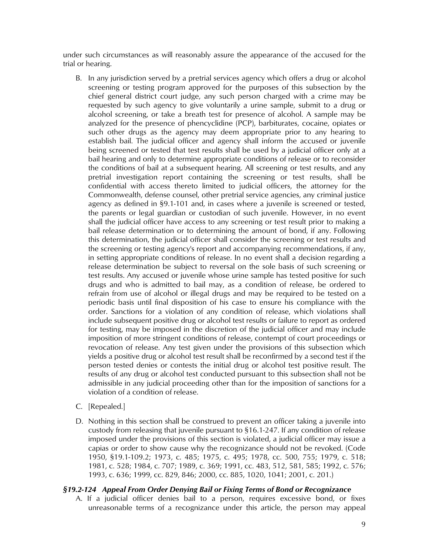under such circumstances as will reasonably assure the appearance of the accused for the trial or hearing.

- B. In any jurisdiction served by a pretrial services agency which offers a drug or alcohol screening or testing program approved for the purposes of this subsection by the chief general district court judge, any such person charged with a crime may be requested by such agency to give voluntarily a urine sample, submit to a drug or alcohol screening, or take a breath test for presence of alcohol. A sample may be analyzed for the presence of phencyclidine (PCP), barbiturates, cocaine, opiates or such other drugs as the agency may deem appropriate prior to any hearing to establish bail. The judicial officer and agency shall inform the accused or juvenile being screened or tested that test results shall be used by a judicial officer only at a bail hearing and only to determine appropriate conditions of release or to reconsider the conditions of bail at a subsequent hearing. All screening or test results, and any pretrial investigation report containing the screening or test results, shall be confidential with access thereto limited to judicial officers, the attorney for the Commonwealth, defense counsel, other pretrial service agencies, any criminal justice agency as defined in §9.1-101 and, in cases where a juvenile is screened or tested, the parents or legal guardian or custodian of such juvenile. However, in no event shall the judicial officer have access to any screening or test result prior to making a bail release determination or to determining the amount of bond, if any. Following this determination, the judicial officer shall consider the screening or test results and the screening or testing agency's report and accompanying recommendations, if any, in setting appropriate conditions of release. In no event shall a decision regarding a release determination be subject to reversal on the sole basis of such screening or test results. Any accused or juvenile whose urine sample has tested positive for such drugs and who is admitted to bail may, as a condition of release, be ordered to refrain from use of alcohol or illegal drugs and may be required to be tested on a periodic basis until final disposition of his case to ensure his compliance with the order. Sanctions for a violation of any condition of release, which violations shall include subsequent positive drug or alcohol test results or failure to report as ordered for testing, may be imposed in the discretion of the judicial officer and may include imposition of more stringent conditions of release, contempt of court proceedings or revocation of release. Any test given under the provisions of this subsection which yields a positive drug or alcohol test result shall be reconfirmed by a second test if the person tested denies or contests the initial drug or alcohol test positive result. The results of any drug or alcohol test conducted pursuant to this subsection shall not be admissible in any judicial proceeding other than for the imposition of sanctions for a violation of a condition of release.
- C. [Repealed.]
- D. Nothing in this section shall be construed to prevent an officer taking a juvenile into custody from releasing that juvenile pursuant to §16.1-247. If any condition of release imposed under the provisions of this section is violated, a judicial officer may issue a capias or order to show cause why the recognizance should not be revoked. (Code 1950, §19.1-109.2; 1973, c. 485; 1975, c. 495; 1978, cc. 500, 755; 1979, c. 518; 1981, c. 528; 1984, c. 707; 1989, c. 369; 1991, cc. 483, 512, 581, 585; 1992, c. 576; 1993, c. 636; 1999, cc. 829, 846; 2000, cc. 885, 1020, 1041; 2001, c. 201.)

## *§19.2-124 Appeal From Order Denying Bail or Fixing Terms of Bond or Recognizance*

A. If a judicial officer denies bail to a person, requires excessive bond, or fixes unreasonable terms of a recognizance under this article, the person may appeal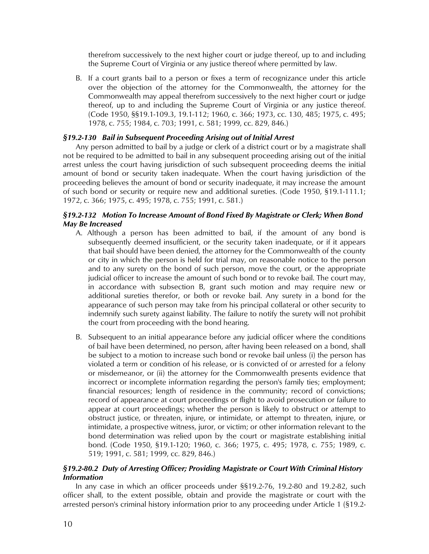therefrom successively to the next higher court or judge thereof, up to and including the Supreme Court of Virginia or any justice thereof where permitted by law.

B. If a court grants bail to a person or fixes a term of recognizance under this article over the objection of the attorney for the Commonwealth, the attorney for the Commonwealth may appeal therefrom successively to the next higher court or judge thereof, up to and including the Supreme Court of Virginia or any justice thereof. (Code 1950, §§19.1-109.3, 19.1-112; 1960, c. 366; 1973, cc. 130, 485; 1975, c. 495; 1978, c. 755; 1984, c. 703; 1991, c. 581; 1999, cc. 829, 846.)

## *§19.2-130 Bail in Subsequent Proceeding Arising out of Initial Arrest*

Any person admitted to bail by a judge or clerk of a district court or by a magistrate shall not be required to be admitted to bail in any subsequent proceeding arising out of the initial arrest unless the court having jurisdiction of such subsequent proceeding deems the initial amount of bond or security taken inadequate. When the court having jurisdiction of the proceeding believes the amount of bond or security inadequate, it may increase the amount of such bond or security or require new and additional sureties. (Code 1950, §19.1-111.1; 1972, c. 366; 1975, c. 495; 1978, c. 755; 1991, c. 581.)

## *§19.2-132 Motion To Increase Amount of Bond Fixed By Magistrate or Clerk; When Bond May Be Increased*

- A. Although a person has been admitted to bail, if the amount of any bond is subsequently deemed insufficient, or the security taken inadequate, or if it appears that bail should have been denied, the attorney for the Commonwealth of the county or city in which the person is held for trial may, on reasonable notice to the person and to any surety on the bond of such person, move the court, or the appropriate judicial officer to increase the amount of such bond or to revoke bail. The court may, in accordance with subsection B, grant such motion and may require new or additional sureties therefor, or both or revoke bail. Any surety in a bond for the appearance of such person may take from his principal collateral or other security to indemnify such surety against liability. The failure to notify the surety will not prohibit the court from proceeding with the bond hearing.
- B. Subsequent to an initial appearance before any judicial officer where the conditions of bail have been determined, no person, after having been released on a bond, shall be subject to a motion to increase such bond or revoke bail unless (i) the person has violated a term or condition of his release, or is convicted of or arrested for a felony or misdemeanor, or (ii) the attorney for the Commonwealth presents evidence that incorrect or incomplete information regarding the person's family ties; employment; financial resources; length of residence in the community; record of convictions; record of appearance at court proceedings or flight to avoid prosecution or failure to appear at court proceedings; whether the person is likely to obstruct or attempt to obstruct justice, or threaten, injure, or intimidate, or attempt to threaten, injure, or intimidate, a prospective witness, juror, or victim; or other information relevant to the bond determination was relied upon by the court or magistrate establishing initial bond. (Code 1950, §19.1-120; 1960, c. 366; 1975, c. 495; 1978, c. 755; 1989, c. 519; 1991, c. 581; 1999, cc. 829, 846.)

## *§19.2-80.2 Duty of Arresting Officer; Providing Magistrate or Court With Criminal History Information*

In any case in which an officer proceeds under §§19.2-76, 19.2-80 and 19.2-82, such officer shall, to the extent possible, obtain and provide the magistrate or court with the arrested person's criminal history information prior to any proceeding under Article 1 (§19.2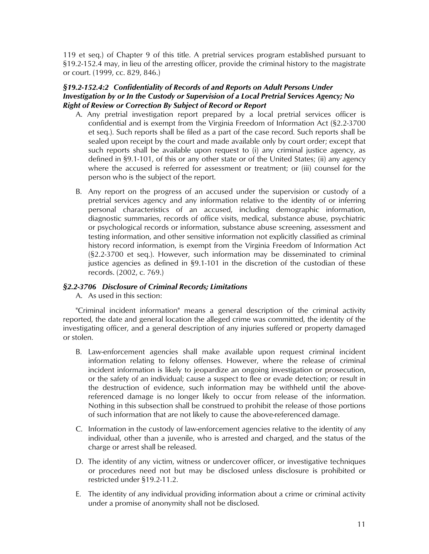119 et seq.) of Chapter 9 of this title. A pretrial services program established pursuant to §19.2-152.4 may, in lieu of the arresting officer, provide the criminal history to the magistrate or court. (1999, cc. 829, 846.)

## *§19.2-152.4:2 Confidentiality of Records of and Reports on Adult Persons Under Investigation by or In the Custody or Supervision of a Local Pretrial Services Agency; No Right of Review or Correction By Subject of Record or Report*

- A. Any pretrial investigation report prepared by a local pretrial services officer is confidential and is exempt from the Virginia Freedom of Information Act (§2.2-3700 et seq.). Such reports shall be filed as a part of the case record. Such reports shall be sealed upon receipt by the court and made available only by court order; except that such reports shall be available upon request to (i) any criminal justice agency, as defined in §9.1-101, of this or any other state or of the United States; (ii) any agency where the accused is referred for assessment or treatment; or (iii) counsel for the person who is the subject of the report.
- B. Any report on the progress of an accused under the supervision or custody of a pretrial services agency and any information relative to the identity of or inferring personal characteristics of an accused, including demographic information, diagnostic summaries, records of office visits, medical, substance abuse, psychiatric or psychological records or information, substance abuse screening, assessment and testing information, and other sensitive information not explicitly classified as criminal history record information, is exempt from the Virginia Freedom of Information Act (§2.2-3700 et seq.). However, such information may be disseminated to criminal justice agencies as defined in §9.1-101 in the discretion of the custodian of these records. (2002, c. 769.)

## *§2.2-3706 Disclosure of Criminal Records; Limitations*

A. As used in this section:

"Criminal incident information" means a general description of the criminal activity reported, the date and general location the alleged crime was committed, the identity of the investigating officer, and a general description of any injuries suffered or property damaged or stolen.

- B. Law-enforcement agencies shall make available upon request criminal incident information relating to felony offenses. However, where the release of criminal incident information is likely to jeopardize an ongoing investigation or prosecution, or the safety of an individual; cause a suspect to flee or evade detection; or result in the destruction of evidence, such information may be withheld until the abovereferenced damage is no longer likely to occur from release of the information. Nothing in this subsection shall be construed to prohibit the release of those portions of such information that are not likely to cause the above-referenced damage.
- C. Information in the custody of law-enforcement agencies relative to the identity of any individual, other than a juvenile, who is arrested and charged, and the status of the charge or arrest shall be released.
- D. The identity of any victim, witness or undercover officer, or investigative techniques or procedures need not but may be disclosed unless disclosure is prohibited or restricted under §19.2-11.2.
- E. The identity of any individual providing information about a crime or criminal activity under a promise of anonymity shall not be disclosed.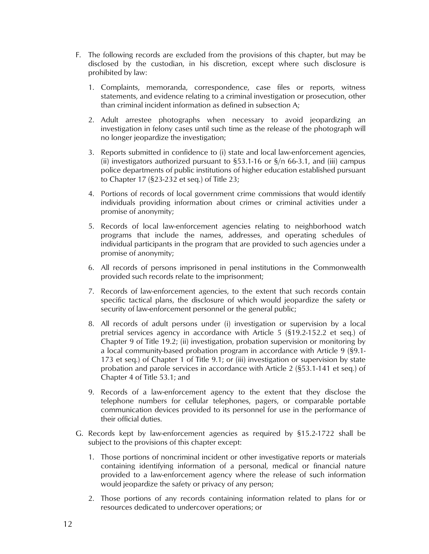- F. The following records are excluded from the provisions of this chapter, but may be disclosed by the custodian, in his discretion, except where such disclosure is prohibited by law:
	- 1. Complaints, memoranda, correspondence, case files or reports, witness statements, and evidence relating to a criminal investigation or prosecution, other than criminal incident information as defined in subsection A;
	- 2. Adult arrestee photographs when necessary to avoid jeopardizing an investigation in felony cases until such time as the release of the photograph will no longer jeopardize the investigation;
	- 3. Reports submitted in confidence to (i) state and local law-enforcement agencies, (ii) investigators authorized pursuant to  $\S$ 53.1-16 or  $\S$ /n 66-3.1, and (iii) campus police departments of public institutions of higher education established pursuant to Chapter 17 (§23-232 et seq.) of Title 23;
	- 4. Portions of records of local government crime commissions that would identify individuals providing information about crimes or criminal activities under a promise of anonymity;
	- 5. Records of local law-enforcement agencies relating to neighborhood watch programs that include the names, addresses, and operating schedules of individual participants in the program that are provided to such agencies under a promise of anonymity;
	- 6. All records of persons imprisoned in penal institutions in the Commonwealth provided such records relate to the imprisonment;
	- 7. Records of law-enforcement agencies, to the extent that such records contain specific tactical plans, the disclosure of which would jeopardize the safety or security of law-enforcement personnel or the general public;
	- 8. All records of adult persons under (i) investigation or supervision by a local pretrial services agency in accordance with Article 5 (§19.2-152.2 et seq.) of Chapter 9 of Title 19.2; (ii) investigation, probation supervision or monitoring by a local community-based probation program in accordance with Article 9 (§9.1- 173 et seq.) of Chapter 1 of Title 9.1; or (iii) investigation or supervision by state probation and parole services in accordance with Article 2 (§53.1-141 et seq.) of Chapter 4 of Title 53.1; and
	- 9. Records of a law-enforcement agency to the extent that they disclose the telephone numbers for cellular telephones, pagers, or comparable portable communication devices provided to its personnel for use in the performance of their official duties.
- G. Records kept by law-enforcement agencies as required by §15.2-1722 shall be subject to the provisions of this chapter except:
	- 1. Those portions of noncriminal incident or other investigative reports or materials containing identifying information of a personal, medical or financial nature provided to a law-enforcement agency where the release of such information would jeopardize the safety or privacy of any person;
	- 2. Those portions of any records containing information related to plans for or resources dedicated to undercover operations; or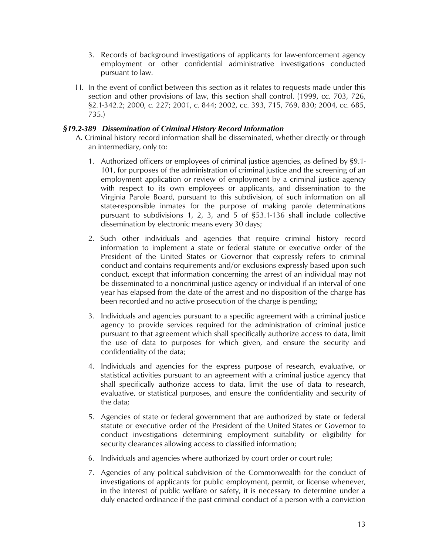- 3. Records of background investigations of applicants for law-enforcement agency employment or other confidential administrative investigations conducted pursuant to law.
- H. In the event of conflict between this section as it relates to requests made under this section and other provisions of law, this section shall control. (1999, cc. 703, 726, §2.1-342.2; 2000, c. 227; 2001, c. 844; 2002, cc. 393, 715, 769, 830; 2004, cc. 685, 735.)

## *§19.2-389 Dissemination of Criminal History Record Information*

- A. Criminal history record information shall be disseminated, whether directly or through an intermediary, only to:
	- 1. Authorized officers or employees of criminal justice agencies, as defined by §9.1- 101, for purposes of the administration of criminal justice and the screening of an employment application or review of employment by a criminal justice agency with respect to its own employees or applicants, and dissemination to the Virginia Parole Board, pursuant to this subdivision, of such information on all state-responsible inmates for the purpose of making parole determinations pursuant to subdivisions 1, 2, 3, and 5 of §53.1-136 shall include collective dissemination by electronic means every 30 days;
	- 2. Such other individuals and agencies that require criminal history record information to implement a state or federal statute or executive order of the President of the United States or Governor that expressly refers to criminal conduct and contains requirements and/or exclusions expressly based upon such conduct, except that information concerning the arrest of an individual may not be disseminated to a noncriminal justice agency or individual if an interval of one year has elapsed from the date of the arrest and no disposition of the charge has been recorded and no active prosecution of the charge is pending;
	- 3. Individuals and agencies pursuant to a specific agreement with a criminal justice agency to provide services required for the administration of criminal justice pursuant to that agreement which shall specifically authorize access to data, limit the use of data to purposes for which given, and ensure the security and confidentiality of the data;
	- 4. Individuals and agencies for the express purpose of research, evaluative, or statistical activities pursuant to an agreement with a criminal justice agency that shall specifically authorize access to data, limit the use of data to research, evaluative, or statistical purposes, and ensure the confidentiality and security of the data;
	- 5. Agencies of state or federal government that are authorized by state or federal statute or executive order of the President of the United States or Governor to conduct investigations determining employment suitability or eligibility for security clearances allowing access to classified information;
	- 6. Individuals and agencies where authorized by court order or court rule;
	- 7. Agencies of any political subdivision of the Commonwealth for the conduct of investigations of applicants for public employment, permit, or license whenever, in the interest of public welfare or safety, it is necessary to determine under a duly enacted ordinance if the past criminal conduct of a person with a conviction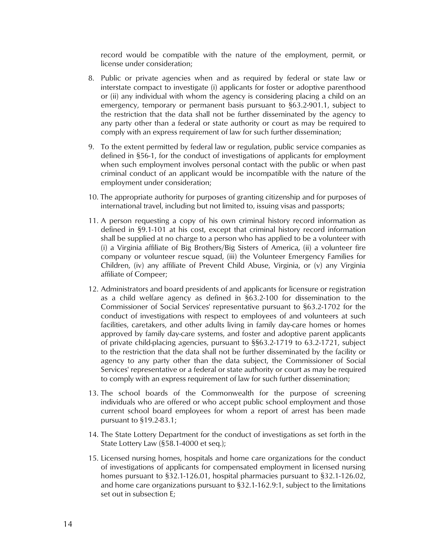record would be compatible with the nature of the employment, permit, or license under consideration;

- 8. Public or private agencies when and as required by federal or state law or interstate compact to investigate (i) applicants for foster or adoptive parenthood or (ii) any individual with whom the agency is considering placing a child on an emergency, temporary or permanent basis pursuant to §63.2-901.1, subject to the restriction that the data shall not be further disseminated by the agency to any party other than a federal or state authority or court as may be required to comply with an express requirement of law for such further dissemination;
- 9. To the extent permitted by federal law or regulation, public service companies as defined in §56-1, for the conduct of investigations of applicants for employment when such employment involves personal contact with the public or when past criminal conduct of an applicant would be incompatible with the nature of the employment under consideration;
- 10. The appropriate authority for purposes of granting citizenship and for purposes of international travel, including but not limited to, issuing visas and passports;
- 11. A person requesting a copy of his own criminal history record information as defined in §9.1-101 at his cost, except that criminal history record information shall be supplied at no charge to a person who has applied to be a volunteer with (i) a Virginia affiliate of Big Brothers/Big Sisters of America, (ii) a volunteer fire company or volunteer rescue squad, (iii) the Volunteer Emergency Families for Children, (iv) any affiliate of Prevent Child Abuse, Virginia, or (v) any Virginia affiliate of Compeer;
- 12. Administrators and board presidents of and applicants for licensure or registration as a child welfare agency as defined in §63.2-100 for dissemination to the Commissioner of Social Services' representative pursuant to §63.2-1702 for the conduct of investigations with respect to employees of and volunteers at such facilities, caretakers, and other adults living in family day-care homes or homes approved by family day-care systems, and foster and adoptive parent applicants of private child-placing agencies, pursuant to §§63.2-1719 to 63.2-1721, subject to the restriction that the data shall not be further disseminated by the facility or agency to any party other than the data subject, the Commissioner of Social Services' representative or a federal or state authority or court as may be required to comply with an express requirement of law for such further dissemination;
- 13. The school boards of the Commonwealth for the purpose of screening individuals who are offered or who accept public school employment and those current school board employees for whom a report of arrest has been made pursuant to §19.2-83.1;
- 14. The State Lottery Department for the conduct of investigations as set forth in the State Lottery Law (§58.1-4000 et seq.);
- 15. Licensed nursing homes, hospitals and home care organizations for the conduct of investigations of applicants for compensated employment in licensed nursing homes pursuant to §32.1-126.01, hospital pharmacies pursuant to §32.1-126.02, and home care organizations pursuant to §32.1-162.9:1, subject to the limitations set out in subsection E;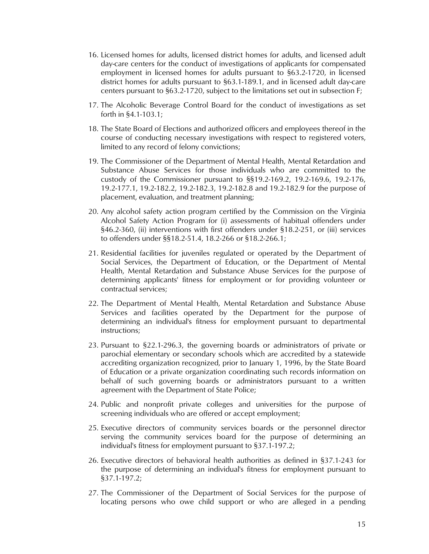- 16. Licensed homes for adults, licensed district homes for adults, and licensed adult day-care centers for the conduct of investigations of applicants for compensated employment in licensed homes for adults pursuant to §63.2-1720, in licensed district homes for adults pursuant to §63.1-189.1, and in licensed adult day-care centers pursuant to §63.2-1720, subject to the limitations set out in subsection F;
- 17. The Alcoholic Beverage Control Board for the conduct of investigations as set forth in §4.1-103.1;
- 18. The State Board of Elections and authorized officers and employees thereof in the course of conducting necessary investigations with respect to registered voters, limited to any record of felony convictions;
- 19. The Commissioner of the Department of Mental Health, Mental Retardation and Substance Abuse Services for those individuals who are committed to the custody of the Commissioner pursuant to §§19.2-169.2, 19.2-169.6, 19.2-176, 19.2-177.1, 19.2-182.2, 19.2-182.3, 19.2-182.8 and 19.2-182.9 for the purpose of placement, evaluation, and treatment planning;
- 20. Any alcohol safety action program certified by the Commission on the Virginia Alcohol Safety Action Program for (i) assessments of habitual offenders under §46.2-360, (ii) interventions with first offenders under §18.2-251, or (iii) services to offenders under §§18.2-51.4, 18.2-266 or §18.2-266.1;
- 21. Residential facilities for juveniles regulated or operated by the Department of Social Services, the Department of Education, or the Department of Mental Health, Mental Retardation and Substance Abuse Services for the purpose of determining applicants' fitness for employment or for providing volunteer or contractual services;
- 22. The Department of Mental Health, Mental Retardation and Substance Abuse Services and facilities operated by the Department for the purpose of determining an individual's fitness for employment pursuant to departmental instructions;
- 23. Pursuant to §22.1-296.3, the governing boards or administrators of private or parochial elementary or secondary schools which are accredited by a statewide accrediting organization recognized, prior to January 1, 1996, by the State Board of Education or a private organization coordinating such records information on behalf of such governing boards or administrators pursuant to a written agreement with the Department of State Police;
- 24. Public and nonprofit private colleges and universities for the purpose of screening individuals who are offered or accept employment;
- 25. Executive directors of community services boards or the personnel director serving the community services board for the purpose of determining an individual's fitness for employment pursuant to §37.1-197.2;
- 26. Executive directors of behavioral health authorities as defined in §37.1-243 for the purpose of determining an individual's fitness for employment pursuant to §37.1-197.2;
- 27. The Commissioner of the Department of Social Services for the purpose of locating persons who owe child support or who are alleged in a pending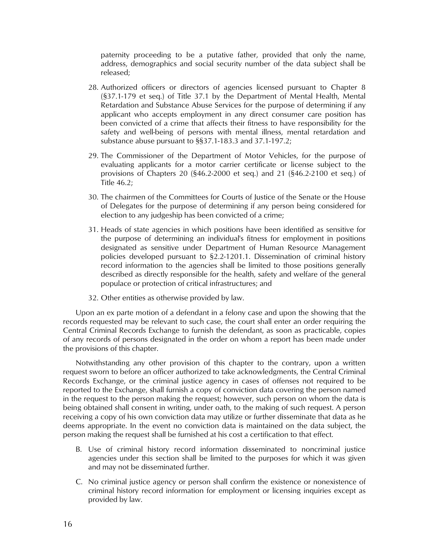paternity proceeding to be a putative father, provided that only the name, address, demographics and social security number of the data subject shall be released;

- 28. Authorized officers or directors of agencies licensed pursuant to Chapter 8 (§37.1-179 et seq.) of Title 37.1 by the Department of Mental Health, Mental Retardation and Substance Abuse Services for the purpose of determining if any applicant who accepts employment in any direct consumer care position has been convicted of a crime that affects their fitness to have responsibility for the safety and well-being of persons with mental illness, mental retardation and substance abuse pursuant to §§37.1-183.3 and 37.1-197.2;
- 29. The Commissioner of the Department of Motor Vehicles, for the purpose of evaluating applicants for a motor carrier certificate or license subject to the provisions of Chapters 20 (§46.2-2000 et seq.) and 21 (§46.2-2100 et seq.) of Title 46.2;
- 30. The chairmen of the Committees for Courts of Justice of the Senate or the House of Delegates for the purpose of determining if any person being considered for election to any judgeship has been convicted of a crime;
- 31. Heads of state agencies in which positions have been identified as sensitive for the purpose of determining an individual's fitness for employment in positions designated as sensitive under Department of Human Resource Management policies developed pursuant to §2.2-1201.1. Dissemination of criminal history record information to the agencies shall be limited to those positions generally described as directly responsible for the health, safety and welfare of the general populace or protection of critical infrastructures; and
- 32. Other entities as otherwise provided by law.

Upon an ex parte motion of a defendant in a felony case and upon the showing that the records requested may be relevant to such case, the court shall enter an order requiring the Central Criminal Records Exchange to furnish the defendant, as soon as practicable, copies of any records of persons designated in the order on whom a report has been made under the provisions of this chapter.

Notwithstanding any other provision of this chapter to the contrary, upon a written request sworn to before an officer authorized to take acknowledgments, the Central Criminal Records Exchange, or the criminal justice agency in cases of offenses not required to be reported to the Exchange, shall furnish a copy of conviction data covering the person named in the request to the person making the request; however, such person on whom the data is being obtained shall consent in writing, under oath, to the making of such request. A person receiving a copy of his own conviction data may utilize or further disseminate that data as he deems appropriate. In the event no conviction data is maintained on the data subject, the person making the request shall be furnished at his cost a certification to that effect.

- B. Use of criminal history record information disseminated to noncriminal justice agencies under this section shall be limited to the purposes for which it was given and may not be disseminated further.
- C. No criminal justice agency or person shall confirm the existence or nonexistence of criminal history record information for employment or licensing inquiries except as provided by law.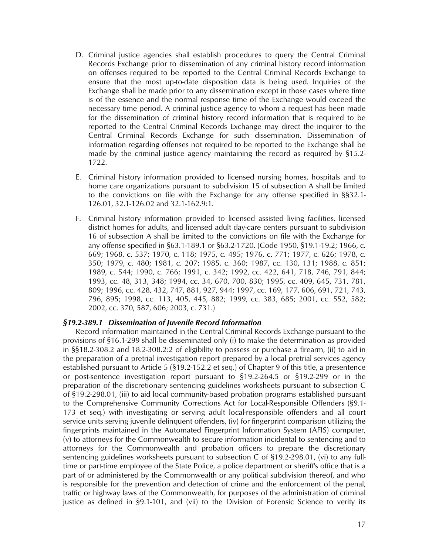- D. Criminal justice agencies shall establish procedures to query the Central Criminal Records Exchange prior to dissemination of any criminal history record information on offenses required to be reported to the Central Criminal Records Exchange to ensure that the most up-to-date disposition data is being used. Inquiries of the Exchange shall be made prior to any dissemination except in those cases where time is of the essence and the normal response time of the Exchange would exceed the necessary time period. A criminal justice agency to whom a request has been made for the dissemination of criminal history record information that is required to be reported to the Central Criminal Records Exchange may direct the inquirer to the Central Criminal Records Exchange for such dissemination. Dissemination of information regarding offenses not required to be reported to the Exchange shall be made by the criminal justice agency maintaining the record as required by §15.2- 1722.
- E. Criminal history information provided to licensed nursing homes, hospitals and to home care organizations pursuant to subdivision 15 of subsection A shall be limited to the convictions on file with the Exchange for any offense specified in §§32.1- 126.01, 32.1-126.02 and 32.1-162.9:1.
- F. Criminal history information provided to licensed assisted living facilities, licensed district homes for adults, and licensed adult day-care centers pursuant to subdivision 16 of subsection A shall be limited to the convictions on file with the Exchange for any offense specified in §63.1-189.1 or §63.2-1720. (Code 1950, §19.1-19.2; 1966, c. 669; 1968, c. 537; 1970, c. 118; 1975, c. 495; 1976, c. 771; 1977, c. 626; 1978, c. 350; 1979, c. 480; 1981, c. 207; 1985, c. 360; 1987, cc. 130, 131; 1988, c. 851; 1989, c. 544; 1990, c. 766; 1991, c. 342; 1992, cc. 422, 641, 718, 746, 791, 844; 1993, cc. 48, 313, 348; 1994, cc. 34, 670, 700, 830; 1995, cc. 409, 645, 731, 781, 809; 1996, cc. 428, 432, 747, 881, 927, 944; 1997, cc. 169, 177, 606, 691, 721, 743, 796, 895; 1998, cc. 113, 405, 445, 882; 1999, cc. 383, 685; 2001, cc. 552, 582; 2002, cc. 370, 587, 606; 2003, c. 731.)

## *§19.2-389.1 Dissemination of Juvenile Record Information*

Record information maintained in the Central Criminal Records Exchange pursuant to the provisions of §16.1-299 shall be disseminated only (i) to make the determination as provided in §§18.2-308.2 and 18.2-308.2:2 of eligibility to possess or purchase a firearm, (ii) to aid in the preparation of a pretrial investigation report prepared by a local pretrial services agency established pursuant to Article 5 (§19.2-152.2 et seq.) of Chapter 9 of this title, a presentence or post-sentence investigation report pursuant to §19.2-264.5 or §19.2-299 or in the preparation of the discretionary sentencing guidelines worksheets pursuant to subsection C of §19.2-298.01, (iii) to aid local community-based probation programs established pursuant to the Comprehensive Community Corrections Act for Local-Responsible Offenders (§9.1- 173 et seq.) with investigating or serving adult local-responsible offenders and all court service units serving juvenile delinquent offenders, (iv) for fingerprint comparison utilizing the fingerprints maintained in the Automated Fingerprint Information System (AFIS) computer, (v) to attorneys for the Commonwealth to secure information incidental to sentencing and to attorneys for the Commonwealth and probation officers to prepare the discretionary sentencing guidelines worksheets pursuant to subsection C of §19.2-298.01, (vi) to any fulltime or part-time employee of the State Police, a police department or sheriff's office that is a part of or administered by the Commonwealth or any political subdivision thereof, and who is responsible for the prevention and detection of crime and the enforcement of the penal, traffic or highway laws of the Commonwealth, for purposes of the administration of criminal justice as defined in §9.1-101, and (vii) to the Division of Forensic Science to verify its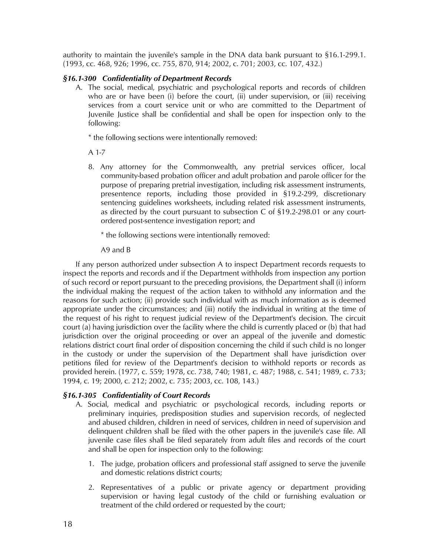authority to maintain the juvenile's sample in the DNA data bank pursuant to §16.1-299.1. (1993, cc. 468, 926; 1996, cc. 755, 870, 914; 2002, c. 701; 2003, cc. 107, 432.)

## *§16.1-300 Confidentiality of Department Records*

A. The social, medical, psychiatric and psychological reports and records of children who are or have been (i) before the court, (ii) under supervision, or (iii) receiving services from a court service unit or who are committed to the Department of Juvenile Justice shall be confidential and shall be open for inspection only to the following:

\* the following sections were intentionally removed:

A 1-7

- 8. Any attorney for the Commonwealth, any pretrial services officer, local community-based probation officer and adult probation and parole officer for the purpose of preparing pretrial investigation, including risk assessment instruments, presentence reports, including those provided in §19.2-299, discretionary sentencing guidelines worksheets, including related risk assessment instruments, as directed by the court pursuant to subsection C of §19.2-298.01 or any courtordered post-sentence investigation report; and
	- \* the following sections were intentionally removed:
	- A9 and B

If any person authorized under subsection A to inspect Department records requests to inspect the reports and records and if the Department withholds from inspection any portion of such record or report pursuant to the preceding provisions, the Department shall (i) inform the individual making the request of the action taken to withhold any information and the reasons for such action; (ii) provide such individual with as much information as is deemed appropriate under the circumstances; and (iii) notify the individual in writing at the time of the request of his right to request judicial review of the Department's decision. The circuit court (a) having jurisdiction over the facility where the child is currently placed or (b) that had jurisdiction over the original proceeding or over an appeal of the juvenile and domestic relations district court final order of disposition concerning the child if such child is no longer in the custody or under the supervision of the Department shall have jurisdiction over petitions filed for review of the Department's decision to withhold reports or records as provided herein. (1977, c. 559; 1978, cc. 738, 740; 1981, c. 487; 1988, c. 541; 1989, c. 733; 1994, c. 19; 2000, c. 212; 2002, c. 735; 2003, cc. 108, 143.)

## *§16.1-305 Confidentiality of Court Records*

- A. Social, medical and psychiatric or psychological records, including reports or preliminary inquiries, predisposition studies and supervision records, of neglected and abused children, children in need of services, children in need of supervision and delinquent children shall be filed with the other papers in the juvenile's case file. All juvenile case files shall be filed separately from adult files and records of the court and shall be open for inspection only to the following:
	- 1. The judge, probation officers and professional staff assigned to serve the juvenile and domestic relations district courts;
	- 2. Representatives of a public or private agency or department providing supervision or having legal custody of the child or furnishing evaluation or treatment of the child ordered or requested by the court;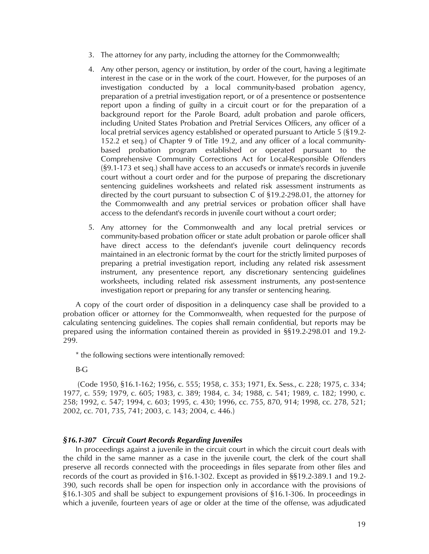- 3. The attorney for any party, including the attorney for the Commonwealth;
- 4. Any other person, agency or institution, by order of the court, having a legitimate interest in the case or in the work of the court. However, for the purposes of an investigation conducted by a local community-based probation agency, preparation of a pretrial investigation report, or of a presentence or postsentence report upon a finding of guilty in a circuit court or for the preparation of a background report for the Parole Board, adult probation and parole officers, including United States Probation and Pretrial Services Officers, any officer of a local pretrial services agency established or operated pursuant to Article 5 (§19.2- 152.2 et seq.) of Chapter 9 of Title 19.2, and any officer of a local communitybased probation program established or operated pursuant to the Comprehensive Community Corrections Act for Local-Responsible Offenders (§9.1-173 et seq.) shall have access to an accused's or inmate's records in juvenile court without a court order and for the purpose of preparing the discretionary sentencing guidelines worksheets and related risk assessment instruments as directed by the court pursuant to subsection C of §19.2-298.01, the attorney for the Commonwealth and any pretrial services or probation officer shall have access to the defendant's records in juvenile court without a court order;
- 5. Any attorney for the Commonwealth and any local pretrial services or community-based probation officer or state adult probation or parole officer shall have direct access to the defendant's juvenile court delinquency records maintained in an electronic format by the court for the strictly limited purposes of preparing a pretrial investigation report, including any related risk assessment instrument, any presentence report, any discretionary sentencing guidelines worksheets, including related risk assessment instruments, any post-sentence investigation report or preparing for any transfer or sentencing hearing.

A copy of the court order of disposition in a delinquency case shall be provided to a probation officer or attorney for the Commonwealth, when requested for the purpose of calculating sentencing guidelines. The copies shall remain confidential, but reports may be prepared using the information contained therein as provided in §§19.2-298.01 and 19.2- 299.

\* the following sections were intentionally removed:

B-G

 (Code 1950, §16.1-162; 1956, c. 555; 1958, c. 353; 1971, Ex. Sess., c. 228; 1975, c. 334; 1977, c. 559; 1979, c. 605; 1983, c. 389; 1984, c. 34; 1988, c. 541; 1989, c. 182; 1990, c. 258; 1992, c. 547; 1994, c. 603; 1995, c. 430; 1996, cc. 755, 870, 914; 1998, cc. 278, 521; 2002, cc. 701, 735, 741; 2003, c. 143; 2004, c. 446.)

## *§16.1-307 Circuit Court Records Regarding Juveniles*

In proceedings against a juvenile in the circuit court in which the circuit court deals with the child in the same manner as a case in the juvenile court, the clerk of the court shall preserve all records connected with the proceedings in files separate from other files and records of the court as provided in §16.1-302. Except as provided in §§19.2-389.1 and 19.2- 390, such records shall be open for inspection only in accordance with the provisions of §16.1-305 and shall be subject to expungement provisions of §16.1-306. In proceedings in which a juvenile, fourteen years of age or older at the time of the offense, was adjudicated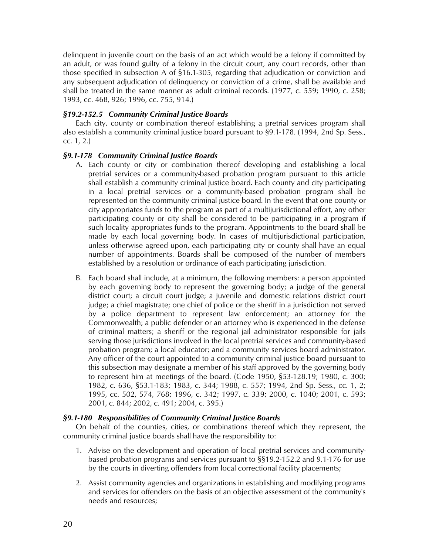delinquent in juvenile court on the basis of an act which would be a felony if committed by an adult, or was found guilty of a felony in the circuit court, any court records, other than those specified in subsection A of §16.1-305, regarding that adjudication or conviction and any subsequent adjudication of delinquency or conviction of a crime, shall be available and shall be treated in the same manner as adult criminal records. (1977, c. 559; 1990, c. 258; 1993, cc. 468, 926; 1996, cc. 755, 914.)

## *§19.2-152.5 Community Criminal Justice Boards*

Each city, county or combination thereof establishing a pretrial services program shall also establish a community criminal justice board pursuant to §9.1-178. (1994, 2nd Sp. Sess., cc. 1, 2.)

## *§9.1-178 Community Criminal Justice Boards*

- A. Each county or city or combination thereof developing and establishing a local pretrial services or a community-based probation program pursuant to this article shall establish a community criminal justice board. Each county and city participating in a local pretrial services or a community-based probation program shall be represented on the community criminal justice board. In the event that one county or city appropriates funds to the program as part of a multijurisdictional effort, any other participating county or city shall be considered to be participating in a program if such locality appropriates funds to the program. Appointments to the board shall be made by each local governing body. In cases of multijurisdictional participation, unless otherwise agreed upon, each participating city or county shall have an equal number of appointments. Boards shall be composed of the number of members established by a resolution or ordinance of each participating jurisdiction.
- B. Each board shall include, at a minimum, the following members: a person appointed by each governing body to represent the governing body; a judge of the general district court; a circuit court judge; a juvenile and domestic relations district court judge; a chief magistrate; one chief of police or the sheriff in a jurisdiction not served by a police department to represent law enforcement; an attorney for the Commonwealth; a public defender or an attorney who is experienced in the defense of criminal matters; a sheriff or the regional jail administrator responsible for jails serving those jurisdictions involved in the local pretrial services and community-based probation program; a local educator; and a community services board administrator. Any officer of the court appointed to a community criminal justice board pursuant to this subsection may designate a member of his staff approved by the governing body to represent him at meetings of the board. (Code 1950, §53-128.19; 1980, c. 300; 1982, c. 636, §53.1-183; 1983, c. 344; 1988, c. 557; 1994, 2nd Sp. Sess., cc. 1, 2; 1995, cc. 502, 574, 768; 1996, c. 342; 1997, c. 339; 2000, c. 1040; 2001, c. 593; 2001, c. 844; 2002, c. 491; 2004, c. 395.)

## *§9.1-180 Responsibilities of Community Criminal Justice Boards*

On behalf of the counties, cities, or combinations thereof which they represent, the community criminal justice boards shall have the responsibility to:

- 1. Advise on the development and operation of local pretrial services and communitybased probation programs and services pursuant to §§19.2-152.2 and 9.1-176 for use by the courts in diverting offenders from local correctional facility placements;
- 2. Assist community agencies and organizations in establishing and modifying programs and services for offenders on the basis of an objective assessment of the community's needs and resources;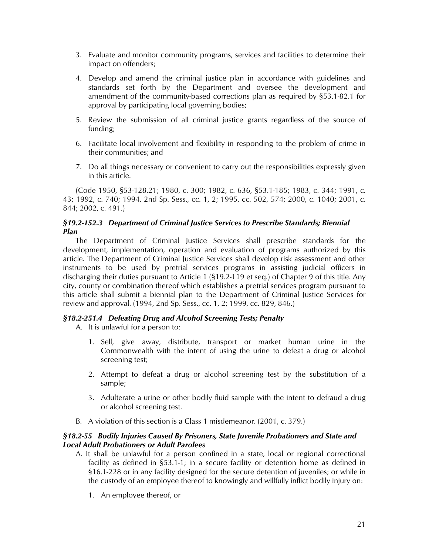- 3. Evaluate and monitor community programs, services and facilities to determine their impact on offenders;
- 4. Develop and amend the criminal justice plan in accordance with guidelines and standards set forth by the Department and oversee the development and amendment of the community-based corrections plan as required by §53.1-82.1 for approval by participating local governing bodies;
- 5. Review the submission of all criminal justice grants regardless of the source of funding;
- 6. Facilitate local involvement and flexibility in responding to the problem of crime in their communities; and
- 7. Do all things necessary or convenient to carry out the responsibilities expressly given in this article.

(Code 1950, §53-128.21; 1980, c. 300; 1982, c. 636, §53.1-185; 1983, c. 344; 1991, c. 43; 1992, c. 740; 1994, 2nd Sp. Sess., cc. 1, 2; 1995, cc. 502, 574; 2000, c. 1040; 2001, c. 844; 2002, c. 491.)

## *§19.2-152.3 Department of Criminal Justice Services to Prescribe Standards; Biennial Plan*

The Department of Criminal Justice Services shall prescribe standards for the development, implementation, operation and evaluation of programs authorized by this article. The Department of Criminal Justice Services shall develop risk assessment and other instruments to be used by pretrial services programs in assisting judicial officers in discharging their duties pursuant to Article 1 (§19.2-119 et seq.) of Chapter 9 of this title. Any city, county or combination thereof which establishes a pretrial services program pursuant to this article shall submit a biennial plan to the Department of Criminal Justice Services for review and approval. (1994, 2nd Sp. Sess., cc. 1, 2; 1999, cc. 829, 846.)

## *§18.2-251.4 Defeating Drug and Alcohol Screening Tests; Penalty*

A. It is unlawful for a person to:

- 1. Sell, give away, distribute, transport or market human urine in the Commonwealth with the intent of using the urine to defeat a drug or alcohol screening test;
- 2. Attempt to defeat a drug or alcohol screening test by the substitution of a sample;
- 3. Adulterate a urine or other bodily fluid sample with the intent to defraud a drug or alcohol screening test.
- B. A violation of this section is a Class 1 misdemeanor. (2001, c. 379.)

## *§18.2-55 Bodily Injuries Caused By Prisoners, State Juvenile Probationers and State and Local Adult Probationers or Adult Parolees*

- A. It shall be unlawful for a person confined in a state, local or regional correctional facility as defined in §53.1-1; in a secure facility or detention home as defined in §16.1-228 or in any facility designed for the secure detention of juveniles; or while in the custody of an employee thereof to knowingly and willfully inflict bodily injury on:
	- 1. An employee thereof, or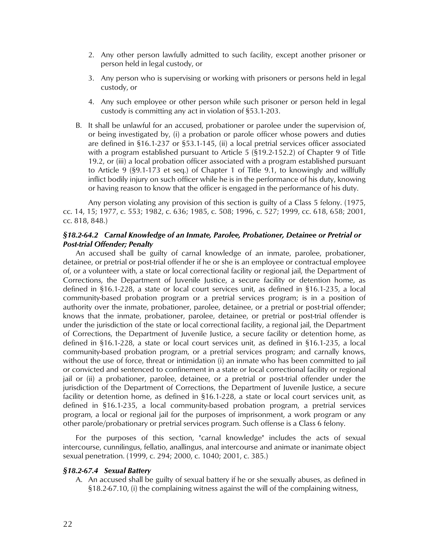- 2. Any other person lawfully admitted to such facility, except another prisoner or person held in legal custody, or
- 3. Any person who is supervising or working with prisoners or persons held in legal custody, or
- 4. Any such employee or other person while such prisoner or person held in legal custody is committing any act in violation of §53.1-203.
- B. It shall be unlawful for an accused, probationer or parolee under the supervision of, or being investigated by, (i) a probation or parole officer whose powers and duties are defined in §16.1-237 or §53.1-145, (ii) a local pretrial services officer associated with a program established pursuant to Article 5 (§19.2-152.2) of Chapter 9 of Title 19.2, or (iii) a local probation officer associated with a program established pursuant to Article 9 (§9.1-173 et seq.) of Chapter 1 of Title 9.1, to knowingly and willfully inflict bodily injury on such officer while he is in the performance of his duty, knowing or having reason to know that the officer is engaged in the performance of his duty.

Any person violating any provision of this section is guilty of a Class 5 felony. (1975, cc. 14, 15; 1977, c. 553; 1982, c. 636; 1985, c. 508; 1996, c. 527; 1999, cc. 618, 658; 2001, cc. 818, 848.)

## *§18.2-64.2 Carnal Knowledge of an Inmate, Parolee, Probationer, Detainee or Pretrial or Post-trial Offender; Penalty*

An accused shall be guilty of carnal knowledge of an inmate, parolee, probationer, detainee, or pretrial or post-trial offender if he or she is an employee or contractual employee of, or a volunteer with, a state or local correctional facility or regional jail, the Department of Corrections, the Department of Juvenile Justice, a secure facility or detention home, as defined in §16.1-228, a state or local court services unit, as defined in §16.1-235, a local community-based probation program or a pretrial services program; is in a position of authority over the inmate, probationer, parolee, detainee, or a pretrial or post-trial offender; knows that the inmate, probationer, parolee, detainee, or pretrial or post-trial offender is under the jurisdiction of the state or local correctional facility, a regional jail, the Department of Corrections, the Department of Juvenile Justice, a secure facility or detention home, as defined in §16.1-228, a state or local court services unit, as defined in §16.1-235, a local community-based probation program, or a pretrial services program; and carnally knows, without the use of force, threat or intimidation (i) an inmate who has been committed to jail or convicted and sentenced to confinement in a state or local correctional facility or regional jail or (ii) a probationer, parolee, detainee, or a pretrial or post-trial offender under the jurisdiction of the Department of Corrections, the Department of Juvenile Justice, a secure facility or detention home, as defined in §16.1-228, a state or local court services unit, as defined in §16.1-235, a local community-based probation program, a pretrial services program, a local or regional jail for the purposes of imprisonment, a work program or any other parole/probationary or pretrial services program. Such offense is a Class 6 felony.

For the purposes of this section, "carnal knowledge" includes the acts of sexual intercourse, cunnilingus, fellatio, anallingus, anal intercourse and animate or inanimate object sexual penetration. (1999, c. 294; 2000, c. 1040; 2001, c. 385.)

## *§18.2-67.4 Sexual Battery*

A. An accused shall be guilty of sexual battery if he or she sexually abuses, as defined in §18.2-67.10, (i) the complaining witness against the will of the complaining witness,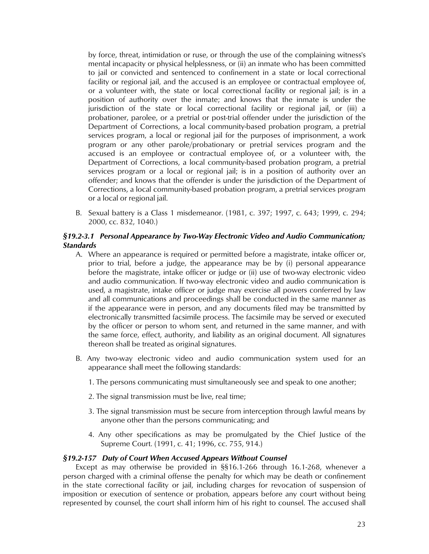by force, threat, intimidation or ruse, or through the use of the complaining witness's mental incapacity or physical helplessness, or (ii) an inmate who has been committed to jail or convicted and sentenced to confinement in a state or local correctional facility or regional jail, and the accused is an employee or contractual employee of, or a volunteer with, the state or local correctional facility or regional jail; is in a position of authority over the inmate; and knows that the inmate is under the jurisdiction of the state or local correctional facility or regional jail, or (iii) a probationer, parolee, or a pretrial or post-trial offender under the jurisdiction of the Department of Corrections, a local community-based probation program, a pretrial services program, a local or regional jail for the purposes of imprisonment, a work program or any other parole/probationary or pretrial services program and the accused is an employee or contractual employee of, or a volunteer with, the Department of Corrections, a local community-based probation program, a pretrial services program or a local or regional jail; is in a position of authority over an offender; and knows that the offender is under the jurisdiction of the Department of Corrections, a local community-based probation program, a pretrial services program or a local or regional jail.

B. Sexual battery is a Class 1 misdemeanor. (1981, c. 397; 1997, c. 643; 1999, c. 294; 2000, cc. 832, 1040.)

## *§19.2-3.1 Personal Appearance by Two-Way Electronic Video and Audio Communication; Standards*

- A. Where an appearance is required or permitted before a magistrate, intake officer or, prior to trial, before a judge, the appearance may be by (i) personal appearance before the magistrate, intake officer or judge or (ii) use of two-way electronic video and audio communication. If two-way electronic video and audio communication is used, a magistrate, intake officer or judge may exercise all powers conferred by law and all communications and proceedings shall be conducted in the same manner as if the appearance were in person, and any documents filed may be transmitted by electronically transmitted facsimile process. The facsimile may be served or executed by the officer or person to whom sent, and returned in the same manner, and with the same force, effect, authority, and liability as an original document. All signatures thereon shall be treated as original signatures.
- B. Any two-way electronic video and audio communication system used for an appearance shall meet the following standards:
	- 1. The persons communicating must simultaneously see and speak to one another;
	- 2. The signal transmission must be live, real time;
	- 3. The signal transmission must be secure from interception through lawful means by anyone other than the persons communicating; and
	- 4. Any other specifications as may be promulgated by the Chief Justice of the Supreme Court. (1991, c. 41; 1996, cc. 755, 914.)

#### *§19.2-157 Duty of Court When Accused Appears Without Counsel*

Except as may otherwise be provided in §§16.1-266 through 16.1-268, whenever a person charged with a criminal offense the penalty for which may be death or confinement in the state correctional facility or jail, including charges for revocation of suspension of imposition or execution of sentence or probation, appears before any court without being represented by counsel, the court shall inform him of his right to counsel. The accused shall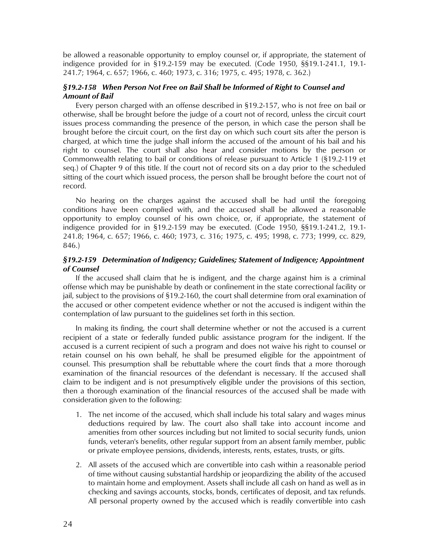be allowed a reasonable opportunity to employ counsel or, if appropriate, the statement of indigence provided for in §19.2-159 may be executed. (Code 1950, §§19.1-241.1, 19.1- 241.7; 1964, c. 657; 1966, c. 460; 1973, c. 316; 1975, c. 495; 1978, c. 362.)

## *§19.2-158 When Person Not Free on Bail Shall be Informed of Right to Counsel and Amount of Bail*

Every person charged with an offense described in §19.2-157, who is not free on bail or otherwise, shall be brought before the judge of a court not of record, unless the circuit court issues process commanding the presence of the person, in which case the person shall be brought before the circuit court, on the first day on which such court sits after the person is charged, at which time the judge shall inform the accused of the amount of his bail and his right to counsel. The court shall also hear and consider motions by the person or Commonwealth relating to bail or conditions of release pursuant to Article 1 (§19.2-119 et seq.) of Chapter 9 of this title. If the court not of record sits on a day prior to the scheduled sitting of the court which issued process, the person shall be brought before the court not of record.

No hearing on the charges against the accused shall be had until the foregoing conditions have been complied with, and the accused shall be allowed a reasonable opportunity to employ counsel of his own choice, or, if appropriate, the statement of indigence provided for in §19.2-159 may be executed. (Code 1950, §§19.1-241.2, 19.1- 241.8; 1964, c. 657; 1966, c. 460; 1973, c. 316; 1975, c. 495; 1998, c. 773; 1999, cc. 829, 846.)

## *§19.2-159 Determination of Indigency; Guidelines; Statement of Indigence; Appointment of Counsel*

If the accused shall claim that he is indigent, and the charge against him is a criminal offense which may be punishable by death or confinement in the state correctional facility or jail, subject to the provisions of §19.2-160, the court shall determine from oral examination of the accused or other competent evidence whether or not the accused is indigent within the contemplation of law pursuant to the guidelines set forth in this section.

In making its finding, the court shall determine whether or not the accused is a current recipient of a state or federally funded public assistance program for the indigent. If the accused is a current recipient of such a program and does not waive his right to counsel or retain counsel on his own behalf, he shall be presumed eligible for the appointment of counsel. This presumption shall be rebuttable where the court finds that a more thorough examination of the financial resources of the defendant is necessary. If the accused shall claim to be indigent and is not presumptively eligible under the provisions of this section, then a thorough examination of the financial resources of the accused shall be made with consideration given to the following:

- 1. The net income of the accused, which shall include his total salary and wages minus deductions required by law. The court also shall take into account income and amenities from other sources including but not limited to social security funds, union funds, veteran's benefits, other regular support from an absent family member, public or private employee pensions, dividends, interests, rents, estates, trusts, or gifts.
- 2. All assets of the accused which are convertible into cash within a reasonable period of time without causing substantial hardship or jeopardizing the ability of the accused to maintain home and employment. Assets shall include all cash on hand as well as in checking and savings accounts, stocks, bonds, certificates of deposit, and tax refunds. All personal property owned by the accused which is readily convertible into cash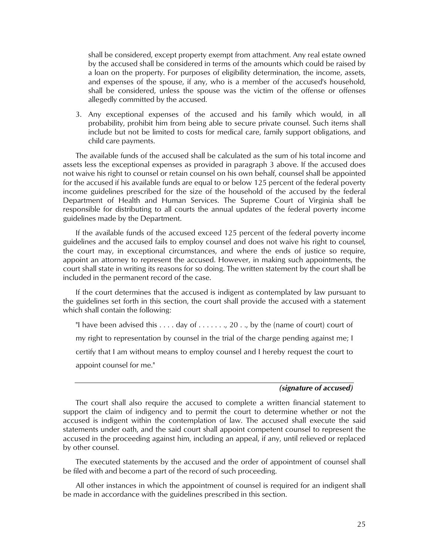shall be considered, except property exempt from attachment. Any real estate owned by the accused shall be considered in terms of the amounts which could be raised by a loan on the property. For purposes of eligibility determination, the income, assets, and expenses of the spouse, if any, who is a member of the accused's household, shall be considered, unless the spouse was the victim of the offense or offenses allegedly committed by the accused.

3. Any exceptional expenses of the accused and his family which would, in all probability, prohibit him from being able to secure private counsel. Such items shall include but not be limited to costs for medical care, family support obligations, and child care payments.

The available funds of the accused shall be calculated as the sum of his total income and assets less the exceptional expenses as provided in paragraph 3 above. If the accused does not waive his right to counsel or retain counsel on his own behalf, counsel shall be appointed for the accused if his available funds are equal to or below 125 percent of the federal poverty income guidelines prescribed for the size of the household of the accused by the federal Department of Health and Human Services. The Supreme Court of Virginia shall be responsible for distributing to all courts the annual updates of the federal poverty income guidelines made by the Department.

If the available funds of the accused exceed 125 percent of the federal poverty income guidelines and the accused fails to employ counsel and does not waive his right to counsel, the court may, in exceptional circumstances, and where the ends of justice so require, appoint an attorney to represent the accused. However, in making such appointments, the court shall state in writing its reasons for so doing. The written statement by the court shall be included in the permanent record of the case.

If the court determines that the accused is indigent as contemplated by law pursuant to the guidelines set forth in this section, the court shall provide the accused with a statement which shall contain the following:

"I have been advised this  $\dots$  day of  $\dots$   $\dots$  ..., 20 ..., by the (name of court) court of my right to representation by counsel in the trial of the charge pending against me; I certify that I am without means to employ counsel and I hereby request the court to appoint counsel for me."

#### *(signature of accused)*

The executed statements by the accused and the order of appointment of counsel shall be filed with and become a part of the record of such proceeding.

All other instances in which the appointment of counsel is required for an indigent shall be made in accordance with the guidelines prescribed in this section.

The court shall also require the accused to complete a written financial statement to support the claim of indigency and to permit the court to determine whether or not the accused is indigent within the contemplation of law. The accused shall execute the said statements under oath, and the said court shall appoint competent counsel to represent the accused in the proceeding against him, including an appeal, if any, until relieved or replaced by other counsel.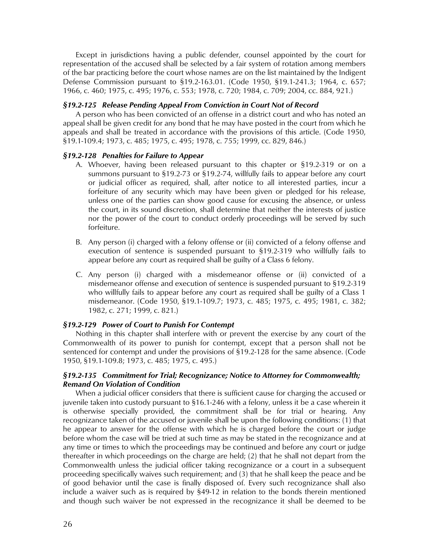Except in jurisdictions having a public defender, counsel appointed by the court for representation of the accused shall be selected by a fair system of rotation among members of the bar practicing before the court whose names are on the list maintained by the Indigent Defense Commission pursuant to §19.2-163.01. (Code 1950, §19.1-241.3; 1964, c. 657; 1966, c. 460; 1975, c. 495; 1976, c. 553; 1978, c. 720; 1984, c. 709; 2004, cc. 884, 921.)

## *§19.2-125 Release Pending Appeal From Conviction in Court Not of Record*

A person who has been convicted of an offense in a district court and who has noted an appeal shall be given credit for any bond that he may have posted in the court from which he appeals and shall be treated in accordance with the provisions of this article. (Code 1950, §19.1-109.4; 1973, c. 485; 1975, c. 495; 1978, c. 755; 1999, cc. 829, 846.)

#### *§19.2-128 Penalties for Failure to Appear*

- A. Whoever, having been released pursuant to this chapter or §19.2-319 or on a summons pursuant to §19.2-73 or §19.2-74, willfully fails to appear before any court or judicial officer as required, shall, after notice to all interested parties, incur a forfeiture of any security which may have been given or pledged for his release, unless one of the parties can show good cause for excusing the absence, or unless the court, in its sound discretion, shall determine that neither the interests of justice nor the power of the court to conduct orderly proceedings will be served by such forfeiture.
- B. Any person (i) charged with a felony offense or (ii) convicted of a felony offense and execution of sentence is suspended pursuant to §19.2-319 who willfully fails to appear before any court as required shall be guilty of a Class 6 felony.
- C. Any person (i) charged with a misdemeanor offense or (ii) convicted of a misdemeanor offense and execution of sentence is suspended pursuant to §19.2-319 who willfully fails to appear before any court as required shall be guilty of a Class 1 misdemeanor. (Code 1950, §19.1-109.7; 1973, c. 485; 1975, c. 495; 1981, c. 382; 1982, c. 271; 1999, c. 821.)

#### *§19.2-129 Power of Court to Punish For Contempt*

Nothing in this chapter shall interfere with or prevent the exercise by any court of the Commonwealth of its power to punish for contempt, except that a person shall not be sentenced for contempt and under the provisions of §19.2-128 for the same absence. (Code 1950, §19.1-109.8; 1973, c. 485; 1975, c. 495.)

## *§19.2-135 Commitment for Trial; Recognizance; Notice to Attorney for Commonwealth; Remand On Violation of Condition*

When a judicial officer considers that there is sufficient cause for charging the accused or juvenile taken into custody pursuant to §16.1-246 with a felony, unless it be a case wherein it is otherwise specially provided, the commitment shall be for trial or hearing. Any recognizance taken of the accused or juvenile shall be upon the following conditions: (1) that he appear to answer for the offense with which he is charged before the court or judge before whom the case will be tried at such time as may be stated in the recognizance and at any time or times to which the proceedings may be continued and before any court or judge thereafter in which proceedings on the charge are held; (2) that he shall not depart from the Commonwealth unless the judicial officer taking recognizance or a court in a subsequent proceeding specifically waives such requirement; and (3) that he shall keep the peace and be of good behavior until the case is finally disposed of. Every such recognizance shall also include a waiver such as is required by §49-12 in relation to the bonds therein mentioned and though such waiver be not expressed in the recognizance it shall be deemed to be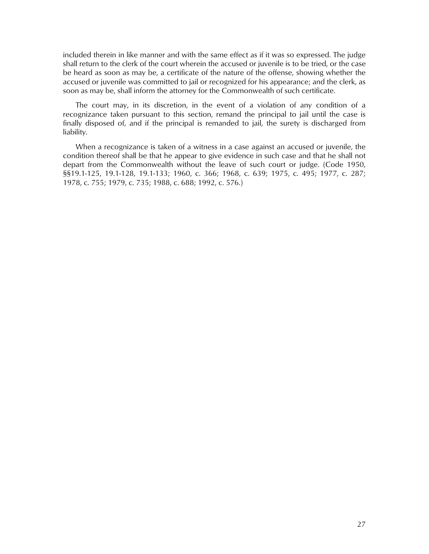included therein in like manner and with the same effect as if it was so expressed. The judge shall return to the clerk of the court wherein the accused or juvenile is to be tried, or the case be heard as soon as may be, a certificate of the nature of the offense, showing whether the accused or juvenile was committed to jail or recognized for his appearance; and the clerk, as soon as may be, shall inform the attorney for the Commonwealth of such certificate.

The court may, in its discretion, in the event of a violation of any condition of a recognizance taken pursuant to this section, remand the principal to jail until the case is finally disposed of, and if the principal is remanded to jail, the surety is discharged from liability.

When a recognizance is taken of a witness in a case against an accused or juvenile, the condition thereof shall be that he appear to give evidence in such case and that he shall not depart from the Commonwealth without the leave of such court or judge. (Code 1950, §§19.1-125, 19.1-128, 19.1-133; 1960, c. 366; 1968, c. 639; 1975, c. 495; 1977, c. 287; 1978, c. 755; 1979, c. 735; 1988, c. 688; 1992, c. 576.)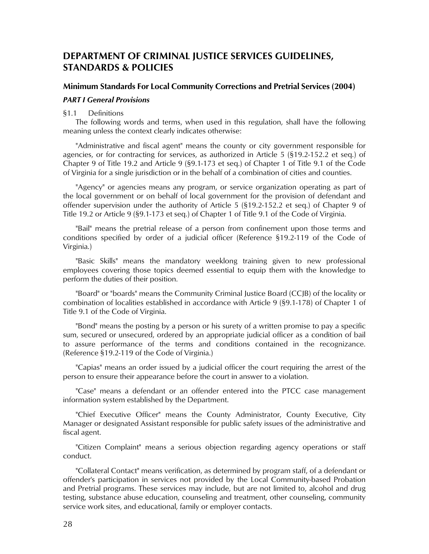## **DEPARTMENT OF CRIMINAL JUSTICE SERVICES GUIDELINES, STANDARDS & POLICIES**

## **Minimum Standards For Local Community Corrections and Pretrial Services (2004)**

#### *PART I General Provisions*

§1.1 Definitions

The following words and terms, when used in this regulation, shall have the following meaning unless the context clearly indicates otherwise:

"Administrative and fiscal agent" means the county or city government responsible for agencies, or for contracting for services, as authorized in Article 5 (§19.2-152.2 et seq.) of Chapter 9 of Title 19.2 and Article 9 (§9.1-173 et seq.) of Chapter 1 of Title 9.1 of the Code of Virginia for a single jurisdiction or in the behalf of a combination of cities and counties.

"Agency" or agencies means any program, or service organization operating as part of the local government or on behalf of local government for the provision of defendant and offender supervision under the authority of Article 5 (§19.2-152.2 et seq.) of Chapter 9 of Title 19.2 or Article 9 (§9.1-173 et seq.) of Chapter 1 of Title 9.1 of the Code of Virginia.

"Bail" means the pretrial release of a person from confinement upon those terms and conditions specified by order of a judicial officer (Reference §19.2-119 of the Code of Virginia.)

"Basic Skills" means the mandatory weeklong training given to new professional employees covering those topics deemed essential to equip them with the knowledge to perform the duties of their position.

"Board" or "boards" means the Community Criminal Justice Board (CCJB) of the locality or combination of localities established in accordance with Article 9 (§9.1-178) of Chapter 1 of Title 9.1 of the Code of Virginia.

"Bond" means the posting by a person or his surety of a written promise to pay a specific sum, secured or unsecured, ordered by an appropriate judicial officer as a condition of bail to assure performance of the terms and conditions contained in the recognizance. (Reference §19.2-119 of the Code of Virginia.)

"Capias" means an order issued by a judicial officer the court requiring the arrest of the person to ensure their appearance before the court in answer to a violation.

"Case" means a defendant or an offender entered into the PTCC case management information system established by the Department.

"Chief Executive Officer" means the County Administrator, County Executive, City Manager or designated Assistant responsible for public safety issues of the administrative and fiscal agent.

"Citizen Complaint" means a serious objection regarding agency operations or staff conduct.

"Collateral Contact" means verification, as determined by program staff, of a defendant or offender's participation in services not provided by the Local Community-based Probation and Pretrial programs. These services may include, but are not limited to, alcohol and drug testing, substance abuse education, counseling and treatment, other counseling, community service work sites, and educational, family or employer contacts.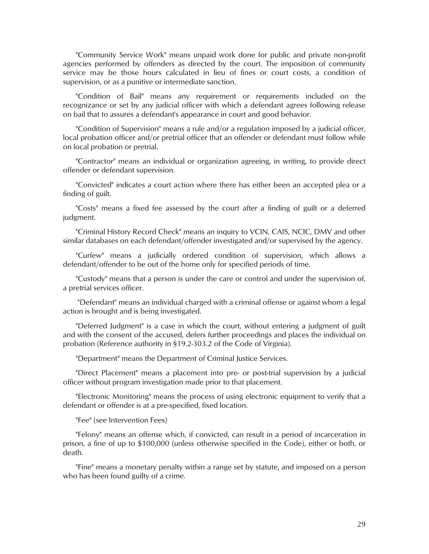"Community Service Work" means unpaid work done for public and private non-profit agencies performed by offenders as directed by the court. The imposition of community service may be those hours calculated in lieu of fines or court costs, a condition of supervision, or as a punitive or intermediate sanction.

"Condition of Bail" means any requirement or requirements included on the recognizance or set by any judicial officer with which a defendant agrees following release on bail that to assures a defendant's appearance in court and good behavior.

"Condition of Supervision" means a rule and/or a regulation imposed by a judicial officer, local probation officer and/or pretrial officer that an offender or defendant must follow while on local probation or pretrial.

"Contractor" means an individual or organization agreeing, in writing, to provide direct offender or defendant supervision.

"Convicted" indicates a court action where there has either been an accepted plea or a finding of guilt.

"Costs" means a fixed fee assessed by the court after a finding of guilt or a deferred judgment.

"Criminal History Record Check" means an inquiry to VCIN, CAIS, NCIC, DMV and other similar databases on each defendant/offender investigated and/or supervised by the agency.

"Curfew" means a judicially ordered condition of supervision, which allows a defendant/offender to be out of the home only for specified periods of time.

"Custody" means that a person is under the care or control and under the supervision of, a pretrial services officer.

 "Defendant" means an individual charged with a criminal offense or against whom a legal action is brought and is being investigated.

"Deferred Judgment" is a case in which the court, without entering a judgment of guilt and with the consent of the accused, defers further proceedings and places the individual on probation (Reference authority in §19.2-303.2 of the Code of Virginia).

"Department" means the Department of Criminal Justice Services.

"Direct Placement" means a placement into pre- or post-trial supervision by a judicial officer without program investigation made prior to that placement.

"Electronic Monitoring" means the process of using electronic equipment to verify that a defendant or offender is at a pre-specified, fixed location.

"Fee" (see Intervention Fees)

"Felony" means an offense which, if convicted, can result in a period of incarceration in prison, a fine of up to \$100,000 (unless otherwise specified in the Code), either or both, or death.

"Fine" means a monetary penalty within a range set by statute, and imposed on a person who has been found guilty of a crime.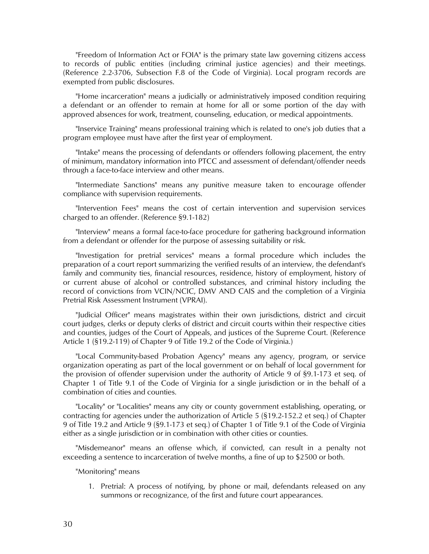"Freedom of Information Act or FOIA" is the primary state law governing citizens access to records of public entities (including criminal justice agencies) and their meetings. (Reference 2.2-3706, Subsection F.8 of the Code of Virginia). Local program records are exempted from public disclosures.

"Home incarceration" means a judicially or administratively imposed condition requiring a defendant or an offender to remain at home for all or some portion of the day with approved absences for work, treatment, counseling, education, or medical appointments.

"Inservice Training" means professional training which is related to one's job duties that a program employee must have after the first year of employment.

"Intake" means the processing of defendants or offenders following placement, the entry of minimum, mandatory information into PTCC and assessment of defendant/offender needs through a face-to-face interview and other means.

"Intermediate Sanctions" means any punitive measure taken to encourage offender compliance with supervision requirements.

"Intervention Fees" means the cost of certain intervention and supervision services charged to an offender. (Reference §9.1-182)

"Interview" means a formal face-to-face procedure for gathering background information from a defendant or offender for the purpose of assessing suitability or risk.

"Investigation for pretrial services" means a formal procedure which includes the preparation of a court report summarizing the verified results of an interview, the defendant's family and community ties, financial resources, residence, history of employment, history of or current abuse of alcohol or controlled substances, and criminal history including the record of convictions from VCIN/NCIC, DMV AND CAIS and the completion of a Virginia Pretrial Risk Assessment Instrument (VPRAI).

"Judicial Officer" means magistrates within their own jurisdictions, district and circuit court judges, clerks or deputy clerks of district and circuit courts within their respective cities and counties, judges of the Court of Appeals, and justices of the Supreme Court. (Reference Article 1 (§19.2-119) of Chapter 9 of Title 19.2 of the Code of Virginia.)

"Local Community-based Probation Agency" means any agency, program, or service organization operating as part of the local government or on behalf of local government for the provision of offender supervision under the authority of Article 9 of §9.1-173 et seq. of Chapter 1 of Title 9.1 of the Code of Virginia for a single jurisdiction or in the behalf of a combination of cities and counties.

"Locality" or "Localities" means any city or county government establishing, operating, or contracting for agencies under the authorization of Article 5 (§19.2-152.2 et seq.) of Chapter 9 of Title 19.2 and Article 9 (§9.1-173 et seq.) of Chapter 1 of Title 9.1 of the Code of Virginia either as a single jurisdiction or in combination with other cities or counties.

"Misdemeanor" means an offense which, if convicted, can result in a penalty not exceeding a sentence to incarceration of twelve months, a fine of up to \$2500 or both.

"Monitoring" means

1. Pretrial: A process of notifying, by phone or mail, defendants released on any summons or recognizance, of the first and future court appearances.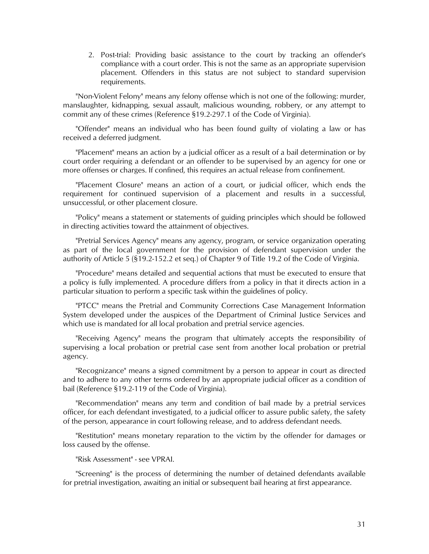2. Post-trial: Providing basic assistance to the court by tracking an offender's compliance with a court order. This is not the same as an appropriate supervision placement. Offenders in this status are not subject to standard supervision requirements.

"Non-Violent Felony" means any felony offense which is not one of the following: murder, manslaughter, kidnapping, sexual assault, malicious wounding, robbery, or any attempt to commit any of these crimes (Reference §19.2-297.1 of the Code of Virginia).

"Offender" means an individual who has been found guilty of violating a law or has received a deferred judgment.

"Placement" means an action by a judicial officer as a result of a bail determination or by court order requiring a defendant or an offender to be supervised by an agency for one or more offenses or charges. If confined, this requires an actual release from confinement.

"Placement Closure" means an action of a court, or judicial officer, which ends the requirement for continued supervision of a placement and results in a successful, unsuccessful, or other placement closure.

"Policy" means a statement or statements of guiding principles which should be followed in directing activities toward the attainment of objectives.

"Pretrial Services Agency" means any agency, program, or service organization operating as part of the local government for the provision of defendant supervision under the authority of Article 5 (§19.2-152.2 et seq.) of Chapter 9 of Title 19.2 of the Code of Virginia.

"Procedure" means detailed and sequential actions that must be executed to ensure that a policy is fully implemented. A procedure differs from a policy in that it directs action in a particular situation to perform a specific task within the guidelines of policy.

"PTCC" means the Pretrial and Community Corrections Case Management Information System developed under the auspices of the Department of Criminal Justice Services and which use is mandated for all local probation and pretrial service agencies.

"Receiving Agency" means the program that ultimately accepts the responsibility of supervising a local probation or pretrial case sent from another local probation or pretrial agency.

"Recognizance" means a signed commitment by a person to appear in court as directed and to adhere to any other terms ordered by an appropriate judicial officer as a condition of bail (Reference §19.2-119 of the Code of Virginia).

"Recommendation" means any term and condition of bail made by a pretrial services officer, for each defendant investigated, to a judicial officer to assure public safety, the safety of the person, appearance in court following release, and to address defendant needs.

"Restitution" means monetary reparation to the victim by the offender for damages or loss caused by the offense.

"Risk Assessment" - see VPRAI.

"Screening" is the process of determining the number of detained defendants available for pretrial investigation, awaiting an initial or subsequent bail hearing at first appearance.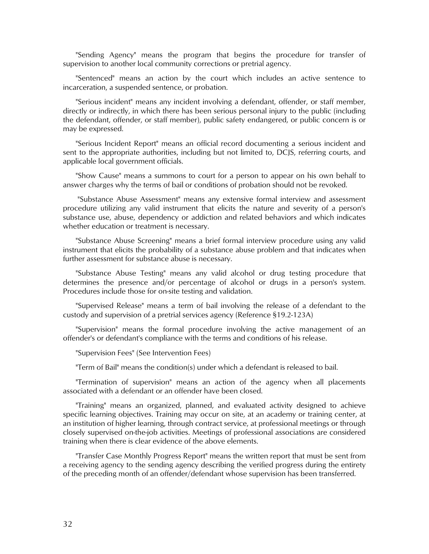"Sending Agency" means the program that begins the procedure for transfer of supervision to another local community corrections or pretrial agency.

"Sentenced" means an action by the court which includes an active sentence to incarceration, a suspended sentence, or probation.

"Serious incident" means any incident involving a defendant, offender, or staff member, directly or indirectly, in which there has been serious personal injury to the public (including the defendant, offender, or staff member), public safety endangered, or public concern is or may be expressed.

"Serious Incident Report" means an official record documenting a serious incident and sent to the appropriate authorities, including but not limited to, DCJS, referring courts, and applicable local government officials.

"Show Cause" means a summons to court for a person to appear on his own behalf to answer charges why the terms of bail or conditions of probation should not be revoked.

"Substance Abuse Assessment" means any extensive formal interview and assessment procedure utilizing any valid instrument that elicits the nature and severity of a person's substance use, abuse, dependency or addiction and related behaviors and which indicates whether education or treatment is necessary.

"Substance Abuse Screening" means a brief formal interview procedure using any valid instrument that elicits the probability of a substance abuse problem and that indicates when further assessment for substance abuse is necessary.

"Substance Abuse Testing" means any valid alcohol or drug testing procedure that determines the presence and/or percentage of alcohol or drugs in a person's system. Procedures include those for on-site testing and validation.

"Supervised Release" means a term of bail involving the release of a defendant to the custody and supervision of a pretrial services agency (Reference §19.2-123A)

"Supervision" means the formal procedure involving the active management of an offender's or defendant's compliance with the terms and conditions of his release.

"Supervision Fees" (See Intervention Fees)

"Term of Bail" means the condition(s) under which a defendant is released to bail.

"Termination of supervision" means an action of the agency when all placements associated with a defendant or an offender have been closed.

"Training" means an organized, planned, and evaluated activity designed to achieve specific learning objectives. Training may occur on site, at an academy or training center, at an institution of higher learning, through contract service, at professional meetings or through closely supervised on-the-job activities. Meetings of professional associations are considered training when there is clear evidence of the above elements.

"Transfer Case Monthly Progress Report" means the written report that must be sent from a receiving agency to the sending agency describing the verified progress during the entirety of the preceding month of an offender/defendant whose supervision has been transferred.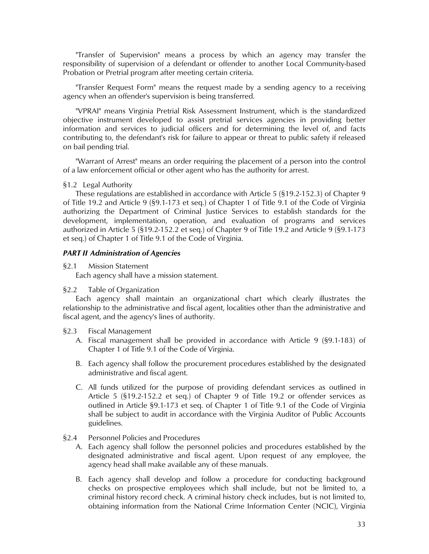"Transfer of Supervision" means a process by which an agency may transfer the responsibility of supervision of a defendant or offender to another Local Community-based Probation or Pretrial program after meeting certain criteria.

"Transfer Request Form" means the request made by a sending agency to a receiving agency when an offender's supervision is being transferred.

"VPRAI" means Virginia Pretrial Risk Assessment Instrument, which is the standardized objective instrument developed to assist pretrial services agencies in providing better information and services to judicial officers and for determining the level of, and facts contributing to, the defendant's risk for failure to appear or threat to public safety if released on bail pending trial.

"Warrant of Arrest" means an order requiring the placement of a person into the control of a law enforcement official or other agent who has the authority for arrest.

#### §1.2 Legal Authority

These regulations are established in accordance with Article 5 (§19.2-152.3) of Chapter 9 of Title 19.2 and Article 9 (§9.1-173 et seq.) of Chapter 1 of Title 9.1 of the Code of Virginia authorizing the Department of Criminal Justice Services to establish standards for the development, implementation, operation, and evaluation of programs and services authorized in Article 5 (§19.2-152.2 et seq.) of Chapter 9 of Title 19.2 and Article 9 (§9.1-173 et seq.) of Chapter 1 of Title 9.1 of the Code of Virginia.

## *PART II Administration of Agencies*

#### §2.1 Mission Statement

Each agency shall have a mission statement.

## §2.2 Table of Organization

Each agency shall maintain an organizational chart which clearly illustrates the relationship to the administrative and fiscal agent, localities other than the administrative and fiscal agent, and the agency's lines of authority.

#### §2.3 Fiscal Management

- A. Fiscal management shall be provided in accordance with Article 9 (§9.1-183) of Chapter 1 of Title 9.1 of the Code of Virginia.
- B. Each agency shall follow the procurement procedures established by the designated administrative and fiscal agent.
- C. All funds utilized for the purpose of providing defendant services as outlined in Article 5 (§19.2-152.2 et seq.) of Chapter 9 of Title 19.2 or offender services as outlined in Article §9.1-173 et seq. of Chapter 1 of Title 9.1 of the Code of Virginia shall be subject to audit in accordance with the Virginia Auditor of Public Accounts guidelines.

#### §2.4 Personnel Policies and Procedures

- A. Each agency shall follow the personnel policies and procedures established by the designated administrative and fiscal agent. Upon request of any employee, the agency head shall make available any of these manuals.
- B. Each agency shall develop and follow a procedure for conducting background checks on prospective employees which shall include, but not be limited to, a criminal history record check. A criminal history check includes, but is not limited to, obtaining information from the National Crime Information Center (NCIC), Virginia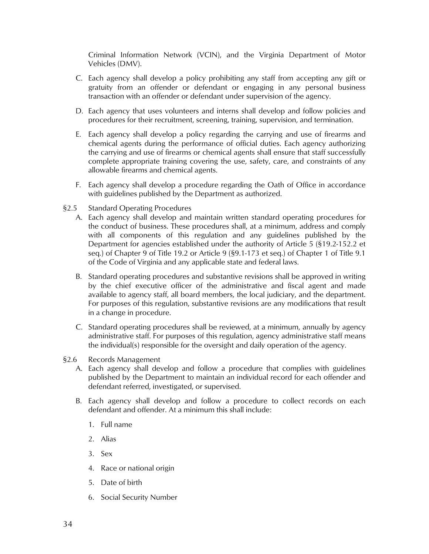Criminal Information Network (VCIN), and the Virginia Department of Motor Vehicles (DMV).

- C. Each agency shall develop a policy prohibiting any staff from accepting any gift or gratuity from an offender or defendant or engaging in any personal business transaction with an offender or defendant under supervision of the agency.
- D. Each agency that uses volunteers and interns shall develop and follow policies and procedures for their recruitment, screening, training, supervision, and termination.
- E. Each agency shall develop a policy regarding the carrying and use of firearms and chemical agents during the performance of official duties. Each agency authorizing the carrying and use of firearms or chemical agents shall ensure that staff successfully complete appropriate training covering the use, safety, care, and constraints of any allowable firearms and chemical agents.
- F. Each agency shall develop a procedure regarding the Oath of Office in accordance with guidelines published by the Department as authorized.
- §2.5 Standard Operating Procedures
	- A. Each agency shall develop and maintain written standard operating procedures for the conduct of business. These procedures shall, at a minimum, address and comply with all components of this regulation and any guidelines published by the Department for agencies established under the authority of Article 5 (§19.2-152.2 et seq.) of Chapter 9 of Title 19.2 or Article 9 (§9.1-173 et seq.) of Chapter 1 of Title 9.1 of the Code of Virginia and any applicable state and federal laws.
	- B. Standard operating procedures and substantive revisions shall be approved in writing by the chief executive officer of the administrative and fiscal agent and made available to agency staff, all board members, the local judiciary, and the department. For purposes of this regulation, substantive revisions are any modifications that result in a change in procedure.
	- C. Standard operating procedures shall be reviewed, at a minimum, annually by agency administrative staff. For purposes of this regulation, agency administrative staff means the individual(s) responsible for the oversight and daily operation of the agency.
- §2.6 Records Management
	- A. Each agency shall develop and follow a procedure that complies with guidelines published by the Department to maintain an individual record for each offender and defendant referred, investigated, or supervised.
	- B. Each agency shall develop and follow a procedure to collect records on each defendant and offender. At a minimum this shall include:
		- 1. Full name
		- 2. Alias
		- 3. Sex
		- 4. Race or national origin
		- 5. Date of birth
		- 6. Social Security Number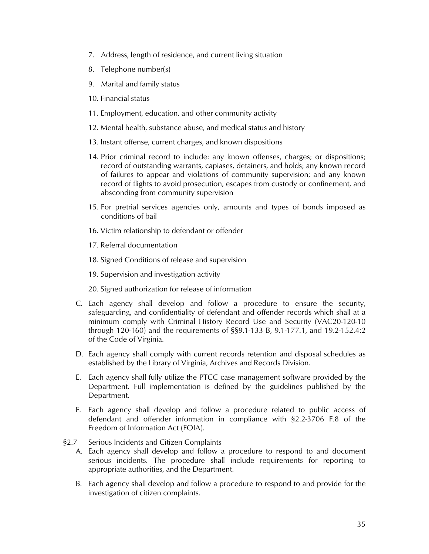- 7. Address, length of residence, and current living situation
- 8. Telephone number(s)
- 9. Marital and family status
- 10. Financial status
- 11. Employment, education, and other community activity
- 12. Mental health, substance abuse, and medical status and history
- 13. Instant offense, current charges, and known dispositions
- 14. Prior criminal record to include: any known offenses, charges; or dispositions; record of outstanding warrants, capiases, detainers, and holds; any known record of failures to appear and violations of community supervision; and any known record of flights to avoid prosecution, escapes from custody or confinement, and absconding from community supervision
- 15. For pretrial services agencies only, amounts and types of bonds imposed as conditions of bail
- 16. Victim relationship to defendant or offender
- 17. Referral documentation
- 18. Signed Conditions of release and supervision
- 19. Supervision and investigation activity
- 20. Signed authorization for release of information
- C. Each agency shall develop and follow a procedure to ensure the security, safeguarding, and confidentiality of defendant and offender records which shall at a minimum comply with Criminal History Record Use and Security (VAC20-120-10 through 120-160) and the requirements of §§9.1-133 B, 9.1-177.1, and 19.2-152.4:2 of the Code of Virginia.
- D. Each agency shall comply with current records retention and disposal schedules as established by the Library of Virginia, Archives and Records Division.
- E. Each agency shall fully utilize the PTCC case management software provided by the Department. Full implementation is defined by the guidelines published by the Department.
- F. Each agency shall develop and follow a procedure related to public access of defendant and offender information in compliance with §2.2-3706 F.8 of the Freedom of Information Act (FOIA).
- §2.7 Serious Incidents and Citizen Complaints
	- A. Each agency shall develop and follow a procedure to respond to and document serious incidents. The procedure shall include requirements for reporting to appropriate authorities, and the Department.
	- B. Each agency shall develop and follow a procedure to respond to and provide for the investigation of citizen complaints.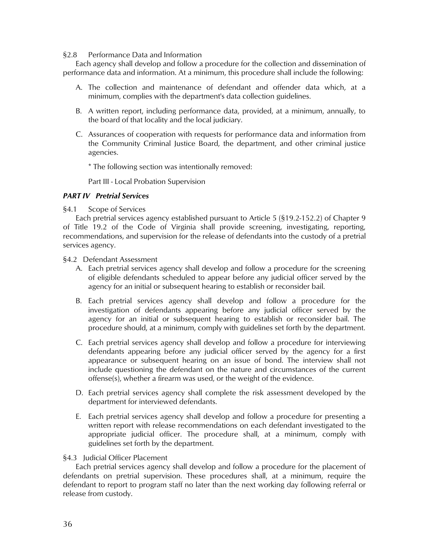## §2.8 Performance Data and Information

Each agency shall develop and follow a procedure for the collection and dissemination of performance data and information. At a minimum, this procedure shall include the following:

- A. The collection and maintenance of defendant and offender data which, at a minimum, complies with the department's data collection guidelines.
- B. A written report, including performance data, provided, at a minimum, annually, to the board of that locality and the local judiciary.
- C. Assurances of cooperation with requests for performance data and information from the Community Criminal Justice Board, the department, and other criminal justice agencies.

\* The following section was intentionally removed:

Part III - Local Probation Supervision

## *PART IV Pretrial Services*

#### §4.1 Scope of Services

Each pretrial services agency established pursuant to Article 5 (§19.2-152.2) of Chapter 9 of Title 19.2 of the Code of Virginia shall provide screening, investigating, reporting, recommendations, and supervision for the release of defendants into the custody of a pretrial services agency.

#### §4.2 Defendant Assessment

- A. Each pretrial services agency shall develop and follow a procedure for the screening of eligible defendants scheduled to appear before any judicial officer served by the agency for an initial or subsequent hearing to establish or reconsider bail.
- B. Each pretrial services agency shall develop and follow a procedure for the investigation of defendants appearing before any judicial officer served by the agency for an initial or subsequent hearing to establish or reconsider bail. The procedure should, at a minimum, comply with guidelines set forth by the department.
- C. Each pretrial services agency shall develop and follow a procedure for interviewing defendants appearing before any judicial officer served by the agency for a first appearance or subsequent hearing on an issue of bond. The interview shall not include questioning the defendant on the nature and circumstances of the current offense(s), whether a firearm was used, or the weight of the evidence.
- D. Each pretrial services agency shall complete the risk assessment developed by the department for interviewed defendants.
- E. Each pretrial services agency shall develop and follow a procedure for presenting a written report with release recommendations on each defendant investigated to the appropriate judicial officer. The procedure shall, at a minimum, comply with guidelines set forth by the department.

## §4.3 Judicial Officer Placement

Each pretrial services agency shall develop and follow a procedure for the placement of defendants on pretrial supervision. These procedures shall, at a minimum, require the defendant to report to program staff no later than the next working day following referral or release from custody.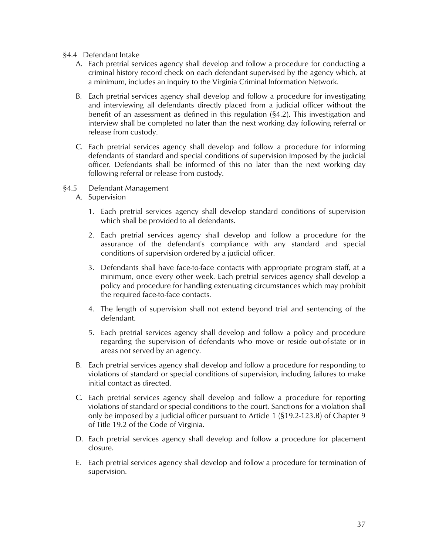- §4.4 Defendant Intake
	- A. Each pretrial services agency shall develop and follow a procedure for conducting a criminal history record check on each defendant supervised by the agency which, at a minimum, includes an inquiry to the Virginia Criminal Information Network.
	- B. Each pretrial services agency shall develop and follow a procedure for investigating and interviewing all defendants directly placed from a judicial officer without the benefit of an assessment as defined in this regulation (§4.2). This investigation and interview shall be completed no later than the next working day following referral or release from custody.
	- C. Each pretrial services agency shall develop and follow a procedure for informing defendants of standard and special conditions of supervision imposed by the judicial officer. Defendants shall be informed of this no later than the next working day following referral or release from custody.
- §4.5 Defendant Management
	- A. Supervision
		- 1. Each pretrial services agency shall develop standard conditions of supervision which shall be provided to all defendants.
		- 2. Each pretrial services agency shall develop and follow a procedure for the assurance of the defendant's compliance with any standard and special conditions of supervision ordered by a judicial officer.
		- 3. Defendants shall have face-to-face contacts with appropriate program staff, at a minimum, once every other week. Each pretrial services agency shall develop a policy and procedure for handling extenuating circumstances which may prohibit the required face-to-face contacts.
		- 4. The length of supervision shall not extend beyond trial and sentencing of the defendant.
		- 5. Each pretrial services agency shall develop and follow a policy and procedure regarding the supervision of defendants who move or reside out-of-state or in areas not served by an agency.
	- B. Each pretrial services agency shall develop and follow a procedure for responding to violations of standard or special conditions of supervision, including failures to make initial contact as directed.
	- C. Each pretrial services agency shall develop and follow a procedure for reporting violations of standard or special conditions to the court. Sanctions for a violation shall only be imposed by a judicial officer pursuant to Article 1 (§19.2-123.B) of Chapter 9 of Title 19.2 of the Code of Virginia.
	- D. Each pretrial services agency shall develop and follow a procedure for placement closure.
	- E. Each pretrial services agency shall develop and follow a procedure for termination of supervision.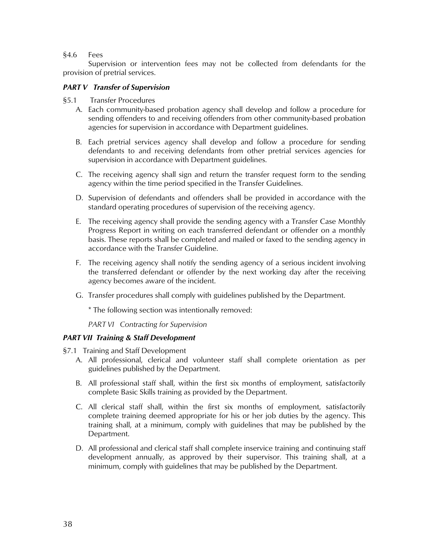## §4.6 Fees

Supervision or intervention fees may not be collected from defendants for the provision of pretrial services.

# *PART V Transfer of Supervision*

- §5.1 Transfer Procedures
	- A. Each community-based probation agency shall develop and follow a procedure for sending offenders to and receiving offenders from other community-based probation agencies for supervision in accordance with Department guidelines.
	- B. Each pretrial services agency shall develop and follow a procedure for sending defendants to and receiving defendants from other pretrial services agencies for supervision in accordance with Department guidelines.
	- C. The receiving agency shall sign and return the transfer request form to the sending agency within the time period specified in the Transfer Guidelines.
	- D. Supervision of defendants and offenders shall be provided in accordance with the standard operating procedures of supervision of the receiving agency.
	- E. The receiving agency shall provide the sending agency with a Transfer Case Monthly Progress Report in writing on each transferred defendant or offender on a monthly basis. These reports shall be completed and mailed or faxed to the sending agency in accordance with the Transfer Guideline.
	- F. The receiving agency shall notify the sending agency of a serious incident involving the transferred defendant or offender by the next working day after the receiving agency becomes aware of the incident.
	- G. Transfer procedures shall comply with guidelines published by the Department.

\* The following section was intentionally removed:

*PART VI Contracting for Supervision*

## *PART VII Training & Staff Development*

- §7.1 Training and Staff Development
	- A. All professional, clerical and volunteer staff shall complete orientation as per guidelines published by the Department.
	- B. All professional staff shall, within the first six months of employment, satisfactorily complete Basic Skills training as provided by the Department.
	- C. All clerical staff shall, within the first six months of employment, satisfactorily complete training deemed appropriate for his or her job duties by the agency. This training shall, at a minimum, comply with guidelines that may be published by the Department.
	- D. All professional and clerical staff shall complete inservice training and continuing staff development annually, as approved by their supervisor. This training shall, at a minimum, comply with guidelines that may be published by the Department.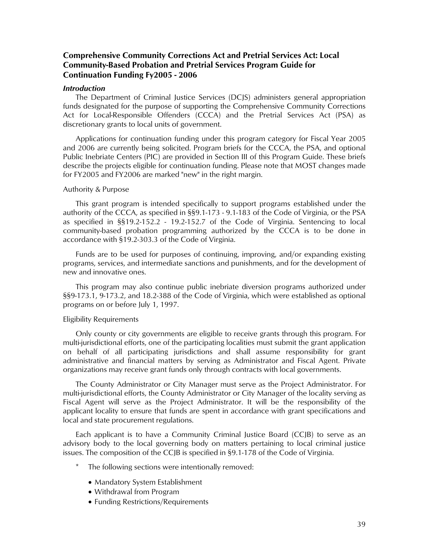# **Comprehensive Community Corrections Act and Pretrial Services Act: Local Community-Based Probation and Pretrial Services Program Guide for Continuation Funding Fy2005 - 2006**

## *Introduction*

The Department of Criminal Justice Services (DCJS) administers general appropriation funds designated for the purpose of supporting the Comprehensive Community Corrections Act for Local-Responsible Offenders (CCCA) and the Pretrial Services Act (PSA) as discretionary grants to local units of government.

Applications for continuation funding under this program category for Fiscal Year 2005 and 2006 are currently being solicited. Program briefs for the CCCA, the PSA, and optional Public Inebriate Centers (PIC) are provided in Section III of this Program Guide. These briefs describe the projects eligible for continuation funding. Please note that MOST changes made for FY2005 and FY2006 are marked "new" in the right margin.

#### Authority & Purpose

This grant program is intended specifically to support programs established under the authority of the CCCA, as specified in §§9.1-173 - 9.1-183 of the Code of Virginia, or the PSA as specified in §§19.2-152.2 - 19.2-152.7 of the Code of Virginia. Sentencing to local community-based probation programming authorized by the CCCA is to be done in accordance with §19.2-303.3 of the Code of Virginia.

Funds are to be used for purposes of continuing, improving, and/or expanding existing programs, services, and intermediate sanctions and punishments, and for the development of new and innovative ones.

This program may also continue public inebriate diversion programs authorized under §§9-173.1, 9-173.2, and 18.2-388 of the Code of Virginia, which were established as optional programs on or before July 1, 1997.

#### Eligibility Requirements

Only county or city governments are eligible to receive grants through this program. For multi-jurisdictional efforts, one of the participating localities must submit the grant application on behalf of all participating jurisdictions and shall assume responsibility for grant administrative and financial matters by serving as Administrator and Fiscal Agent. Private organizations may receive grant funds only through contracts with local governments.

The County Administrator or City Manager must serve as the Project Administrator. For multi-jurisdictional efforts, the County Administrator or City Manager of the locality serving as Fiscal Agent will serve as the Project Administrator. It will be the responsibility of the applicant locality to ensure that funds are spent in accordance with grant specifications and local and state procurement regulations.

Each applicant is to have a Community Criminal Justice Board (CCJB) to serve as an advisory body to the local governing body on matters pertaining to local criminal justice issues. The composition of the CCJB is specified in §9.1-178 of the Code of Virginia.

- The following sections were intentionally removed:
	- Mandatory System Establishment
	- Withdrawal from Program
	- Funding Restrictions/Requirements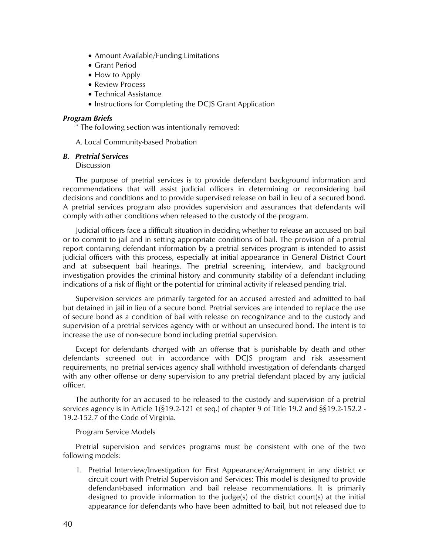- Amount Available/Funding Limitations
- Grant Period
- $\bullet$  How to Apply
- Review Process
- Technical Assistance
- Instructions for Completing the DCJS Grant Application

#### *Program Briefs*

\* The following section was intentionally removed:

A. Local Community-based Probation

#### *B. Pretrial Services*

Discussion

The purpose of pretrial services is to provide defendant background information and recommendations that will assist judicial officers in determining or reconsidering bail decisions and conditions and to provide supervised release on bail in lieu of a secured bond. A pretrial services program also provides supervision and assurances that defendants will comply with other conditions when released to the custody of the program.

Judicial officers face a difficult situation in deciding whether to release an accused on bail or to commit to jail and in setting appropriate conditions of bail. The provision of a pretrial report containing defendant information by a pretrial services program is intended to assist judicial officers with this process, especially at initial appearance in General District Court and at subsequent bail hearings. The pretrial screening, interview, and background investigation provides the criminal history and community stability of a defendant including indications of a risk of flight or the potential for criminal activity if released pending trial.

Supervision services are primarily targeted for an accused arrested and admitted to bail but detained in jail in lieu of a secure bond. Pretrial services are intended to replace the use of secure bond as a condition of bail with release on recognizance and to the custody and supervision of a pretrial services agency with or without an unsecured bond. The intent is to increase the use of non-secure bond including pretrial supervision.

Except for defendants charged with an offense that is punishable by death and other defendants screened out in accordance with DCJS program and risk assessment requirements, no pretrial services agency shall withhold investigation of defendants charged with any other offense or deny supervision to any pretrial defendant placed by any judicial officer.

The authority for an accused to be released to the custody and supervision of a pretrial services agency is in Article 1(§19.2-121 et seq.) of chapter 9 of Title 19.2 and §§19.2-152.2 - 19.2-152.7 of the Code of Virginia.

#### Program Service Models

Pretrial supervision and services programs must be consistent with one of the two following models:

1. Pretrial Interview/Investigation for First Appearance/Arraignment in any district or circuit court with Pretrial Supervision and Services: This model is designed to provide defendant-based information and bail release recommendations. It is primarily designed to provide information to the judge(s) of the district court(s) at the initial appearance for defendants who have been admitted to bail, but not released due to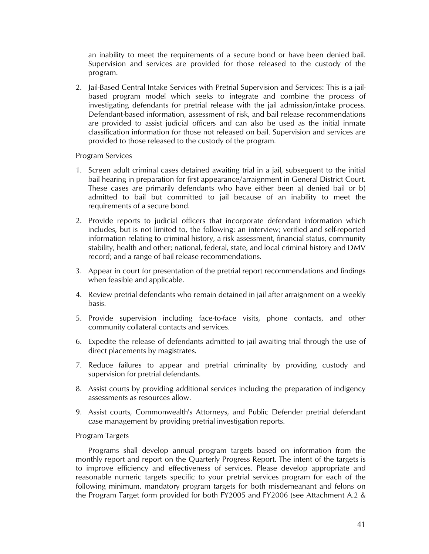an inability to meet the requirements of a secure bond or have been denied bail. Supervision and services are provided for those released to the custody of the program.

2. Jail-Based Central Intake Services with Pretrial Supervision and Services: This is a jailbased program model which seeks to integrate and combine the process of investigating defendants for pretrial release with the jail admission/intake process. Defendant-based information, assessment of risk, and bail release recommendations are provided to assist judicial officers and can also be used as the initial inmate classification information for those not released on bail. Supervision and services are provided to those released to the custody of the program.

#### Program Services

- 1. Screen adult criminal cases detained awaiting trial in a jail, subsequent to the initial bail hearing in preparation for first appearance/arraignment in General District Court. These cases are primarily defendants who have either been a) denied bail or b) admitted to bail but committed to jail because of an inability to meet the requirements of a secure bond.
- 2. Provide reports to judicial officers that incorporate defendant information which includes, but is not limited to, the following: an interview; verified and self-reported information relating to criminal history, a risk assessment, financial status, community stability, health and other; national, federal, state, and local criminal history and DMV record; and a range of bail release recommendations.
- 3. Appear in court for presentation of the pretrial report recommendations and findings when feasible and applicable.
- 4. Review pretrial defendants who remain detained in jail after arraignment on a weekly basis.
- 5. Provide supervision including face-to-face visits, phone contacts, and other community collateral contacts and services.
- 6. Expedite the release of defendants admitted to jail awaiting trial through the use of direct placements by magistrates.
- 7. Reduce failures to appear and pretrial criminality by providing custody and supervision for pretrial defendants.
- 8. Assist courts by providing additional services including the preparation of indigency assessments as resources allow.
- 9. Assist courts, Commonwealth's Attorneys, and Public Defender pretrial defendant case management by providing pretrial investigation reports.

#### Program Targets

Programs shall develop annual program targets based on information from the monthly report and report on the Quarterly Progress Report. The intent of the targets is to improve efficiency and effectiveness of services. Please develop appropriate and reasonable numeric targets specific to your pretrial services program for each of the following minimum, mandatory program targets for both misdemeanant and felons on the Program Target form provided for both FY2005 and FY2006 (see Attachment A.2 &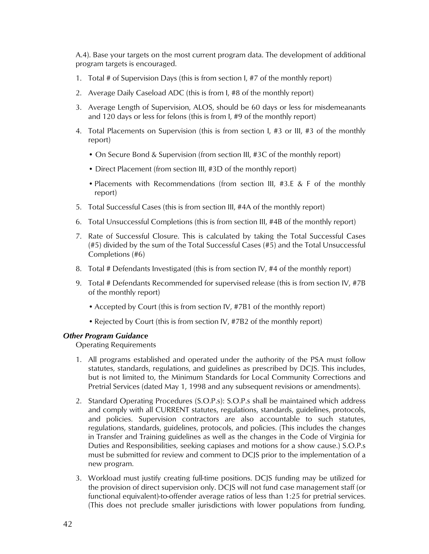A.4). Base your targets on the most current program data. The development of additional program targets is encouraged.

- 1. Total # of Supervision Days (this is from section I, #7 of the monthly report)
- 2. Average Daily Caseload ADC (this is from I, #8 of the monthly report)
- 3. Average Length of Supervision, ALOS, should be 60 days or less for misdemeanants and 120 days or less for felons (this is from I, #9 of the monthly report)
- 4. Total Placements on Supervision (this is from section I, #3 or III, #3 of the monthly report)
	- On Secure Bond & Supervision (from section III, #3C of the monthly report)
	- Direct Placement (from section III, #3D of the monthly report)
	- Placements with Recommendations (from section III, #3.E & F of the monthly report)
- 5. Total Successful Cases (this is from section III, #4A of the monthly report)
- 6. Total Unsuccessful Completions (this is from section III, #4B of the monthly report)
- 7. Rate of Successful Closure. This is calculated by taking the Total Successful Cases (#5) divided by the sum of the Total Successful Cases (#5) and the Total Unsuccessful Completions (#6)
- 8. Total # Defendants Investigated (this is from section IV, #4 of the monthly report)
- 9. Total # Defendants Recommended for supervised release (this is from section IV, #7B of the monthly report)
	- Accepted by Court (this is from section IV, #7B1 of the monthly report)
	- Rejected by Court (this is from section IV, #7B2 of the monthly report)

## *Other Program Guidance*

Operating Requirements

- 1. All programs established and operated under the authority of the PSA must follow statutes, standards, regulations, and guidelines as prescribed by DCJS. This includes, but is not limited to, the Minimum Standards for Local Community Corrections and Pretrial Services (dated May 1, 1998 and any subsequent revisions or amendments).
- 2. Standard Operating Procedures (S.O.P.s): S.O.P.s shall be maintained which address and comply with all CURRENT statutes, regulations, standards, guidelines, protocols, and policies. Supervision contractors are also accountable to such statutes, regulations, standards, guidelines, protocols, and policies. (This includes the changes in Transfer and Training guidelines as well as the changes in the Code of Virginia for Duties and Responsibilities, seeking capiases and motions for a show cause.) S.O.P.s must be submitted for review and comment to DCJS prior to the implementation of a new program.
- 3. Workload must justify creating full-time positions. DCJS funding may be utilized for the provision of direct supervision only. DCJS will not fund case management staff (or functional equivalent)-to-offender average ratios of less than 1:25 for pretrial services. (This does not preclude smaller jurisdictions with lower populations from funding.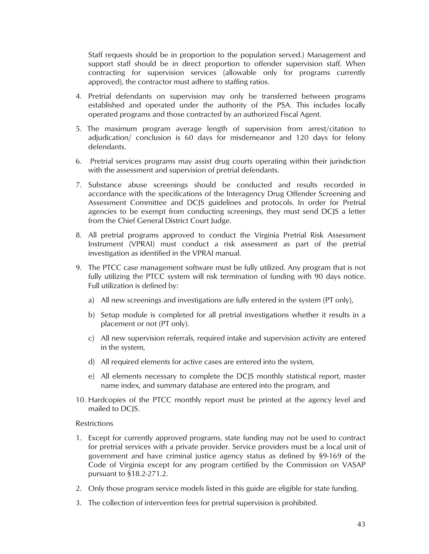Staff requests should be in proportion to the population served.) Management and support staff should be in direct proportion to offender supervision staff. When contracting for supervision services (allowable only for programs currently approved), the contractor must adhere to staffing ratios.

- 4. Pretrial defendants on supervision may only be transferred between programs established and operated under the authority of the PSA. This includes locally operated programs and those contracted by an authorized Fiscal Agent.
- 5. The maximum program average length of supervision from arrest/citation to adjudication/ conclusion is 60 days for misdemeanor and 120 days for felony defendants.
- 6. Pretrial services programs may assist drug courts operating within their jurisdiction with the assessment and supervision of pretrial defendants.
- 7. Substance abuse screenings should be conducted and results recorded in accordance with the specifications of the Interagency Drug Offender Screening and Assessment Committee and DCJS guidelines and protocols. In order for Pretrial agencies to be exempt from conducting screenings, they must send DCJS a letter from the Chief General District Court Judge.
- 8. All pretrial programs approved to conduct the Virginia Pretrial Risk Assessment Instrument (VPRAI) must conduct a risk assessment as part of the pretrial investigation as identified in the VPRAI manual.
- 9. The PTCC case management software must be fully utilized. Any program that is not fully utilizing the PTCC system will risk termination of funding with 90 days notice. Full utilization is defined by:
	- a) All new screenings and investigations are fully entered in the system (PT only),
	- b) Setup module is completed for all pretrial investigations whether it results in a placement or not (PT only).
	- c) All new supervision referrals, required intake and supervision activity are entered in the system,
	- d) All required elements for active cases are entered into the system,
	- e) All elements necessary to complete the DCJS monthly statistical report, master name index, and summary database are entered into the program, and
- 10. Hardcopies of the PTCC monthly report must be printed at the agency level and mailed to DCJS.

#### **Restrictions**

- 1. Except for currently approved programs, state funding may not be used to contract for pretrial services with a private provider. Service providers must be a local unit of government and have criminal justice agency status as defined by §9-169 of the Code of Virginia except for any program certified by the Commission on VASAP pursuant to §18.2-271.2.
- 2. Only those program service models listed in this guide are eligible for state funding.
- 3. The collection of intervention fees for pretrial supervision is prohibited.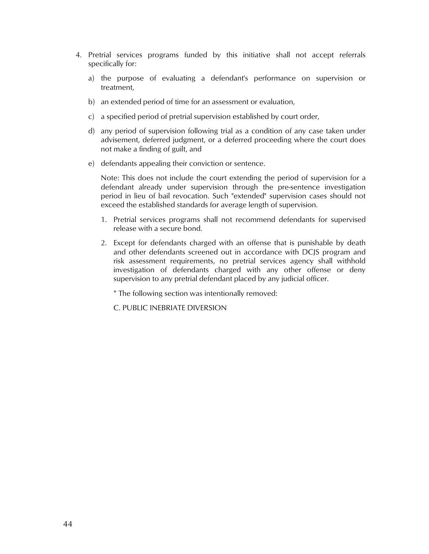- 4. Pretrial services programs funded by this initiative shall not accept referrals specifically for:
	- a) the purpose of evaluating a defendant's performance on supervision or treatment,
	- b) an extended period of time for an assessment or evaluation,
	- c) a specified period of pretrial supervision established by court order,
	- d) any period of supervision following trial as a condition of any case taken under advisement, deferred judgment, or a deferred proceeding where the court does not make a finding of guilt, and
	- e) defendants appealing their conviction or sentence.

Note: This does not include the court extending the period of supervision for a defendant already under supervision through the pre-sentence investigation period in lieu of bail revocation. Such "extended" supervision cases should not exceed the established standards for average length of supervision.

- 1. Pretrial services programs shall not recommend defendants for supervised release with a secure bond.
- 2. Except for defendants charged with an offense that is punishable by death and other defendants screened out in accordance with DCJS program and risk assessment requirements, no pretrial services agency shall withhold investigation of defendants charged with any other offense or deny supervision to any pretrial defendant placed by any judicial officer.

\* The following section was intentionally removed:

C. PUBLIC INEBRIATE DIVERSION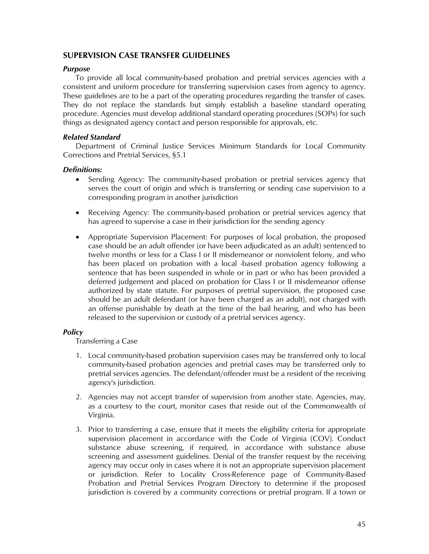# **SUPERVISION CASE TRANSFER GUIDELINES**

## *Purpose*

To provide all local community-based probation and pretrial services agencies with a consistent and uniform procedure for transferring supervision cases from agency to agency. These guidelines are to be a part of the operating procedures regarding the transfer of cases. They do not replace the standards but simply establish a baseline standard operating procedure. Agencies must develop additional standard operating procedures (SOPs) for such things as designated agency contact and person responsible for approvals, etc.

# *Related Standard*

Department of Criminal Justice Services Minimum Standards for Local Community Corrections and Pretrial Services, §5.1

## *Definitions:*

- Sending Agency: The community-based probation or pretrial services agency that serves the court of origin and which is transferring or sending case supervision to a corresponding program in another jurisdiction
- Receiving Agency: The community-based probation or pretrial services agency that has agreed to supervise a case in their jurisdiction for the sending agency
- Appropriate Supervision Placement: For purposes of local probation, the proposed case should be an adult offender (or have been adjudicated as an adult) sentenced to twelve months or less for a Class I or II misdemeanor or nonviolent felony, and who has been placed on probation with a local -based probation agency following a sentence that has been suspended in whole or in part or who has been provided a deferred judgement and placed on probation for Class I or II misdemeanor offense authorized by state statute. For purposes of pretrial supervision, the proposed case should be an adult defendant (or have been charged as an adult), not charged with an offense punishable by death at the time of the bail hearing, and who has been released to the supervision or custody of a pretrial services agency.

## *Policy*

Transferring a Case

- 1. Local community-based probation supervision cases may be transferred only to local community-based probation agencies and pretrial cases may be transferred only to pretrial services agencies. The defendant/offender must be a resident of the receiving agency's jurisdiction.
- 2. Agencies may not accept transfer of supervision from another state. Agencies, may, as a courtesy to the court, monitor cases that reside out of the Commonwealth of Virginia.
- 3. Prior to transferring a case, ensure that it meets the eligibility criteria for appropriate supervision placement in accordance with the Code of Virginia (COV). Conduct substance abuse screening, if required, in accordance with substance abuse screening and assessment guidelines. Denial of the transfer request by the receiving agency may occur only in cases where it is not an appropriate supervision placement or jurisdiction. Refer to Locality Cross-Reference page of Community-Based Probation and Pretrial Services Program Directory to determine if the proposed jurisdiction is covered by a community corrections or pretrial program. If a town or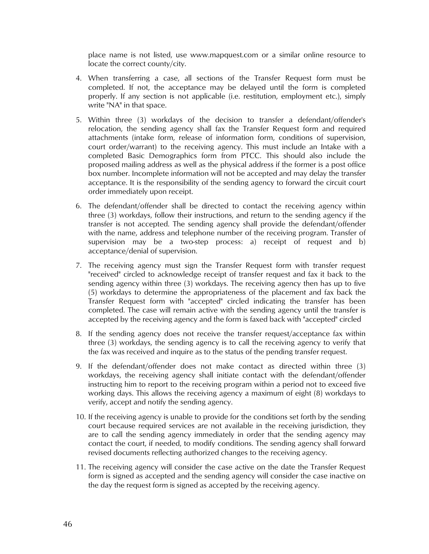place name is not listed, use www.mapquest.com or a similar online resource to locate the correct county/city.

- 4. When transferring a case, all sections of the Transfer Request form must be completed. If not, the acceptance may be delayed until the form is completed properly. If any section is not applicable (i.e. restitution, employment etc.), simply write "NA" in that space.
- 5. Within three (3) workdays of the decision to transfer a defendant/offender's relocation, the sending agency shall fax the Transfer Request form and required attachments (intake form, release of information form, conditions of supervision, court order/warrant) to the receiving agency. This must include an Intake with a completed Basic Demographics form from PTCC. This should also include the proposed mailing address as well as the physical address if the former is a post office box number. Incomplete information will not be accepted and may delay the transfer acceptance. It is the responsibility of the sending agency to forward the circuit court order immediately upon receipt.
- 6. The defendant/offender shall be directed to contact the receiving agency within three (3) workdays, follow their instructions, and return to the sending agency if the transfer is not accepted. The sending agency shall provide the defendant/offender with the name, address and telephone number of the receiving program. Transfer of supervision may be a two-step process: a) receipt of request and b) acceptance/denial of supervision.
- 7. The receiving agency must sign the Transfer Request form with transfer request "received" circled to acknowledge receipt of transfer request and fax it back to the sending agency within three (3) workdays. The receiving agency then has up to five (5) workdays to determine the appropriateness of the placement and fax back the Transfer Request form with "accepted" circled indicating the transfer has been completed. The case will remain active with the sending agency until the transfer is accepted by the receiving agency and the form is faxed back with "accepted" circled
- 8. If the sending agency does not receive the transfer request/acceptance fax within three (3) workdays, the sending agency is to call the receiving agency to verify that the fax was received and inquire as to the status of the pending transfer request.
- 9. If the defendant/offender does not make contact as directed within three (3) workdays, the receiving agency shall initiate contact with the defendant/offender instructing him to report to the receiving program within a period not to exceed five working days. This allows the receiving agency a maximum of eight (8) workdays to verify, accept and notify the sending agency.
- 10. If the receiving agency is unable to provide for the conditions set forth by the sending court because required services are not available in the receiving jurisdiction, they are to call the sending agency immediately in order that the sending agency may contact the court, if needed, to modify conditions. The sending agency shall forward revised documents reflecting authorized changes to the receiving agency.
- 11. The receiving agency will consider the case active on the date the Transfer Request form is signed as accepted and the sending agency will consider the case inactive on the day the request form is signed as accepted by the receiving agency.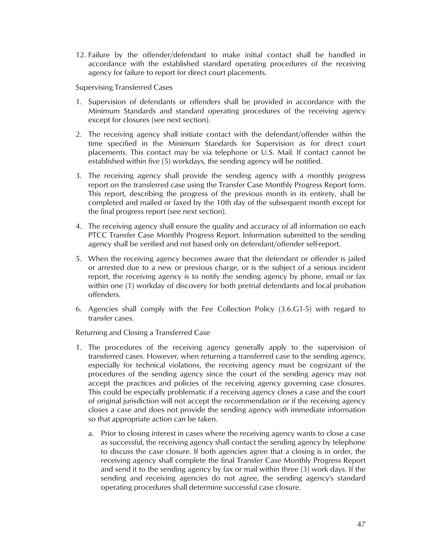12. Failure by the offender/defendant to make initial contact shall be handled in accordance with the established standard operating procedures of the receiving agency for failure to report for direct court placements.

Supervising Transferred Cases

- 1. Supervision of defendants or offenders shall be provided in accordance with the Minimum Standards and standard operating procedures of the receiving agency except for closures (see next section).
- 2. The receiving agency shall initiate contact with the defendant/offender within the time specified in the Minimum Standards for Supervision as for direct court placements. This contact may be via telephone or U.S. Mail. If contact cannot be established within five (5) workdays, the sending agency will be notified.
- 3. The receiving agency shall provide the sending agency with a monthly progress report on the transferred case using the Transfer Case Monthly Progress Report form. This report, describing the progress of the previous month in its entirety, shall be completed and mailed or faxed by the 10th day of the subsequent month except for the final progress report (see next section).
- 4. The receiving agency shall ensure the quality and accuracy of all information on each PTCC Transfer Case Monthly Progress Report. Information submitted to the sending agency shall be verified and not based only on defendant/offender self-report.
- 5. When the receiving agency becomes aware that the defendant or offender is jailed or arrested due to a new or previous charge, or is the subject of a serious incident report, the receiving agency is to notify the sending agency by phone, email or fax within one (1) workday of discovery for both pretrial defendants and local probation offenders.
- 6. Agencies shall comply with the Fee Collection Policy (3.6.G1-5) with regard to transfer cases.

Returning and Closing a Transferred Case

- 1. The procedures of the receiving agency generally apply to the supervision of transferred cases. However, when returning a transferred case to the sending agency, especially for technical violations, the receiving agency must be cognizant of the procedures of the sending agency since the court of the sending agency may not accept the practices and policies of the receiving agency governing case closures. This could be especially problematic if a receiving agency closes a case and the court of original jurisdiction will not accept the recommendation or if the receiving agency closes a case and does not provide the sending agency with immediate information so that appropriate action can be taken.
	- a. Prior to closing interest in cases where the receiving agency wants to close a case as successful, the receiving agency shall contact the sending agency by telephone to discuss the case closure. If both agencies agree that a closing is in order, the receiving agency shall complete the final Transfer Case Monthly Progress Report and send it to the sending agency by fax or mail within three (3) work days. If the sending and receiving agencies do not agree, the sending agency's standard operating procedures shall determine successful case closure.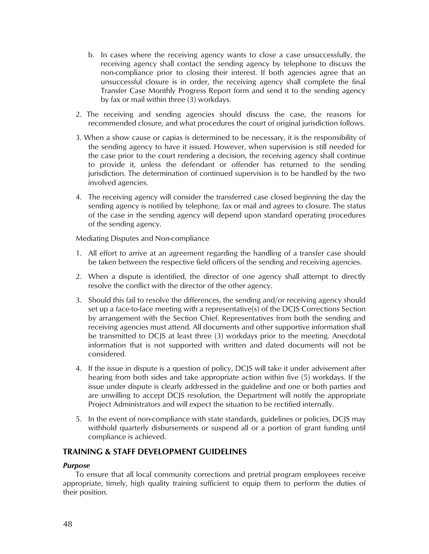- b. In cases where the receiving agency wants to close a case unsuccessfully, the receiving agency shall contact the sending agency by telephone to discuss the non-compliance prior to closing their interest. If both agencies agree that an unsuccessful closure is in order, the receiving agency shall complete the final Transfer Case Monthly Progress Report form and send it to the sending agency by fax or mail within three (3) workdays.
- 2. The receiving and sending agencies should discuss the case, the reasons for recommended closure, and what procedures the court of original jurisdiction follows.
- 3. When a show cause or capias is determined to be necessary, it is the responsibility of the sending agency to have it issued. However, when supervision is still needed for the case prior to the court rendering a decision, the receiving agency shall continue to provide it, unless the defendant or offender has returned to the sending jurisdiction. The determination of continued supervision is to be handled by the two involved agencies.
- 4. The receiving agency will consider the transferred case closed beginning the day the sending agency is notified by telephone, fax or mail and agrees to closure. The status of the case in the sending agency will depend upon standard operating procedures of the sending agency.

Mediating Disputes and Non-compliance

- 1. All effort to arrive at an agreement regarding the handling of a transfer case should be taken between the respective field officers of the sending and receiving agencies.
- 2. When a dispute is identified, the director of one agency shall attempt to directly resolve the conflict with the director of the other agency.
- 3. Should this fail to resolve the differences, the sending and/or receiving agency should set up a face-to-face meeting with a representative(s) of the DCJS Corrections Section by arrangement with the Section Chief. Representatives from both the sending and receiving agencies must attend. All documents and other supportive information shall be transmitted to DCJS at least three (3) workdays prior to the meeting. Anecdotal information that is not supported with written and dated documents will not be considered.
- 4. If the issue in dispute is a question of policy, DCJS will take it under advisement after hearing from both sides and take appropriate action within five (5) workdays. If the issue under dispute is clearly addressed in the guideline and one or both parties and are unwilling to accept DCJS resolution, the Department will notify the appropriate Project Administrators and will expect the situation to be rectified internally.
- 5. In the event of non-compliance with state standards, guidelines or policies, DCJS may withhold quarterly disbursements or suspend all or a portion of grant funding until compliance is achieved.

# **TRAINING & STAFF DEVELOPMENT GUIDELINES**

## *Purpose*

To ensure that all local community corrections and pretrial program employees receive appropriate, timely, high quality training sufficient to equip them to perform the duties of their position.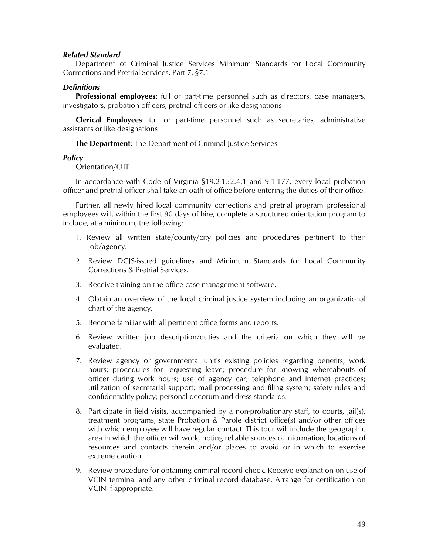## *Related Standard*

Department of Criminal Justice Services Minimum Standards for Local Community Corrections and Pretrial Services, Part 7, §7.1

## *Definitions*

**Professional employees**: full or part-time personnel such as directors, case managers, investigators, probation officers, pretrial officers or like designations

**Clerical Employees**: full or part-time personnel such as secretaries, administrative assistants or like designations

**The Department**: The Department of Criminal Justice Services

## *Policy*

## Orientation/OJT

In accordance with Code of Virginia §19.2-152.4:1 and 9.1-177, every local probation officer and pretrial officer shall take an oath of office before entering the duties of their office.

Further, all newly hired local community corrections and pretrial program professional employees will, within the first 90 days of hire, complete a structured orientation program to include, at a minimum, the following:

- 1. Review all written state/county/city policies and procedures pertinent to their job/agency.
- 2. Review DCJS-issued guidelines and Minimum Standards for Local Community Corrections & Pretrial Services.
- 3. Receive training on the office case management software.
- 4. Obtain an overview of the local criminal justice system including an organizational chart of the agency.
- 5. Become familiar with all pertinent office forms and reports.
- 6. Review written job description/duties and the criteria on which they will be evaluated.
- 7. Review agency or governmental unit's existing policies regarding benefits; work hours; procedures for requesting leave; procedure for knowing whereabouts of officer during work hours; use of agency car; telephone and internet practices; utilization of secretarial support; mail processing and filing system; safety rules and confidentiality policy; personal decorum and dress standards.
- 8. Participate in field visits, accompanied by a non-probationary staff, to courts, jail(s), treatment programs, state Probation & Parole district office(s) and/or other offices with which employee will have regular contact. This tour will include the geographic area in which the officer will work, noting reliable sources of information, locations of resources and contacts therein and/or places to avoid or in which to exercise extreme caution.
- 9. Review procedure for obtaining criminal record check. Receive explanation on use of VCIN terminal and any other criminal record database. Arrange for certification on VCIN if appropriate.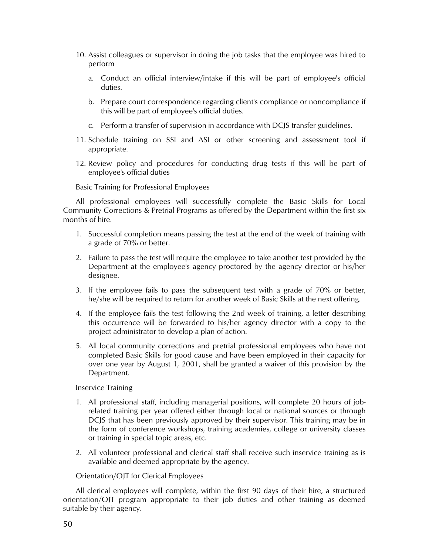- 10. Assist colleagues or supervisor in doing the job tasks that the employee was hired to perform
	- a. Conduct an official interview/intake if this will be part of employee's official duties.
	- b. Prepare court correspondence regarding client's compliance or noncompliance if this will be part of employee's official duties.
	- c. Perform a transfer of supervision in accordance with DCJS transfer guidelines.
- 11. Schedule training on SSI and ASI or other screening and assessment tool if appropriate.
- 12. Review policy and procedures for conducting drug tests if this will be part of employee's official duties

Basic Training for Professional Employees

All professional employees will successfully complete the Basic Skills for Local Community Corrections & Pretrial Programs as offered by the Department within the first six months of hire.

- 1. Successful completion means passing the test at the end of the week of training with a grade of 70% or better.
- 2. Failure to pass the test will require the employee to take another test provided by the Department at the employee's agency proctored by the agency director or his/her designee.
- 3. If the employee fails to pass the subsequent test with a grade of 70% or better, he/she will be required to return for another week of Basic Skills at the next offering.
- 4. If the employee fails the test following the 2nd week of training, a letter describing this occurrence will be forwarded to his/her agency director with a copy to the project administrator to develop a plan of action.
- 5. All local community corrections and pretrial professional employees who have not completed Basic Skills for good cause and have been employed in their capacity for over one year by August 1, 2001, shall be granted a waiver of this provision by the Department.

Inservice Training

- 1. All professional staff, including managerial positions, will complete 20 hours of jobrelated training per year offered either through local or national sources or through DCJS that has been previously approved by their supervisor. This training may be in the form of conference workshops, training academies, college or university classes or training in special topic areas, etc.
- 2. All volunteer professional and clerical staff shall receive such inservice training as is available and deemed appropriate by the agency.

## Orientation/OJT for Clerical Employees

All clerical employees will complete, within the first 90 days of their hire, a structured orientation/OJT program appropriate to their job duties and other training as deemed suitable by their agency.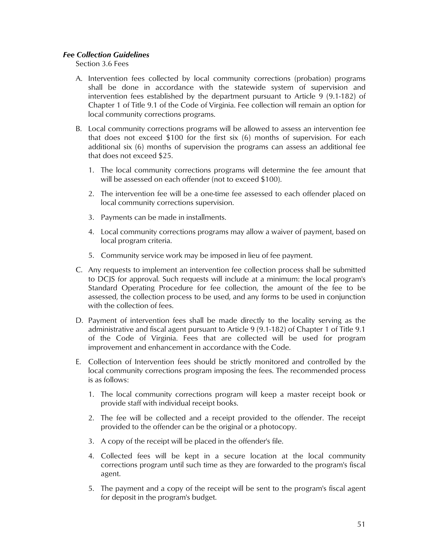## *Fee Collection Guidelines*

Section 3.6 Fees

- A. Intervention fees collected by local community corrections (probation) programs shall be done in accordance with the statewide system of supervision and intervention fees established by the department pursuant to Article 9 (9.1-182) of Chapter 1 of Title 9.1 of the Code of Virginia. Fee collection will remain an option for local community corrections programs.
- B. Local community corrections programs will be allowed to assess an intervention fee that does not exceed \$100 for the first six (6) months of supervision. For each additional six (6) months of supervision the programs can assess an additional fee that does not exceed \$25.
	- 1. The local community corrections programs will determine the fee amount that will be assessed on each offender (not to exceed \$100).
	- 2. The intervention fee will be a one-time fee assessed to each offender placed on local community corrections supervision.
	- 3. Payments can be made in installments.
	- 4. Local community corrections programs may allow a waiver of payment, based on local program criteria.
	- 5. Community service work may be imposed in lieu of fee payment.
- C. Any requests to implement an intervention fee collection process shall be submitted to DCJS for approval. Such requests will include at a minimum: the local program's Standard Operating Procedure for fee collection, the amount of the fee to be assessed, the collection process to be used, and any forms to be used in conjunction with the collection of fees.
- D. Payment of intervention fees shall be made directly to the locality serving as the administrative and fiscal agent pursuant to Article 9 (9.1-182) of Chapter 1 of Title 9.1 of the Code of Virginia. Fees that are collected will be used for program improvement and enhancement in accordance with the Code.
- E. Collection of Intervention fees should be strictly monitored and controlled by the local community corrections program imposing the fees. The recommended process is as follows:
	- 1. The local community corrections program will keep a master receipt book or provide staff with individual receipt books.
	- 2. The fee will be collected and a receipt provided to the offender. The receipt provided to the offender can be the original or a photocopy.
	- 3. A copy of the receipt will be placed in the offender's file.
	- 4. Collected fees will be kept in a secure location at the local community corrections program until such time as they are forwarded to the program's fiscal agent.
	- 5. The payment and a copy of the receipt will be sent to the program's fiscal agent for deposit in the program's budget.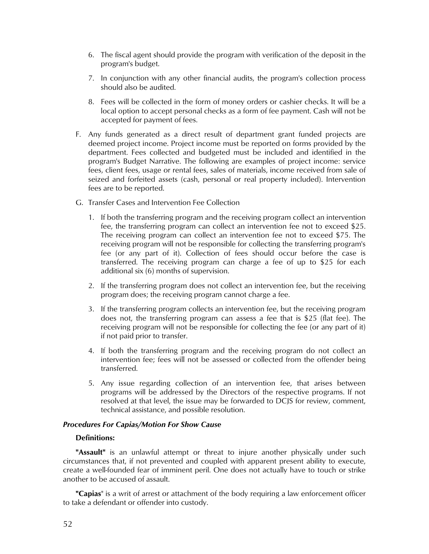- 6. The fiscal agent should provide the program with verification of the deposit in the program's budget.
- 7. In conjunction with any other financial audits, the program's collection process should also be audited.
- 8. Fees will be collected in the form of money orders or cashier checks. It will be a local option to accept personal checks as a form of fee payment. Cash will not be accepted for payment of fees.
- F. Any funds generated as a direct result of department grant funded projects are deemed project income. Project income must be reported on forms provided by the department. Fees collected and budgeted must be included and identified in the program's Budget Narrative. The following are examples of project income: service fees, client fees, usage or rental fees, sales of materials, income received from sale of seized and forfeited assets (cash, personal or real property included). Intervention fees are to be reported.
- G. Transfer Cases and Intervention Fee Collection
	- 1. If both the transferring program and the receiving program collect an intervention fee, the transferring program can collect an intervention fee not to exceed \$25. The receiving program can collect an intervention fee not to exceed \$75. The receiving program will not be responsible for collecting the transferring program's fee (or any part of it). Collection of fees should occur before the case is transferred. The receiving program can charge a fee of up to \$25 for each additional six (6) months of supervision.
	- 2. If the transferring program does not collect an intervention fee, but the receiving program does; the receiving program cannot charge a fee.
	- 3. If the transferring program collects an intervention fee, but the receiving program does not, the transferring program can assess a fee that is \$25 (flat fee). The receiving program will not be responsible for collecting the fee (or any part of it) if not paid prior to transfer.
	- 4. If both the transferring program and the receiving program do not collect an intervention fee; fees will not be assessed or collected from the offender being transferred.
	- 5. Any issue regarding collection of an intervention fee, that arises between programs will be addressed by the Directors of the respective programs. If not resolved at that level, the issue may be forwarded to DCJS for review, comment, technical assistance, and possible resolution.

#### *Procedures For Capias/Motion For Show Cause*

#### **Definitions:**

**"Assault"** is an unlawful attempt or threat to injure another physically under such circumstances that, if not prevented and coupled with apparent present ability to execute, create a well-founded fear of imminent peril. One does not actually have to touch or strike another to be accused of assault.

**"Capias**" is a writ of arrest or attachment of the body requiring a law enforcement officer to take a defendant or offender into custody.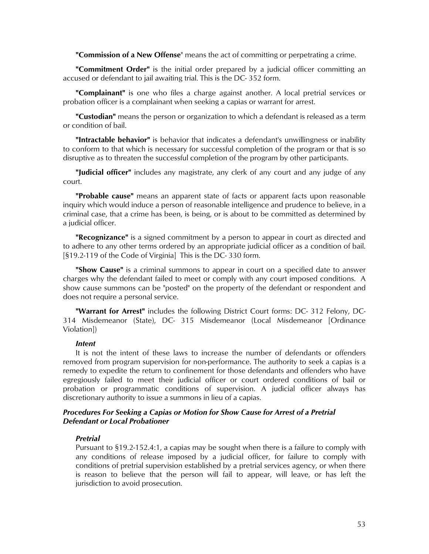**"Commission of a New Offense**" means the act of committing or perpetrating a crime.

**"Commitment Order"** is the initial order prepared by a judicial officer committing an accused or defendant to jail awaiting trial. This is the DC- 352 form.

**"Complainant"** is one who files a charge against another. A local pretrial services or probation officer is a complainant when seeking a capias or warrant for arrest.

**"Custodian"** means the person or organization to which a defendant is released as a term or condition of bail.

**"Intractable behavior"** is behavior that indicates a defendant's unwillingness or inability to conform to that which is necessary for successful completion of the program or that is so disruptive as to threaten the successful completion of the program by other participants.

**"Judicial officer"** includes any magistrate, any clerk of any court and any judge of any court.

**"Probable cause"** means an apparent state of facts or apparent facts upon reasonable inquiry which would induce a person of reasonable intelligence and prudence to believe, in a criminal case, that a crime has been, is being, or is about to be committed as determined by a judicial officer.

**"Recognizance"** is a signed commitment by a person to appear in court as directed and to adhere to any other terms ordered by an appropriate judicial officer as a condition of bail. [§19.2-119 of the Code of Virginia] This is the DC-330 form.

**"Show Cause"** is a criminal summons to appear in court on a specified date to answer charges why the defendant failed to meet or comply with any court imposed conditions. A show cause summons can be "posted" on the property of the defendant or respondent and does not require a personal service.

**"Warrant for Arrest"** includes the following District Court forms: DC- 312 Felony, DC-314 Misdemeanor (State), DC- 315 Misdemeanor (Local Misdemeanor [Ordinance Violation])

#### *Intent*

It is not the intent of these laws to increase the number of defendants or offenders removed from program supervision for non-performance. The authority to seek a capias is a remedy to expedite the return to confinement for those defendants and offenders who have egregiously failed to meet their judicial officer or court ordered conditions of bail or probation or programmatic conditions of supervision. A judicial officer always has discretionary authority to issue a summons in lieu of a capias.

#### *Procedures For Seeking a Capias or Motion for Show Cause for Arrest of a Pretrial Defendant or Local Probationer*

#### *Pretrial*

Pursuant to §19.2-152.4:1, a capias may be sought when there is a failure to comply with any conditions of release imposed by a judicial officer, for failure to comply with conditions of pretrial supervision established by a pretrial services agency, or when there is reason to believe that the person will fail to appear, will leave, or has left the jurisdiction to avoid prosecution.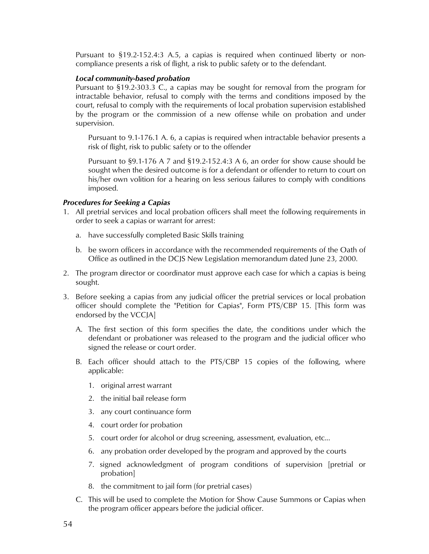Pursuant to §19.2-152.4:3 A.5, a capias is required when continued liberty or noncompliance presents a risk of flight, a risk to public safety or to the defendant.

## *Local community-based probation*

Pursuant to §19.2-303.3 C., a capias may be sought for removal from the program for intractable behavior, refusal to comply with the terms and conditions imposed by the court, refusal to comply with the requirements of local probation supervision established by the program or the commission of a new offense while on probation and under supervision.

Pursuant to 9.1-176.1 A. 6, a capias is required when intractable behavior presents a risk of flight, risk to public safety or to the offender

Pursuant to §9.1-176 A 7 and §19.2-152.4:3 A 6, an order for show cause should be sought when the desired outcome is for a defendant or offender to return to court on his/her own volition for a hearing on less serious failures to comply with conditions imposed.

## *Procedures for Seeking a Capias*

- 1. All pretrial services and local probation officers shall meet the following requirements in order to seek a capias or warrant for arrest:
	- a. have successfully completed Basic Skills training
	- b. be sworn officers in accordance with the recommended requirements of the Oath of Office as outlined in the DCJS New Legislation memorandum dated June 23, 2000.
- 2. The program director or coordinator must approve each case for which a capias is being sought.
- 3. Before seeking a capias from any judicial officer the pretrial services or local probation officer should complete the "Petition for Capias", Form PTS/CBP 15. [This form was endorsed by the VCCJA]
	- A. The first section of this form specifies the date, the conditions under which the defendant or probationer was released to the program and the judicial officer who signed the release or court order.
	- B. Each officer should attach to the PTS/CBP 15 copies of the following, where applicable:
		- 1. original arrest warrant
		- 2. the initial bail release form
		- 3. any court continuance form
		- 4. court order for probation
		- 5. court order for alcohol or drug screening, assessment, evaluation, etc...
		- 6. any probation order developed by the program and approved by the courts
		- 7. signed acknowledgment of program conditions of supervision [pretrial or probation]
		- 8. the commitment to jail form (for pretrial cases)
	- C. This will be used to complete the Motion for Show Cause Summons or Capias when the program officer appears before the judicial officer.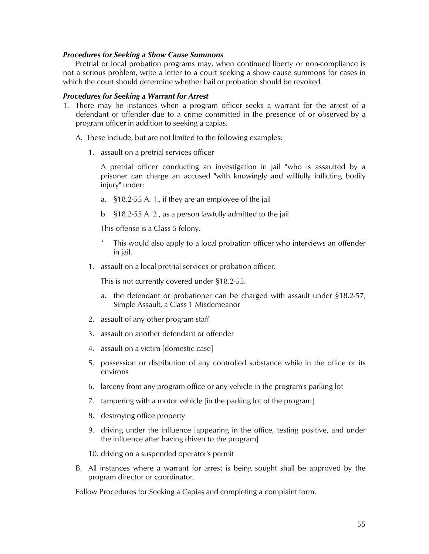#### *Procedures for Seeking a Show Cause Summons*

Pretrial or local probation programs may, when continued liberty or non-compliance is not a serious problem, write a letter to a court seeking a show cause summons for cases in which the court should determine whether bail or probation should be revoked.

#### *Procedures for Seeking a Warrant for Arrest*

- 1. There may be instances when a program officer seeks a warrant for the arrest of a defendant or offender due to a crime committed in the presence of or observed by a program officer in addition to seeking a capias.
	- A. These include, but are not limited to the following examples:
		- 1. assault on a pretrial services officer

A pretrial officer conducting an investigation in jail \*who is assaulted by a prisoner can charge an accused "with knowingly and willfully inflicting bodily injury" under:

- a. §18.2-55 A. 1., if they are an employee of the jail
- b. §18.2-55 A. 2., as a person lawfully admitted to the jail

This offense is a Class 5 felony.

- This would also apply to a local probation officer who interviews an offender in jail.
- 1. assault on a local pretrial services or probation officer.

This is not currently covered under §18.2-55.

- a. the defendant or probationer can be charged with assault under §18.2-57, Simple Assault, a Class 1 Misdemeanor
- 2. assault of any other program staff
- 3. assault on another defendant or offender
- 4. assault on a victim [domestic case]
- 5. possession or distribution of any controlled substance while in the office or its environs
- 6. larceny from any program office or any vehicle in the program's parking lot
- 7. tampering with a motor vehicle [in the parking lot of the program]
- 8. destroying office property
- 9. driving under the influence [appearing in the office, testing positive, and under the influence after having driven to the program]
- 10. driving on a suspended operator's permit
- B. All instances where a warrant for arrest is being sought shall be approved by the program director or coordinator.

Follow Procedures for Seeking a Capias and completing a complaint form.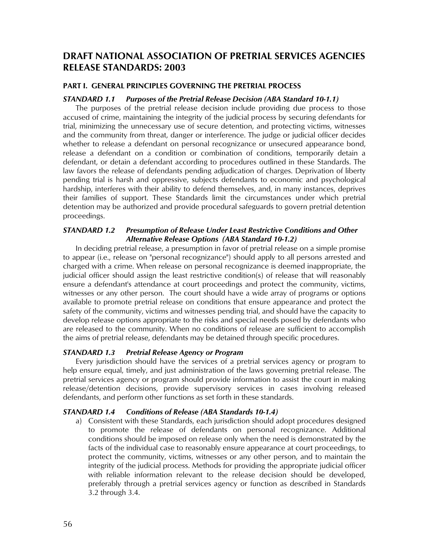# **DRAFT NATIONAL ASSOCIATION OF PRETRIAL SERVICES AGENCIES RELEASE STANDARDS: 2003**

## **PART I. GENERAL PRINCIPLES GOVERNING THE PRETRIAL PROCESS**

#### *STANDARD 1.1 Purposes of the Pretrial Release Decision (ABA Standard 10-1.1)*

The purposes of the pretrial release decision include providing due process to those accused of crime, maintaining the integrity of the judicial process by securing defendants for trial, minimizing the unnecessary use of secure detention, and protecting victims, witnesses and the community from threat, danger or interference. The judge or judicial officer decides whether to release a defendant on personal recognizance or unsecured appearance bond, release a defendant on a condition or combination of conditions, temporarily detain a defendant, or detain a defendant according to procedures outlined in these Standards. The law favors the release of defendants pending adjudication of charges. Deprivation of liberty pending trial is harsh and oppressive, subjects defendants to economic and psychological hardship, interferes with their ability to defend themselves, and, in many instances, deprives their families of support. These Standards limit the circumstances under which pretrial detention may be authorized and provide procedural safeguards to govern pretrial detention proceedings.

## *STANDARD 1.2 Presumption of Release Under Least Restrictive Conditions and Other Alternative Release Options (ABA Standard 10-1.2)*

In deciding pretrial release, a presumption in favor of pretrial release on a simple promise to appear (i.e., release on "personal recognizance") should apply to all persons arrested and charged with a crime. When release on personal recognizance is deemed inappropriate, the judicial officer should assign the least restrictive condition(s) of release that will reasonably ensure a defendant's attendance at court proceedings and protect the community, victims, witnesses or any other person. The court should have a wide array of programs or options available to promote pretrial release on conditions that ensure appearance and protect the safety of the community, victims and witnesses pending trial, and should have the capacity to develop release options appropriate to the risks and special needs posed by defendants who are released to the community. When no conditions of release are sufficient to accomplish the aims of pretrial release, defendants may be detained through specific procedures.

#### *STANDARD 1.3 Pretrial Release Agency or Program*

Every jurisdiction should have the services of a pretrial services agency or program to help ensure equal, timely, and just administration of the laws governing pretrial release. The pretrial services agency or program should provide information to assist the court in making release/detention decisions, provide supervisory services in cases involving released defendants, and perform other functions as set forth in these standards.

#### *STANDARD 1.4 Conditions of Release (ABA Standards 10-1.4)*

a) Consistent with these Standards, each jurisdiction should adopt procedures designed to promote the release of defendants on personal recognizance. Additional conditions should be imposed on release only when the need is demonstrated by the facts of the individual case to reasonably ensure appearance at court proceedings, to protect the community, victims, witnesses or any other person, and to maintain the integrity of the judicial process. Methods for providing the appropriate judicial officer with reliable information relevant to the release decision should be developed, preferably through a pretrial services agency or function as described in Standards 3.2 through 3.4.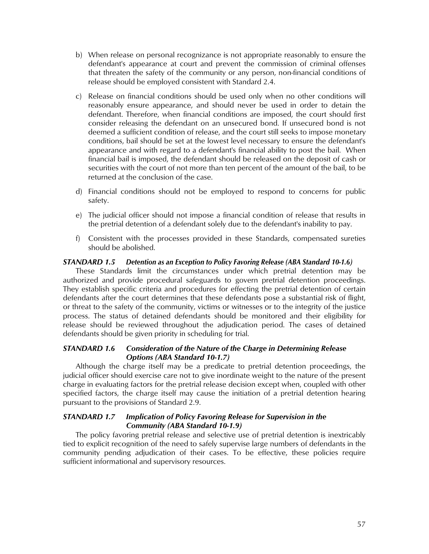- b) When release on personal recognizance is not appropriate reasonably to ensure the defendant's appearance at court and prevent the commission of criminal offenses that threaten the safety of the community or any person, non-financial conditions of release should be employed consistent with Standard 2.4.
- c) Release on financial conditions should be used only when no other conditions will reasonably ensure appearance, and should never be used in order to detain the defendant. Therefore, when financial conditions are imposed, the court should first consider releasing the defendant on an unsecured bond. If unsecured bond is not deemed a sufficient condition of release, and the court still seeks to impose monetary conditions, bail should be set at the lowest level necessary to ensure the defendant's appearance and with regard to a defendant's financial ability to post the bail. When financial bail is imposed, the defendant should be released on the deposit of cash or securities with the court of not more than ten percent of the amount of the bail, to be returned at the conclusion of the case.
- d) Financial conditions should not be employed to respond to concerns for public safety.
- e) The judicial officer should not impose a financial condition of release that results in the pretrial detention of a defendant solely due to the defendant's inability to pay.
- f) Consistent with the processes provided in these Standards, compensated sureties should be abolished.

## *STANDARD 1.5 Detention as an Exception to Policy Favoring Release (ABA Standard 10-1.6)*

These Standards limit the circumstances under which pretrial detention may be authorized and provide procedural safeguards to govern pretrial detention proceedings. They establish specific criteria and procedures for effecting the pretrial detention of certain defendants after the court determines that these defendants pose a substantial risk of flight, or threat to the safety of the community, victims or witnesses or to the integrity of the justice process. The status of detained defendants should be monitored and their eligibility for release should be reviewed throughout the adjudication period. The cases of detained defendants should be given priority in scheduling for trial.

## *STANDARD 1.6 Consideration of the Nature of the Charge in Determining Release Options (ABA Standard 10-1.7)*

Although the charge itself may be a predicate to pretrial detention proceedings, the judicial officer should exercise care not to give inordinate weight to the nature of the present charge in evaluating factors for the pretrial release decision except when, coupled with other specified factors, the charge itself may cause the initiation of a pretrial detention hearing pursuant to the provisions of Standard 2.9.

## *STANDARD 1.7 Implication of Policy Favoring Release for Supervision in the Community (ABA Standard 10-1.9)*

The policy favoring pretrial release and selective use of pretrial detention is inextricably tied to explicit recognition of the need to safely supervise large numbers of defendants in the community pending adjudication of their cases. To be effective, these policies require sufficient informational and supervisory resources.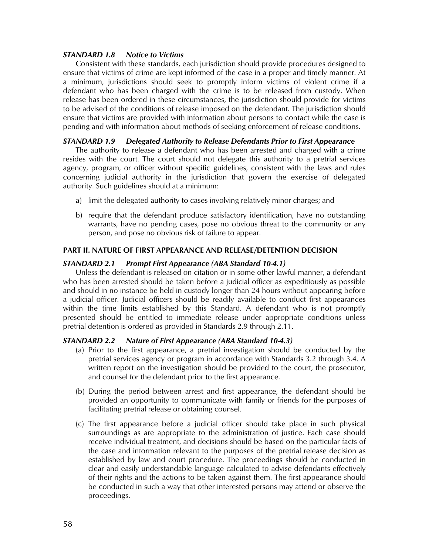#### *STANDARD 1.8 Notice to Victims*

Consistent with these standards, each jurisdiction should provide procedures designed to ensure that victims of crime are kept informed of the case in a proper and timely manner. At a minimum, jurisdictions should seek to promptly inform victims of violent crime if a defendant who has been charged with the crime is to be released from custody. When release has been ordered in these circumstances, the jurisdiction should provide for victims to be advised of the conditions of release imposed on the defendant. The jurisdiction should ensure that victims are provided with information about persons to contact while the case is pending and with information about methods of seeking enforcement of release conditions.

## *STANDARD 1.9 Delegated Authority to Release Defendants Prior to First Appearance*

The authority to release a defendant who has been arrested and charged with a crime resides with the court. The court should not delegate this authority to a pretrial services agency, program, or officer without specific guidelines, consistent with the laws and rules concerning judicial authority in the jurisdiction that govern the exercise of delegated authority. Such guidelines should at a minimum:

- a) limit the delegated authority to cases involving relatively minor charges; and
- b) require that the defendant produce satisfactory identification, have no outstanding warrants, have no pending cases, pose no obvious threat to the community or any person, and pose no obvious risk of failure to appear.

## **PART II. NATURE OF FIRST APPEARANCE AND RELEASE/DETENTION DECISION**

## *STANDARD 2.1 Prompt First Appearance (ABA Standard 10-4.1)*

Unless the defendant is released on citation or in some other lawful manner, a defendant who has been arrested should be taken before a judicial officer as expeditiously as possible and should in no instance be held in custody longer than 24 hours without appearing before a judicial officer. Judicial officers should be readily available to conduct first appearances within the time limits established by this Standard. A defendant who is not promptly presented should be entitled to immediate release under appropriate conditions unless pretrial detention is ordered as provided in Standards 2.9 through 2.11.

## *STANDARD 2.2 Nature of First Appearance (ABA Standard 10-4.3)*

- (a) Prior to the first appearance, a pretrial investigation should be conducted by the pretrial services agency or program in accordance with Standards 3.2 through 3.4. A written report on the investigation should be provided to the court, the prosecutor, and counsel for the defendant prior to the first appearance.
- (b) During the period between arrest and first appearance, the defendant should be provided an opportunity to communicate with family or friends for the purposes of facilitating pretrial release or obtaining counsel.
- (c) The first appearance before a judicial officer should take place in such physical surroundings as are appropriate to the administration of justice. Each case should receive individual treatment, and decisions should be based on the particular facts of the case and information relevant to the purposes of the pretrial release decision as established by law and court procedure. The proceedings should be conducted in clear and easily understandable language calculated to advise defendants effectively of their rights and the actions to be taken against them. The first appearance should be conducted in such a way that other interested persons may attend or observe the proceedings.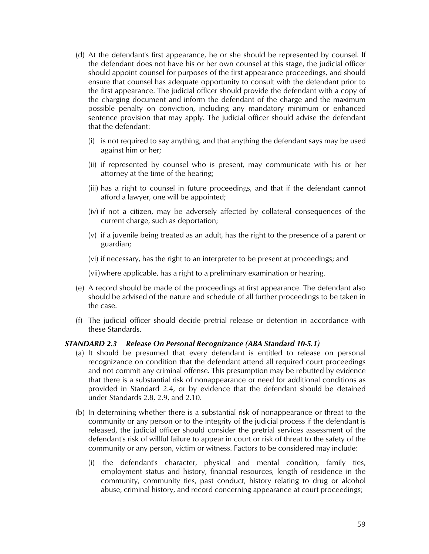- (d) At the defendant's first appearance, he or she should be represented by counsel. If the defendant does not have his or her own counsel at this stage, the judicial officer should appoint counsel for purposes of the first appearance proceedings, and should ensure that counsel has adequate opportunity to consult with the defendant prior to the first appearance. The judicial officer should provide the defendant with a copy of the charging document and inform the defendant of the charge and the maximum possible penalty on conviction, including any mandatory minimum or enhanced sentence provision that may apply. The judicial officer should advise the defendant that the defendant:
	- (i) is not required to say anything, and that anything the defendant says may be used against him or her;
	- (ii) if represented by counsel who is present, may communicate with his or her attorney at the time of the hearing;
	- (iii) has a right to counsel in future proceedings, and that if the defendant cannot afford a lawyer, one will be appointed;
	- (iv) if not a citizen, may be adversely affected by collateral consequences of the current charge, such as deportation;
	- (v) if a juvenile being treated as an adult, has the right to the presence of a parent or guardian;
	- (vi) if necessary, has the right to an interpreter to be present at proceedings; and

(vii)where applicable, has a right to a preliminary examination or hearing.

- (e) A record should be made of the proceedings at first appearance. The defendant also should be advised of the nature and schedule of all further proceedings to be taken in the case.
- (f) The judicial officer should decide pretrial release or detention in accordance with these Standards.

#### *STANDARD 2.3 Release On Personal Recognizance (ABA Standard 10-5.1)*

- (a) It should be presumed that every defendant is entitled to release on personal recognizance on condition that the defendant attend all required court proceedings and not commit any criminal offense. This presumption may be rebutted by evidence that there is a substantial risk of nonappearance or need for additional conditions as provided in Standard 2.4, or by evidence that the defendant should be detained under Standards 2.8, 2.9, and 2.10.
- (b) In determining whether there is a substantial risk of nonappearance or threat to the community or any person or to the integrity of the judicial process if the defendant is released, the judicial officer should consider the pretrial services assessment of the defendant's risk of willful failure to appear in court or risk of threat to the safety of the community or any person, victim or witness. Factors to be considered may include:
	- (i) the defendant's character, physical and mental condition, family ties, employment status and history, financial resources, length of residence in the community, community ties, past conduct, history relating to drug or alcohol abuse, criminal history, and record concerning appearance at court proceedings;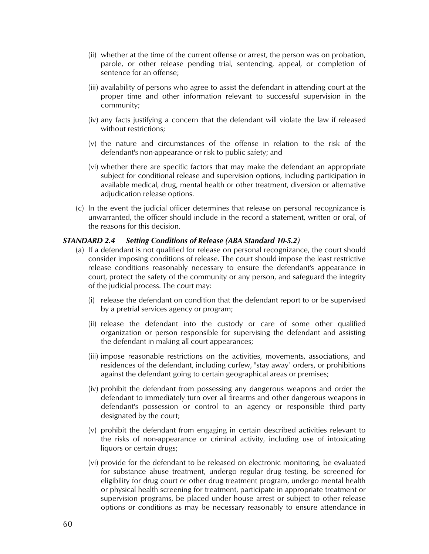- (ii) whether at the time of the current offense or arrest, the person was on probation, parole, or other release pending trial, sentencing, appeal, or completion of sentence for an offense;
- (iii) availability of persons who agree to assist the defendant in attending court at the proper time and other information relevant to successful supervision in the community;
- (iv) any facts justifying a concern that the defendant will violate the law if released without restrictions;
- (v) the nature and circumstances of the offense in relation to the risk of the defendant's non-appearance or risk to public safety; and
- (vi) whether there are specific factors that may make the defendant an appropriate subject for conditional release and supervision options, including participation in available medical, drug, mental health or other treatment, diversion or alternative adjudication release options.
- (c) In the event the judicial officer determines that release on personal recognizance is unwarranted, the officer should include in the record a statement, written or oral, of the reasons for this decision.

#### *STANDARD 2.4 Setting Conditions of Release (ABA Standard 10-5.2)*

- (a) If a defendant is not qualified for release on personal recognizance, the court should consider imposing conditions of release. The court should impose the least restrictive release conditions reasonably necessary to ensure the defendant's appearance in court, protect the safety of the community or any person, and safeguard the integrity of the judicial process. The court may:
	- (i) release the defendant on condition that the defendant report to or be supervised by a pretrial services agency or program;
	- (ii) release the defendant into the custody or care of some other qualified organization or person responsible for supervising the defendant and assisting the defendant in making all court appearances;
	- (iii) impose reasonable restrictions on the activities, movements, associations, and residences of the defendant, including curfew, "stay away" orders, or prohibitions against the defendant going to certain geographical areas or premises;
	- (iv) prohibit the defendant from possessing any dangerous weapons and order the defendant to immediately turn over all firearms and other dangerous weapons in defendant's possession or control to an agency or responsible third party designated by the court;
	- (v) prohibit the defendant from engaging in certain described activities relevant to the risks of non-appearance or criminal activity, including use of intoxicating liquors or certain drugs;
	- (vi) provide for the defendant to be released on electronic monitoring, be evaluated for substance abuse treatment, undergo regular drug testing, be screened for eligibility for drug court or other drug treatment program, undergo mental health or physical health screening for treatment, participate in appropriate treatment or supervision programs, be placed under house arrest or subject to other release options or conditions as may be necessary reasonably to ensure attendance in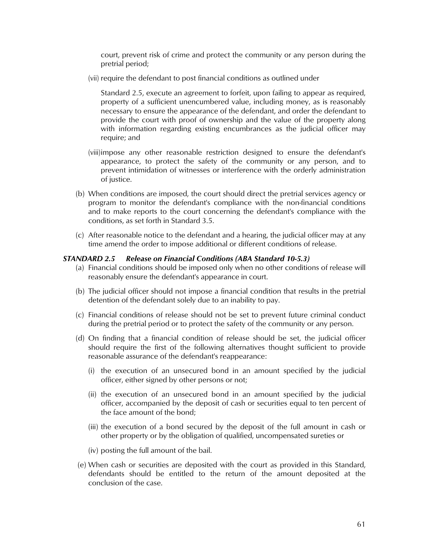court, prevent risk of crime and protect the community or any person during the pretrial period;

(vii) require the defendant to post financial conditions as outlined under

Standard 2.5, execute an agreement to forfeit, upon failing to appear as required, property of a sufficient unencumbered value, including money, as is reasonably necessary to ensure the appearance of the defendant, and order the defendant to provide the court with proof of ownership and the value of the property along with information regarding existing encumbrances as the judicial officer may require; and

- (viii)impose any other reasonable restriction designed to ensure the defendant's appearance, to protect the safety of the community or any person, and to prevent intimidation of witnesses or interference with the orderly administration of justice.
- (b) When conditions are imposed, the court should direct the pretrial services agency or program to monitor the defendant's compliance with the non-financial conditions and to make reports to the court concerning the defendant's compliance with the conditions, as set forth in Standard 3.5.
- (c) After reasonable notice to the defendant and a hearing, the judicial officer may at any time amend the order to impose additional or different conditions of release.

#### *STANDARD 2.5 Release on Financial Conditions (ABA Standard 10-5.3)*

- (a) Financial conditions should be imposed only when no other conditions of release will reasonably ensure the defendant's appearance in court.
- (b) The judicial officer should not impose a financial condition that results in the pretrial detention of the defendant solely due to an inability to pay.
- (c) Financial conditions of release should not be set to prevent future criminal conduct during the pretrial period or to protect the safety of the community or any person.
- (d) On finding that a financial condition of release should be set, the judicial officer should require the first of the following alternatives thought sufficient to provide reasonable assurance of the defendant's reappearance:
	- (i) the execution of an unsecured bond in an amount specified by the judicial officer, either signed by other persons or not;
	- (ii) the execution of an unsecured bond in an amount specified by the judicial officer, accompanied by the deposit of cash or securities equal to ten percent of the face amount of the bond;
	- (iii) the execution of a bond secured by the deposit of the full amount in cash or other property or by the obligation of qualified, uncompensated sureties or
	- (iv) posting the full amount of the bail.
- (e) When cash or securities are deposited with the court as provided in this Standard, defendants should be entitled to the return of the amount deposited at the conclusion of the case.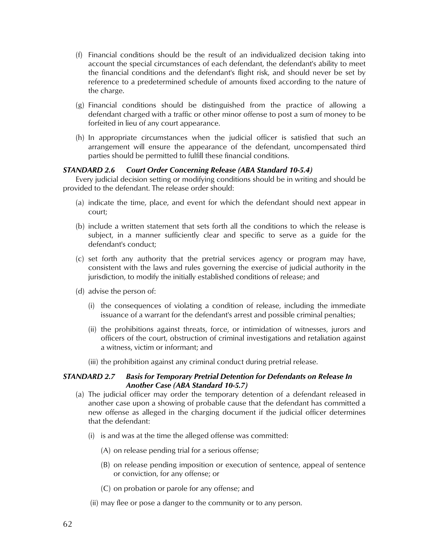- (f) Financial conditions should be the result of an individualized decision taking into account the special circumstances of each defendant, the defendant's ability to meet the financial conditions and the defendant's flight risk, and should never be set by reference to a predetermined schedule of amounts fixed according to the nature of the charge.
- (g) Financial conditions should be distinguished from the practice of allowing a defendant charged with a traffic or other minor offense to post a sum of money to be forfeited in lieu of any court appearance.
- (h) In appropriate circumstances when the judicial officer is satisfied that such an arrangement will ensure the appearance of the defendant, uncompensated third parties should be permitted to fulfill these financial conditions.

## *STANDARD 2.6 Court Order Concerning Release (ABA Standard 10-5.4)*

Every judicial decision setting or modifying conditions should be in writing and should be provided to the defendant. The release order should:

- (a) indicate the time, place, and event for which the defendant should next appear in court;
- (b) include a written statement that sets forth all the conditions to which the release is subject, in a manner sufficiently clear and specific to serve as a guide for the defendant's conduct;
- (c) set forth any authority that the pretrial services agency or program may have, consistent with the laws and rules governing the exercise of judicial authority in the jurisdiction, to modify the initially established conditions of release; and
- (d) advise the person of:
	- (i) the consequences of violating a condition of release, including the immediate issuance of a warrant for the defendant's arrest and possible criminal penalties;
	- (ii) the prohibitions against threats, force, or intimidation of witnesses, jurors and officers of the court, obstruction of criminal investigations and retaliation against a witness, victim or informant; and
	- (iii) the prohibition against any criminal conduct during pretrial release.

## *STANDARD 2.7 Basis for Temporary Pretrial Detention for Defendants on Release In Another Case (ABA Standard 10-5.7)*

- (a) The judicial officer may order the temporary detention of a defendant released in another case upon a showing of probable cause that the defendant has committed a new offense as alleged in the charging document if the judicial officer determines that the defendant:
	- (i) is and was at the time the alleged offense was committed:
		- (A) on release pending trial for a serious offense;
		- (B) on release pending imposition or execution of sentence, appeal of sentence or conviction, for any offense; or
		- (C) on probation or parole for any offense; and
	- (ii) may flee or pose a danger to the community or to any person.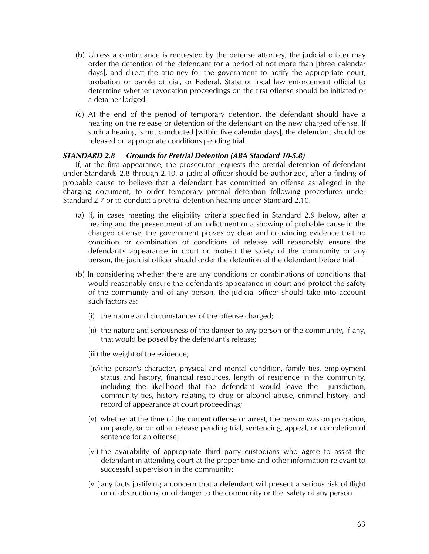- (b) Unless a continuance is requested by the defense attorney, the judicial officer may order the detention of the defendant for a period of not more than [three calendar days], and direct the attorney for the government to notify the appropriate court, probation or parole official, or Federal, State or local law enforcement official to determine whether revocation proceedings on the first offense should be initiated or a detainer lodged.
- (c) At the end of the period of temporary detention, the defendant should have a hearing on the release or detention of the defendant on the new charged offense. If such a hearing is not conducted [within five calendar days], the defendant should be released on appropriate conditions pending trial.

## *STANDARD 2.8 Grounds for Pretrial Detention (ABA Standard 10-5.8)*

If, at the first appearance, the prosecutor requests the pretrial detention of defendant under Standards 2.8 through 2.10, a judicial officer should be authorized, after a finding of probable cause to believe that a defendant has committed an offense as alleged in the charging document, to order temporary pretrial detention following procedures under Standard 2.7 or to conduct a pretrial detention hearing under Standard 2.10.

- (a) If, in cases meeting the eligibility criteria specified in Standard 2.9 below, after a hearing and the presentment of an indictment or a showing of probable cause in the charged offense, the government proves by clear and convincing evidence that no condition or combination of conditions of release will reasonably ensure the defendant's appearance in court or protect the safety of the community or any person, the judicial officer should order the detention of the defendant before trial.
- (b) In considering whether there are any conditions or combinations of conditions that would reasonably ensure the defendant's appearance in court and protect the safety of the community and of any person, the judicial officer should take into account such factors as:
	- (i) the nature and circumstances of the offense charged;
	- (ii) the nature and seriousness of the danger to any person or the community, if any, that would be posed by the defendant's release;
	- (iii) the weight of the evidence;
	- (iv)the person's character, physical and mental condition, family ties, employment status and history, financial resources, length of residence in the community, including the likelihood that the defendant would leave the jurisdiction, community ties, history relating to drug or alcohol abuse, criminal history, and record of appearance at court proceedings;
	- (v) whether at the time of the current offense or arrest, the person was on probation, on parole, or on other release pending trial, sentencing, appeal, or completion of sentence for an offense;
	- (vi) the availability of appropriate third party custodians who agree to assist the defendant in attending court at the proper time and other information relevant to successful supervision in the community;
	- (vii)any facts justifying a concern that a defendant will present a serious risk of flight or of obstructions, or of danger to the community or the safety of any person.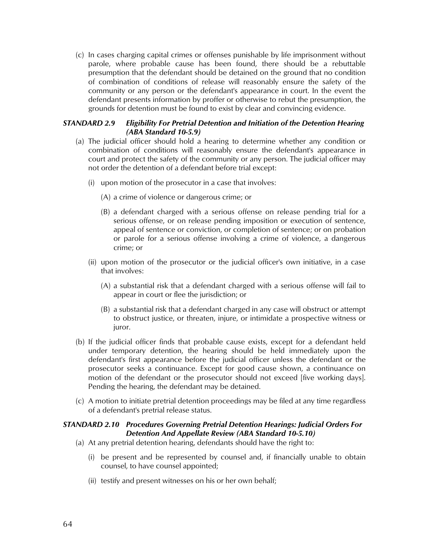(c) In cases charging capital crimes or offenses punishable by life imprisonment without parole, where probable cause has been found, there should be a rebuttable presumption that the defendant should be detained on the ground that no condition of combination of conditions of release will reasonably ensure the safety of the community or any person or the defendant's appearance in court. In the event the defendant presents information by proffer or otherwise to rebut the presumption, the grounds for detention must be found to exist by clear and convincing evidence.

## *STANDARD 2.9 Eligibility For Pretrial Detention and Initiation of the Detention Hearing (ABA Standard 10-5.9)*

- (a) The judicial officer should hold a hearing to determine whether any condition or combination of conditions will reasonably ensure the defendant's appearance in court and protect the safety of the community or any person. The judicial officer may not order the detention of a defendant before trial except:
	- (i) upon motion of the prosecutor in a case that involves:
		- (A) a crime of violence or dangerous crime; or
		- (B) a defendant charged with a serious offense on release pending trial for a serious offense, or on release pending imposition or execution of sentence, appeal of sentence or conviction, or completion of sentence; or on probation or parole for a serious offense involving a crime of violence, a dangerous crime; or
	- (ii) upon motion of the prosecutor or the judicial officer's own initiative, in a case that involves:
		- (A) a substantial risk that a defendant charged with a serious offense will fail to appear in court or flee the jurisdiction; or
		- (B) a substantial risk that a defendant charged in any case will obstruct or attempt to obstruct justice, or threaten, injure, or intimidate a prospective witness or juror.
- (b) If the judicial officer finds that probable cause exists, except for a defendant held under temporary detention, the hearing should be held immediately upon the defendant's first appearance before the judicial officer unless the defendant or the prosecutor seeks a continuance. Except for good cause shown, a continuance on motion of the defendant or the prosecutor should not exceed [five working days]. Pending the hearing, the defendant may be detained.
- (c) A motion to initiate pretrial detention proceedings may be filed at any time regardless of a defendant's pretrial release status.

## *STANDARD 2.10 Procedures Governing Pretrial Detention Hearings: Judicial Orders For Detention And Appellate Review (ABA Standard 10-5.10)*

- (a) At any pretrial detention hearing, defendants should have the right to:
	- (i) be present and be represented by counsel and, if financially unable to obtain counsel, to have counsel appointed;
	- (ii) testify and present witnesses on his or her own behalf;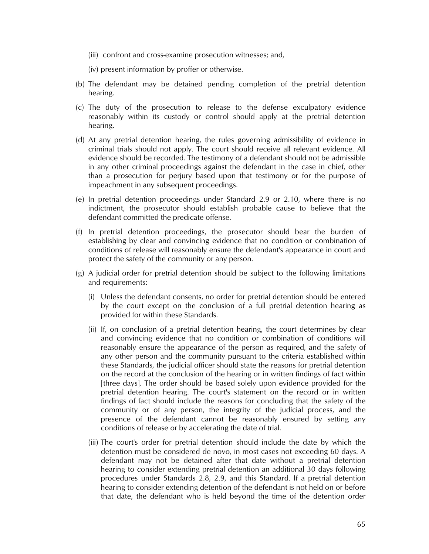(iii) confront and cross-examine prosecution witnesses; and,

(iv) present information by proffer or otherwise.

- (b) The defendant may be detained pending completion of the pretrial detention hearing.
- (c) The duty of the prosecution to release to the defense exculpatory evidence reasonably within its custody or control should apply at the pretrial detention hearing.
- (d) At any pretrial detention hearing, the rules governing admissibility of evidence in criminal trials should not apply. The court should receive all relevant evidence. All evidence should be recorded. The testimony of a defendant should not be admissible in any other criminal proceedings against the defendant in the case in chief, other than a prosecution for perjury based upon that testimony or for the purpose of impeachment in any subsequent proceedings.
- (e) In pretrial detention proceedings under Standard 2.9 or 2.10, where there is no indictment, the prosecutor should establish probable cause to believe that the defendant committed the predicate offense.
- (f) In pretrial detention proceedings, the prosecutor should bear the burden of establishing by clear and convincing evidence that no condition or combination of conditions of release will reasonably ensure the defendant's appearance in court and protect the safety of the community or any person.
- (g) A judicial order for pretrial detention should be subject to the following limitations and requirements:
	- (i) Unless the defendant consents, no order for pretrial detention should be entered by the court except on the conclusion of a full pretrial detention hearing as provided for within these Standards.
	- (ii) If, on conclusion of a pretrial detention hearing, the court determines by clear and convincing evidence that no condition or combination of conditions will reasonably ensure the appearance of the person as required, and the safety of any other person and the community pursuant to the criteria established within these Standards, the judicial officer should state the reasons for pretrial detention on the record at the conclusion of the hearing or in written findings of fact within [three days]. The order should be based solely upon evidence provided for the pretrial detention hearing. The court's statement on the record or in written findings of fact should include the reasons for concluding that the safety of the community or of any person, the integrity of the judicial process, and the presence of the defendant cannot be reasonably ensured by setting any conditions of release or by accelerating the date of trial.
	- (iii) The court's order for pretrial detention should include the date by which the detention must be considered de novo, in most cases not exceeding 60 days. A defendant may not be detained after that date without a pretrial detention hearing to consider extending pretrial detention an additional 30 days following procedures under Standards 2.8, 2.9, and this Standard. If a pretrial detention hearing to consider extending detention of the defendant is not held on or before that date, the defendant who is held beyond the time of the detention order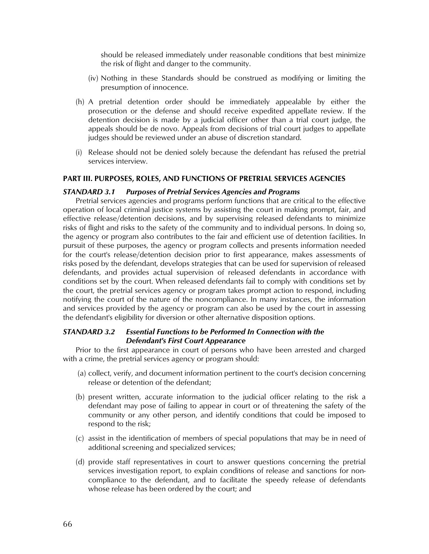should be released immediately under reasonable conditions that best minimize the risk of flight and danger to the community.

- (iv) Nothing in these Standards should be construed as modifying or limiting the presumption of innocence.
- (h) A pretrial detention order should be immediately appealable by either the prosecution or the defense and should receive expedited appellate review. If the detention decision is made by a judicial officer other than a trial court judge, the appeals should be de novo. Appeals from decisions of trial court judges to appellate judges should be reviewed under an abuse of discretion standard.
- (i) Release should not be denied solely because the defendant has refused the pretrial services interview.

### **PART III. PURPOSES, ROLES, AND FUNCTIONS OF PRETRIAL SERVICES AGENCIES**

#### *STANDARD 3.1 Purposes of Pretrial Services Agencies and Programs*

Pretrial services agencies and programs perform functions that are critical to the effective operation of local criminal justice systems by assisting the court in making prompt, fair, and effective release/detention decisions, and by supervising released defendants to minimize risks of flight and risks to the safety of the community and to individual persons. In doing so, the agency or program also contributes to the fair and efficient use of detention facilities. In pursuit of these purposes, the agency or program collects and presents information needed for the court's release/detention decision prior to first appearance, makes assessments of risks posed by the defendant, develops strategies that can be used for supervision of released defendants, and provides actual supervision of released defendants in accordance with conditions set by the court. When released defendants fail to comply with conditions set by the court, the pretrial services agency or program takes prompt action to respond, including notifying the court of the nature of the noncompliance. In many instances, the information and services provided by the agency or program can also be used by the court in assessing the defendant's eligibility for diversion or other alternative disposition options.

### *STANDARD 3.2 Essential Functions to be Performed In Connection with the Defendant's First Court Appearance*

Prior to the first appearance in court of persons who have been arrested and charged with a crime, the pretrial services agency or program should:

- (a) collect, verify, and document information pertinent to the court's decision concerning release or detention of the defendant;
- (b) present written, accurate information to the judicial officer relating to the risk a defendant may pose of failing to appear in court or of threatening the safety of the community or any other person, and identify conditions that could be imposed to respond to the risk;
- (c) assist in the identification of members of special populations that may be in need of additional screening and specialized services;
- (d) provide staff representatives in court to answer questions concerning the pretrial services investigation report, to explain conditions of release and sanctions for noncompliance to the defendant, and to facilitate the speedy release of defendants whose release has been ordered by the court; and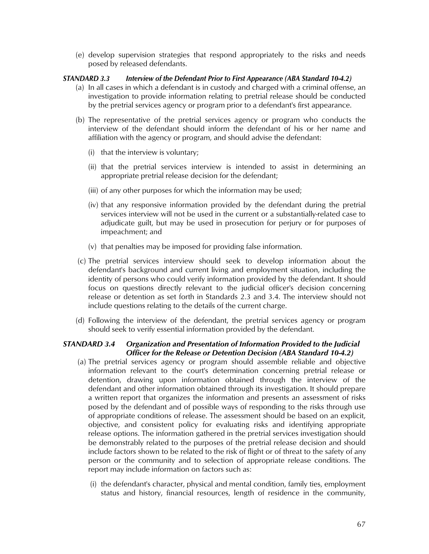(e) develop supervision strategies that respond appropriately to the risks and needs posed by released defendants.

### *STANDARD 3.3 Interview of the Defendant Prior to First Appearance (ABA Standard 10-4.2)*

- (a) In all cases in which a defendant is in custody and charged with a criminal offense, an investigation to provide information relating to pretrial release should be conducted by the pretrial services agency or program prior to a defendant's first appearance.
- (b) The representative of the pretrial services agency or program who conducts the interview of the defendant should inform the defendant of his or her name and affiliation with the agency or program, and should advise the defendant:
	- (i) that the interview is voluntary;
	- (ii) that the pretrial services interview is intended to assist in determining an appropriate pretrial release decision for the defendant;
	- (iii) of any other purposes for which the information may be used;
	- (iv) that any responsive information provided by the defendant during the pretrial services interview will not be used in the current or a substantially-related case to adjudicate guilt, but may be used in prosecution for perjury or for purposes of impeachment; and
	- (v) that penalties may be imposed for providing false information.
- (c) The pretrial services interview should seek to develop information about the defendant's background and current living and employment situation, including the identity of persons who could verify information provided by the defendant. It should focus on questions directly relevant to the judicial officer's decision concerning release or detention as set forth in Standards 2.3 and 3.4. The interview should not include questions relating to the details of the current charge.
- (d) Following the interview of the defendant, the pretrial services agency or program should seek to verify essential information provided by the defendant.

### *STANDARD 3.4 Organization and Presentation of Information Provided to the Judicial Officer for the Release or Detention Decision (ABA Standard 10-4.2)*

- (a) The pretrial services agency or program should assemble reliable and objective information relevant to the court's determination concerning pretrial release or detention, drawing upon information obtained through the interview of the defendant and other information obtained through its investigation. It should prepare a written report that organizes the information and presents an assessment of risks posed by the defendant and of possible ways of responding to the risks through use of appropriate conditions of release. The assessment should be based on an explicit, objective, and consistent policy for evaluating risks and identifying appropriate release options. The information gathered in the pretrial services investigation should be demonstrably related to the purposes of the pretrial release decision and should include factors shown to be related to the risk of flight or of threat to the safety of any person or the community and to selection of appropriate release conditions. The report may include information on factors such as:
	- (i) the defendant's character, physical and mental condition, family ties, employment status and history, financial resources, length of residence in the community,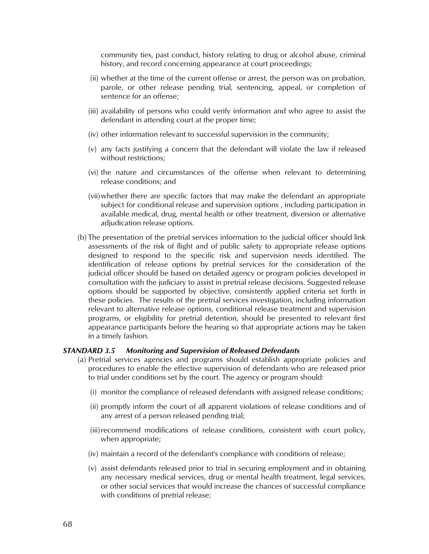community ties, past conduct, history relating to drug or alcohol abuse, criminal history, and record concerning appearance at court proceedings;

- (ii) whether at the time of the current offense or arrest, the person was on probation, parole, or other release pending trial, sentencing, appeal, or completion of sentence for an offense;
- (iii) availability of persons who could verify information and who agree to assist the defendant in attending court at the proper time;
- (iv) other information relevant to successful supervision in the community;
- (v) any facts justifying a concern that the defendant will violate the law if released without restrictions;
- (vi) the nature and circumstances of the offense when relevant to determining release conditions; and
- (vii)whether there are specific factors that may make the defendant an appropriate subject for conditional release and supervision options , including participation in available medical, drug, mental health or other treatment, diversion or alternative adjudication release options.
- (b) The presentation of the pretrial services information to the judicial officer should link assessments of the risk of flight and of public safety to appropriate release options designed to respond to the specific risk and supervision needs identified. The identification of release options by pretrial services for the consideration of the judicial officer should be based on detailed agency or program policies developed in consultation with the judiciary to assist in pretrial release decisions. Suggested release options should be supported by objective, consistently applied criteria set forth in these policies. The results of the pretrial services investigation, including information relevant to alternative release options, conditional release treatment and supervision programs, or eligibility for pretrial detention, should be presented to relevant first appearance participants before the hearing so that appropriate actions may be taken in a timely fashion.

#### *STANDARD 3.5 Monitoring and Supervision of Released Defendants*

- (a) Pretrial services agencies and programs should establish appropriate policies and procedures to enable the effective supervision of defendants who are released prior to trial under conditions set by the court. The agency or program should:
	- (i) monitor the compliance of released defendants with assigned release conditions;
	- (ii) promptly inform the court of all apparent violations of release conditions and of any arrest of a person released pending trial;
	- (iii)recommend modifications of release conditions, consistent with court policy, when appropriate;
	- (iv) maintain a record of the defendant's compliance with conditions of release;
	- (v) assist defendants released prior to trial in securing employment and in obtaining any necessary medical services, drug or mental health treatment, legal services, or other social services that would increase the chances of successful compliance with conditions of pretrial release;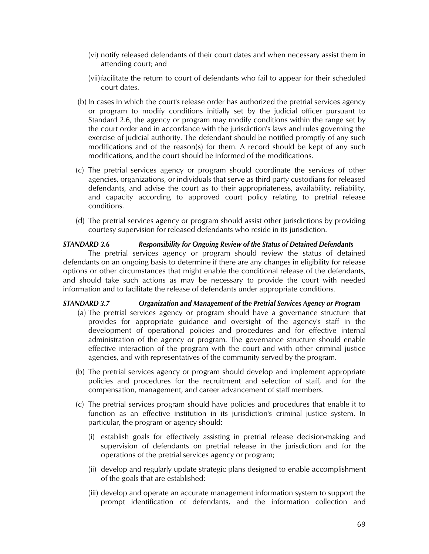- (vi) notify released defendants of their court dates and when necessary assist them in attending court; and
- (vii)facilitate the return to court of defendants who fail to appear for their scheduled court dates.
- (b) In cases in which the court's release order has authorized the pretrial services agency or program to modify conditions initially set by the judicial officer pursuant to Standard 2.6, the agency or program may modify conditions within the range set by the court order and in accordance with the jurisdiction's laws and rules governing the exercise of judicial authority. The defendant should be notified promptly of any such modifications and of the reason(s) for them. A record should be kept of any such modifications, and the court should be informed of the modifications.
- (c) The pretrial services agency or program should coordinate the services of other agencies, organizations, or individuals that serve as third party custodians for released defendants, and advise the court as to their appropriateness, availability, reliability, and capacity according to approved court policy relating to pretrial release conditions.
- (d) The pretrial services agency or program should assist other jurisdictions by providing courtesy supervision for released defendants who reside in its jurisdiction.

### *STANDARD 3.6 Responsibility for Ongoing Review of the Status of Detained Defendants*

The pretrial services agency or program should review the status of detained defendants on an ongoing basis to determine if there are any changes in eligibility for release options or other circumstances that might enable the conditional release of the defendants, and should take such actions as may be necessary to provide the court with needed information and to facilitate the release of defendants under appropriate conditions.

### *STANDARD 3.7 Organization and Management of the Pretrial Services Agency or Program*

- (a) The pretrial services agency or program should have a governance structure that provides for appropriate guidance and oversight of the agency's staff in the development of operational policies and procedures and for effective internal administration of the agency or program. The governance structure should enable effective interaction of the program with the court and with other criminal justice agencies, and with representatives of the community served by the program.
- (b) The pretrial services agency or program should develop and implement appropriate policies and procedures for the recruitment and selection of staff, and for the compensation, management, and career advancement of staff members.
- (c) The pretrial services program should have policies and procedures that enable it to function as an effective institution in its jurisdiction's criminal justice system. In particular, the program or agency should:
	- (i) establish goals for effectively assisting in pretrial release decision-making and supervision of defendants on pretrial release in the jurisdiction and for the operations of the pretrial services agency or program;
	- (ii) develop and regularly update strategic plans designed to enable accomplishment of the goals that are established;
	- (iii) develop and operate an accurate management information system to support the prompt identification of defendants, and the information collection and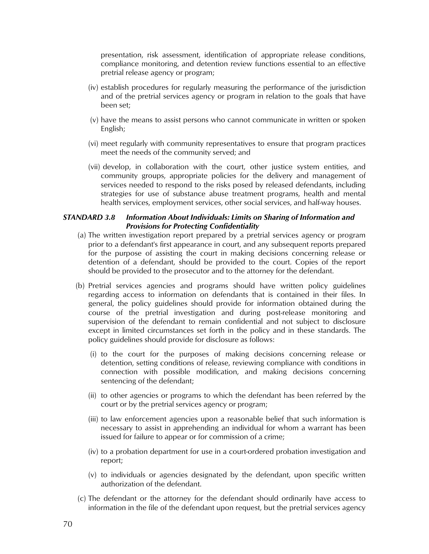presentation, risk assessment, identification of appropriate release conditions, compliance monitoring, and detention review functions essential to an effective pretrial release agency or program;

- (iv) establish procedures for regularly measuring the performance of the jurisdiction and of the pretrial services agency or program in relation to the goals that have been set;
- (v) have the means to assist persons who cannot communicate in written or spoken English;
- (vi) meet regularly with community representatives to ensure that program practices meet the needs of the community served; and
- (vii) develop, in collaboration with the court, other justice system entities, and community groups, appropriate policies for the delivery and management of services needed to respond to the risks posed by released defendants, including strategies for use of substance abuse treatment programs, health and mental health services, employment services, other social services, and half-way houses.

### *STANDARD 3.8 Information About Individuals: Limits on Sharing of Information and Provisions for Protecting Confidentiality*

- (a) The written investigation report prepared by a pretrial services agency or program prior to a defendant's first appearance in court, and any subsequent reports prepared for the purpose of assisting the court in making decisions concerning release or detention of a defendant, should be provided to the court. Copies of the report should be provided to the prosecutor and to the attorney for the defendant.
- (b) Pretrial services agencies and programs should have written policy guidelines regarding access to information on defendants that is contained in their files. In general, the policy guidelines should provide for information obtained during the course of the pretrial investigation and during post-release monitoring and supervision of the defendant to remain confidential and not subject to disclosure except in limited circumstances set forth in the policy and in these standards. The policy guidelines should provide for disclosure as follows:
	- (i) to the court for the purposes of making decisions concerning release or detention, setting conditions of release, reviewing compliance with conditions in connection with possible modification, and making decisions concerning sentencing of the defendant;
	- (ii) to other agencies or programs to which the defendant has been referred by the court or by the pretrial services agency or program;
	- (iii) to law enforcement agencies upon a reasonable belief that such information is necessary to assist in apprehending an individual for whom a warrant has been issued for failure to appear or for commission of a crime;
	- (iv) to a probation department for use in a court-ordered probation investigation and report;
	- (v) to individuals or agencies designated by the defendant, upon specific written authorization of the defendant.
- (c) The defendant or the attorney for the defendant should ordinarily have access to information in the file of the defendant upon request, but the pretrial services agency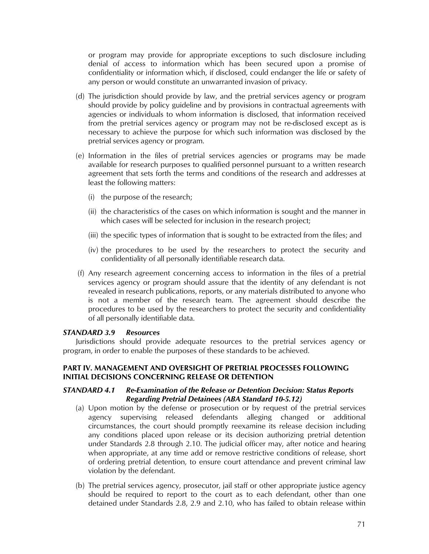or program may provide for appropriate exceptions to such disclosure including denial of access to information which has been secured upon a promise of confidentiality or information which, if disclosed, could endanger the life or safety of any person or would constitute an unwarranted invasion of privacy.

- (d) The jurisdiction should provide by law, and the pretrial services agency or program should provide by policy guideline and by provisions in contractual agreements with agencies or individuals to whom information is disclosed, that information received from the pretrial services agency or program may not be re-disclosed except as is necessary to achieve the purpose for which such information was disclosed by the pretrial services agency or program.
- (e) Information in the files of pretrial services agencies or programs may be made available for research purposes to qualified personnel pursuant to a written research agreement that sets forth the terms and conditions of the research and addresses at least the following matters:
	- (i) the purpose of the research;
	- (ii) the characteristics of the cases on which information is sought and the manner in which cases will be selected for inclusion in the research project;
	- (iii) the specific types of information that is sought to be extracted from the files; and
	- (iv) the procedures to be used by the researchers to protect the security and confidentiality of all personally identifiable research data.
- (f) Any research agreement concerning access to information in the files of a pretrial services agency or program should assure that the identity of any defendant is not revealed in research publications, reports, or any materials distributed to anyone who is not a member of the research team. The agreement should describe the procedures to be used by the researchers to protect the security and confidentiality of all personally identifiable data.

# *STANDARD 3.9 Resources*

Jurisdictions should provide adequate resources to the pretrial services agency or program, in order to enable the purposes of these standards to be achieved.

### **PART IV. MANAGEMENT AND OVERSIGHT OF PRETRIAL PROCESSES FOLLOWING INITIAL DECISIONS CONCERNING RELEASE OR DETENTION**

### *STANDARD 4.1 Re-Examination of the Release or Detention Decision: Status Reports Regarding Pretrial Detainees (ABA Standard 10-5.12)*

- (a) Upon motion by the defense or prosecution or by request of the pretrial services agency supervising released defendants alleging changed or additional circumstances, the court should promptly reexamine its release decision including any conditions placed upon release or its decision authorizing pretrial detention under Standards 2.8 through 2.10. The judicial officer may, after notice and hearing when appropriate, at any time add or remove restrictive conditions of release, short of ordering pretrial detention, to ensure court attendance and prevent criminal law violation by the defendant.
- (b) The pretrial services agency, prosecutor, jail staff or other appropriate justice agency should be required to report to the court as to each defendant, other than one detained under Standards 2.8, 2.9 and 2.10, who has failed to obtain release within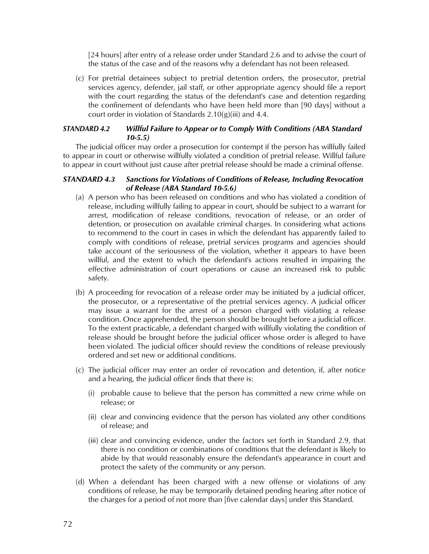[24 hours] after entry of a release order under Standard 2.6 and to advise the court of the status of the case and of the reasons why a defendant has not been released.

(c) For pretrial detainees subject to pretrial detention orders, the prosecutor, pretrial services agency, defender, jail staff, or other appropriate agency should file a report with the court regarding the status of the defendant's case and detention regarding the confinement of defendants who have been held more than [90 days] without a court order in violation of Standards 2.10(g)(iii) and 4.4.

## *STANDARD 4.2 Willful Failure to Appear or to Comply With Conditions (ABA Standard 10-5.5)*

The judicial officer may order a prosecution for contempt if the person has willfully failed to appear in court or otherwise willfully violated a condition of pretrial release. Willful failure to appear in court without just cause after pretrial release should be made a criminal offense.

### *STANDARD 4.3 Sanctions for Violations of Conditions of Release, Including Revocation of Release (ABA Standard 10-5.6)*

- (a) A person who has been released on conditions and who has violated a condition of release, including willfully failing to appear in court, should be subject to a warrant for arrest, modification of release conditions, revocation of release, or an order of detention, or prosecution on available criminal charges. In considering what actions to recommend to the court in cases in which the defendant has apparently failed to comply with conditions of release, pretrial services programs and agencies should take account of the seriousness of the violation, whether it appears to have been willful, and the extent to which the defendant's actions resulted in impairing the effective administration of court operations or cause an increased risk to public safety.
- (b) A proceeding for revocation of a release order may be initiated by a judicial officer, the prosecutor, or a representative of the pretrial services agency. A judicial officer may issue a warrant for the arrest of a person charged with violating a release condition. Once apprehended, the person should be brought before a judicial officer. To the extent practicable, a defendant charged with willfully violating the condition of release should be brought before the judicial officer whose order is alleged to have been violated. The judicial officer should review the conditions of release previously ordered and set new or additional conditions.
- (c) The judicial officer may enter an order of revocation and detention, if, after notice and a hearing, the judicial officer finds that there is:
	- (i) probable cause to believe that the person has committed a new crime while on release; or
	- (ii) clear and convincing evidence that the person has violated any other conditions of release; and
	- (iii) clear and convincing evidence, under the factors set forth in Standard 2.9, that there is no condition or combinations of conditions that the defendant is likely to abide by that would reasonably ensure the defendant's appearance in court and protect the safety of the community or any person.
- (d) When a defendant has been charged with a new offense or violations of any conditions of release, he may be temporarily detained pending hearing after notice of the charges for a period of not more than [five calendar days] under this Standard.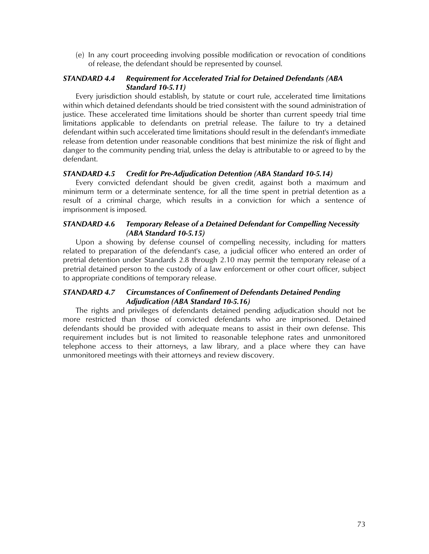(e) In any court proceeding involving possible modification or revocation of conditions of release, the defendant should be represented by counsel.

### *STANDARD 4.4 Requirement for Accelerated Trial for Detained Defendants (ABA Standard 10-5.11)*

Every jurisdiction should establish, by statute or court rule, accelerated time limitations within which detained defendants should be tried consistent with the sound administration of justice. These accelerated time limitations should be shorter than current speedy trial time limitations applicable to defendants on pretrial release. The failure to try a detained defendant within such accelerated time limitations should result in the defendant's immediate release from detention under reasonable conditions that best minimize the risk of flight and danger to the community pending trial, unless the delay is attributable to or agreed to by the defendant.

#### *STANDARD 4.5 Credit for Pre-Adjudication Detention (ABA Standard 10-5.14)*

Every convicted defendant should be given credit, against both a maximum and minimum term or a determinate sentence, for all the time spent in pretrial detention as a result of a criminal charge, which results in a conviction for which a sentence of imprisonment is imposed.

### *STANDARD 4.6 Temporary Release of a Detained Defendant for Compelling Necessity (ABA Standard 10-5.15)*

Upon a showing by defense counsel of compelling necessity, including for matters related to preparation of the defendant's case, a judicial officer who entered an order of pretrial detention under Standards 2.8 through 2.10 may permit the temporary release of a pretrial detained person to the custody of a law enforcement or other court officer, subject to appropriate conditions of temporary release.

### *STANDARD 4.7 Circumstances of Confinement of Defendants Detained Pending Adjudication (ABA Standard 10-5.16)*

The rights and privileges of defendants detained pending adjudication should not be more restricted than those of convicted defendants who are imprisoned. Detained defendants should be provided with adequate means to assist in their own defense. This requirement includes but is not limited to reasonable telephone rates and unmonitored telephone access to their attorneys, a law library, and a place where they can have unmonitored meetings with their attorneys and review discovery.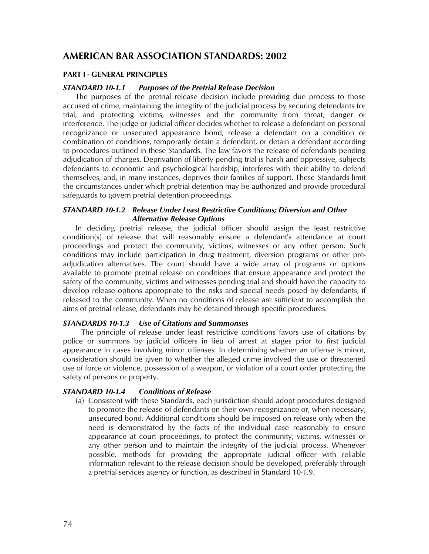# **AMERICAN BAR ASSOCIATION STANDARDS: 2002**

#### **PART I - GENERAL PRINCIPLES**

#### *STANDARD 10-1.1 Purposes of the Pretrial Release Decision*

The purposes of the pretrial release decision include providing due process to those accused of crime, maintaining the integrity of the judicial process by securing defendants for trial, and protecting victims, witnesses and the community from threat, danger or interference. The judge or judicial officer decides whether to release a defendant on personal recognizance or unsecured appearance bond, release a defendant on a condition or combination of conditions, temporarily detain a defendant, or detain a defendant according to procedures outlined in these Standards. The law favors the release of defendants pending adjudication of charges. Deprivation of liberty pending trial is harsh and oppressive, subjects defendants to economic and psychological hardship, interferes with their ability to defend themselves, and, in many instances, deprives their families of support. These Standards limit the circumstances under which pretrial detention may be authorized and provide procedural safeguards to govern pretrial detention proceedings.

### *STANDARD 10-1.2 Release Under Least Restrictive Conditions; Diversion and Other Alternative Release Options*

In deciding pretrial release, the judicial officer should assign the least restrictive condition(s) of release that will reasonably ensure a defendant's attendance at court proceedings and protect the community, victims, witnesses or any other person. Such conditions may include participation in drug treatment, diversion programs or other preadjudication alternatives. The court should have a wide array of programs or options available to promote pretrial release on conditions that ensure appearance and protect the safety of the community, victims and witnesses pending trial and should have the capacity to develop release options appropriate to the risks and special needs posed by defendants, if released to the community. When no conditions of release are sufficient to accomplish the aims of pretrial release, defendants may be detained through specific procedures.

### *STANDARDS 10-1.3 Use of Citations and Summonses*

The principle of release under least restrictive conditions favors use of citations by police or summons by judicial officers in lieu of arrest at stages prior to first judicial appearance in cases involving minor offenses. In determining whether an offense is minor, consideration should be given to whether the alleged crime involved the use or threatened use of force or violence, possession of a weapon, or violation of a court order protecting the safety of persons or property.

#### *STANDARD 10-1.4 Conditions of Release*

(a) Consistent with these Standards, each jurisdiction should adopt procedures designed to promote the release of defendants on their own recognizance or, when necessary, unsecured bond. Additional conditions should be imposed on release only when the need is demonstrated by the facts of the individual case reasonably to ensure appearance at court proceedings, to protect the community, victims, witnesses or any other person and to maintain the integrity of the judicial process. Whenever possible, methods for providing the appropriate judicial officer with reliable information relevant to the release decision should be developed, preferably through a pretrial services agency or function, as described in Standard 10-1.9.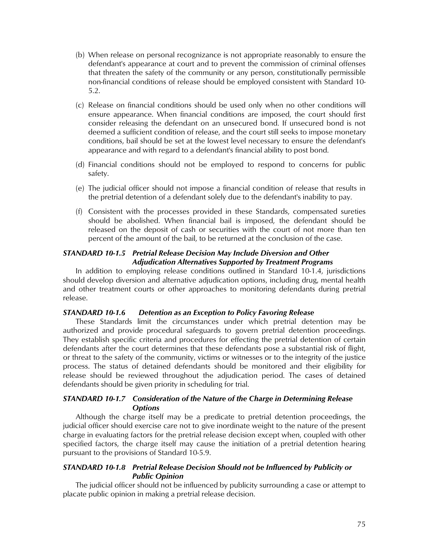- (b) When release on personal recognizance is not appropriate reasonably to ensure the defendant's appearance at court and to prevent the commission of criminal offenses that threaten the safety of the community or any person, constitutionally permissible non-financial conditions of release should be employed consistent with Standard 10- 5.2.
- (c) Release on financial conditions should be used only when no other conditions will ensure appearance. When financial conditions are imposed, the court should first consider releasing the defendant on an unsecured bond. If unsecured bond is not deemed a sufficient condition of release, and the court still seeks to impose monetary conditions, bail should be set at the lowest level necessary to ensure the defendant's appearance and with regard to a defendant's financial ability to post bond.
- (d) Financial conditions should not be employed to respond to concerns for public safety.
- (e) The judicial officer should not impose a financial condition of release that results in the pretrial detention of a defendant solely due to the defendant's inability to pay.
- (f) Consistent with the processes provided in these Standards, compensated sureties should be abolished. When financial bail is imposed, the defendant should be released on the deposit of cash or securities with the court of not more than ten percent of the amount of the bail, to be returned at the conclusion of the case.

## *STANDARD 10-1.5 Pretrial Release Decision May Include Diversion and Other Adjudication Alternatives Supported by Treatment Programs*

In addition to employing release conditions outlined in Standard 10-1.4, jurisdictions should develop diversion and alternative adjudication options, including drug, mental health and other treatment courts or other approaches to monitoring defendants during pretrial release.

### *STANDARD 10-1.6 Detention as an Exception to Policy Favoring Release*

These Standards limit the circumstances under which pretrial detention may be authorized and provide procedural safeguards to govern pretrial detention proceedings. They establish specific criteria and procedures for effecting the pretrial detention of certain defendants after the court determines that these defendants pose a substantial risk of flight, or threat to the safety of the community, victims or witnesses or to the integrity of the justice process. The status of detained defendants should be monitored and their eligibility for release should be reviewed throughout the adjudication period. The cases of detained defendants should be given priority in scheduling for trial.

### *STANDARD 10-1.7 Consideration of the Nature of the Charge in Determining Release Options*

Although the charge itself may be a predicate to pretrial detention proceedings, the judicial officer should exercise care not to give inordinate weight to the nature of the present charge in evaluating factors for the pretrial release decision except when, coupled with other specified factors, the charge itself may cause the initiation of a pretrial detention hearing pursuant to the provisions of Standard 10-5.9.

### *STANDARD 10-1.8 Pretrial Release Decision Should not be Influenced by Publicity or Public Opinion*

The judicial officer should not be influenced by publicity surrounding a case or attempt to placate public opinion in making a pretrial release decision.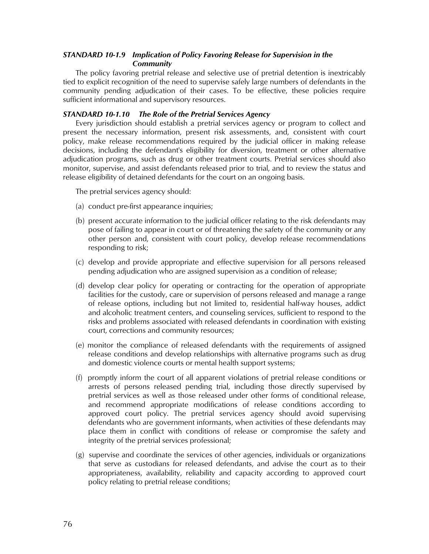### *STANDARD 10-1.9 Implication of Policy Favoring Release for Supervision in the Community*

The policy favoring pretrial release and selective use of pretrial detention is inextricably tied to explicit recognition of the need to supervise safely large numbers of defendants in the community pending adjudication of their cases. To be effective, these policies require sufficient informational and supervisory resources.

#### *STANDARD 10-1.10 The Role of the Pretrial Services Agency*

Every jurisdiction should establish a pretrial services agency or program to collect and present the necessary information, present risk assessments, and, consistent with court policy, make release recommendations required by the judicial officer in making release decisions, including the defendant's eligibility for diversion, treatment or other alternative adjudication programs, such as drug or other treatment courts. Pretrial services should also monitor, supervise, and assist defendants released prior to trial, and to review the status and release eligibility of detained defendants for the court on an ongoing basis.

The pretrial services agency should:

- (a) conduct pre-first appearance inquiries;
- (b) present accurate information to the judicial officer relating to the risk defendants may pose of failing to appear in court or of threatening the safety of the community or any other person and, consistent with court policy, develop release recommendations responding to risk;
- (c) develop and provide appropriate and effective supervision for all persons released pending adjudication who are assigned supervision as a condition of release;
- (d) develop clear policy for operating or contracting for the operation of appropriate facilities for the custody, care or supervision of persons released and manage a range of release options, including but not limited to, residential half-way houses, addict and alcoholic treatment centers, and counseling services, sufficient to respond to the risks and problems associated with released defendants in coordination with existing court, corrections and community resources;
- (e) monitor the compliance of released defendants with the requirements of assigned release conditions and develop relationships with alternative programs such as drug and domestic violence courts or mental health support systems;
- (f) promptly inform the court of all apparent violations of pretrial release conditions or arrests of persons released pending trial, including those directly supervised by pretrial services as well as those released under other forms of conditional release, and recommend appropriate modifications of release conditions according to approved court policy. The pretrial services agency should avoid supervising defendants who are government informants, when activities of these defendants may place them in conflict with conditions of release or compromise the safety and integrity of the pretrial services professional;
- (g) supervise and coordinate the services of other agencies, individuals or organizations that serve as custodians for released defendants, and advise the court as to their appropriateness, availability, reliability and capacity according to approved court policy relating to pretrial release conditions;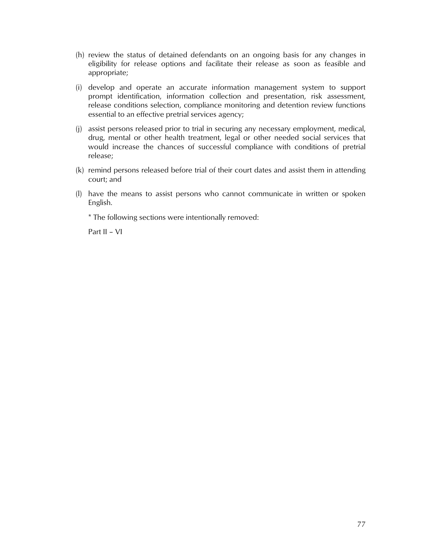- (h) review the status of detained defendants on an ongoing basis for any changes in eligibility for release options and facilitate their release as soon as feasible and appropriate;
- (i) develop and operate an accurate information management system to support prompt identification, information collection and presentation, risk assessment, release conditions selection, compliance monitoring and detention review functions essential to an effective pretrial services agency;
- (j) assist persons released prior to trial in securing any necessary employment, medical, drug, mental or other health treatment, legal or other needed social services that would increase the chances of successful compliance with conditions of pretrial release;
- (k) remind persons released before trial of their court dates and assist them in attending court; and
- (l) have the means to assist persons who cannot communicate in written or spoken English.

\* The following sections were intentionally removed:

Part II – VI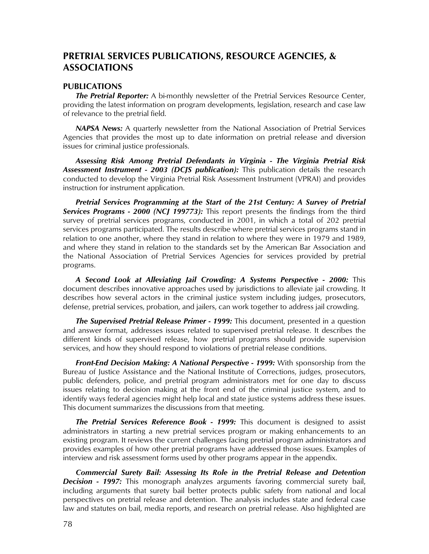# **PRETRIAL SERVICES PUBLICATIONS, RESOURCE AGENCIES, & ASSOCIATIONS**

### **PUBLICATIONS**

**The Pretrial Reporter:** A bi-monthly newsletter of the Pretrial Services Resource Center, providing the latest information on program developments, legislation, research and case law of relevance to the pretrial field.

*NAPSA News:* A quarterly newsletter from the National Association of Pretrial Services Agencies that provides the most up to date information on pretrial release and diversion issues for criminal justice professionals.

*Assessing Risk Among Pretrial Defendants in Virginia - The Virginia Pretrial Risk Assessment Instrument - 2003 (DCJS publication):* This publication details the research conducted to develop the Virginia Pretrial Risk Assessment Instrument (VPRAI) and provides instruction for instrument application.

*Pretrial Services Programming at the Start of the 21st Century: A Survey of Pretrial Services Programs - 2000 (NCJ 199773):* This report presents the findings from the third survey of pretrial services programs, conducted in 2001, in which a total of 202 pretrial services programs participated. The results describe where pretrial services programs stand in relation to one another, where they stand in relation to where they were in 1979 and 1989, and where they stand in relation to the standards set by the American Bar Association and the National Association of Pretrial Services Agencies for services provided by pretrial programs.

*A Second Look at Alleviating Jail Crowding: A Systems Perspective - 2000:* This document describes innovative approaches used by jurisdictions to alleviate jail crowding. It describes how several actors in the criminal justice system including judges, prosecutors, defense, pretrial services, probation, and jailers, can work together to address jail crowding.

*The Supervised Pretrial Release Primer - 1999:* This document, presented in a question and answer format, addresses issues related to supervised pretrial release. It describes the different kinds of supervised release, how pretrial programs should provide supervision services, and how they should respond to violations of pretrial release conditions.

*Front-End Decision Making: A National Perspective - 1999:* With sponsorship from the Bureau of Justice Assistance and the National Institute of Corrections, judges, prosecutors, public defenders, police, and pretrial program administrators met for one day to discuss issues relating to decision making at the front end of the criminal justice system, and to identify ways federal agencies might help local and state justice systems address these issues. This document summarizes the discussions from that meeting.

*The Pretrial Services Reference Book - 1999:* This document is designed to assist administrators in starting a new pretrial services program or making enhancements to an existing program. It reviews the current challenges facing pretrial program administrators and provides examples of how other pretrial programs have addressed those issues. Examples of interview and risk assessment forms used by other programs appear in the appendix.

*Commercial Surety Bail: Assessing Its Role in the Pretrial Release and Detention Decision - 1997:* This monograph analyzes arguments favoring commercial surety bail, including arguments that surety bail better protects public safety from national and local perspectives on pretrial release and detention. The analysis includes state and federal case law and statutes on bail, media reports, and research on pretrial release. Also highlighted are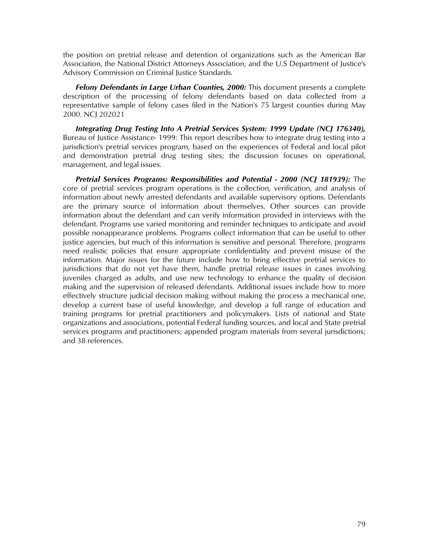the position on pretrial release and detention of organizations such as the American Bar Association, the National District Attorneys Association, and the U.S Department of Justice's Advisory Commission on Criminal Justice Standards.

*Felony Defendants in Large Urban Counties, 2000:* This document presents a complete description of the processing of felony defendants based on data collected from a representative sample of felony cases filed in the Nation's 75 largest counties during May 2000. NCJ 202021

*Integrating Drug Testing Into A Pretrial Services System: 1999 Update (NCJ 176340),* Bureau of Justice Assistance- 1999: This report describes how to integrate drug testing into a jurisdiction's pretrial services program, based on the experiences of Federal and local pilot and demonstration pretrial drug testing sites; the discussion focuses on operational, management, and legal issues.

*Pretrial Services Programs: Responsibilities and Potential - 2000 (NCJ 181939):* The core of pretrial services program operations is the collection, verification, and analysis of information about newly arrested defendants and available supervisory options. Defendants are the primary source of information about themselves. Other sources can provide information about the defendant and can verify information provided in interviews with the defendant. Programs use varied monitoring and reminder techniques to anticipate and avoid possible nonappearance problems. Programs collect information that can be useful to other justice agencies, but much of this information is sensitive and personal. Therefore, programs need realistic policies that ensure appropriate confidentiality and prevent misuse of the information. Major issues for the future include how to bring effective pretrial services to jurisdictions that do not yet have them, handle pretrial release issues in cases involving juveniles charged as adults, and use new technology to enhance the quality of decision making and the supervision of released defendants. Additional issues include how to more effectively structure judicial decision making without making the process a mechanical one, develop a current base of useful knowledge, and develop a full range of education and training programs for pretrial practitioners and policymakers. Lists of national and State organizations and associations, potential Federal funding sources, and local and State pretrial services programs and practitioners; appended program materials from several jurisdictions; and 38 references.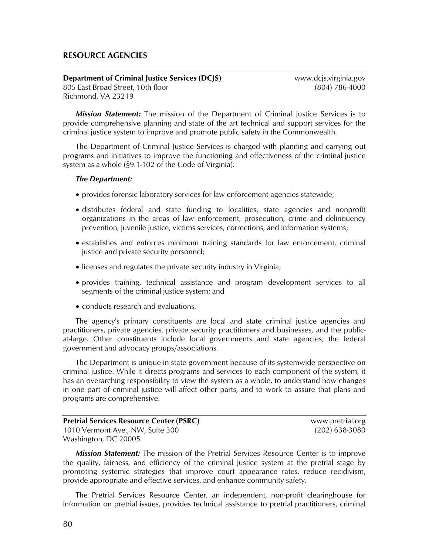#### **Department of Criminal Justice Services (DCJS)** www.dcjs.virginia.gov 805 East Broad Street, 10th floor (804) 786-4000 Richmond, VA 23219

*Mission Statement:* The mission of the Department of Criminal Justice Services is to provide comprehensive planning and state of the art technical and support services for the criminal justice system to improve and promote public safety in the Commonwealth.

The Department of Criminal Justice Services is charged with planning and carrying out programs and initiatives to improve the functioning and effectiveness of the criminal justice system as a whole (§9.1-102 of the Code of Virginia).

### *The Department:*

- provides forensic laboratory services for law enforcement agencies statewide;
- distributes federal and state funding to localities, state agencies and nonprofit organizations in the areas of law enforcement, prosecution, crime and delinquency prevention, juvenile justice, victims services, corrections, and information systems;
- establishes and enforces minimum training standards for law enforcement, criminal justice and private security personnel;
- licenses and regulates the private security industry in Virginia;
- provides training, technical assistance and program development services to all segments of the criminal justice system; and
- conducts research and evaluations.

The agency's primary constituents are local and state criminal justice agencies and practitioners, private agencies, private security practitioners and businesses, and the publicat-large. Other constituents include local governments and state agencies, the federal government and advocacy groups/associations.

The Department is unique in state government because of its systemwide perspective on criminal justice. While it directs programs and services to each component of the system, it has an overarching responsibility to view the system as a whole, to understand how changes in one part of criminal justice will affect other parts, and to work to assure that plans and programs are comprehensive.

| <b>Pretrial Services Resource Center (PSRC)</b> | www.pretrial.org |
|-------------------------------------------------|------------------|
| 1010 Vermont Ave., NW, Suite 300                | $(202)$ 638-3080 |
| Washington, DC 20005                            |                  |

*Mission Statement:* The mission of the Pretrial Services Resource Center is to improve the quality, fairness, and efficiency of the criminal justice system at the pretrial stage by promoting systemic strategies that improve court appearance rates, reduce recidivism, provide appropriate and effective services, and enhance community safety.

The Pretrial Services Resource Center, an independent, non-profit clearinghouse for information on pretrial issues, provides technical assistance to pretrial practitioners, criminal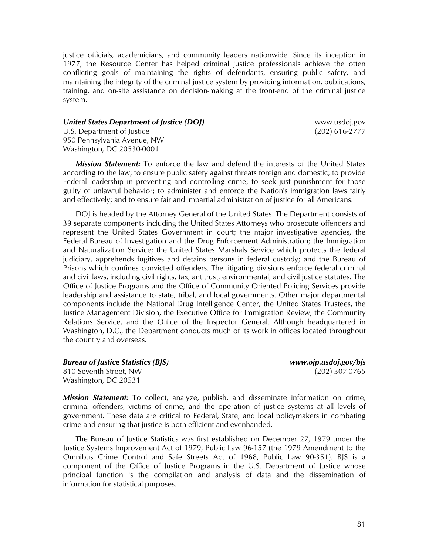justice officials, academicians, and community leaders nationwide. Since its inception in 1977, the Resource Center has helped criminal justice professionals achieve the often conflicting goals of maintaining the rights of defendants, ensuring public safety, and maintaining the integrity of the criminal justice system by providing information, publications, training, and on-site assistance on decision-making at the front-end of the criminal justice system.

### *United States Department of Justice (DOJ)* www.usdoj.gov

U.S. Department of Justice (202) 616-2777 950 Pennsylvania Avenue, NW Washington, DC 20530-0001

*Mission Statement:* To enforce the law and defend the interests of the United States according to the law; to ensure public safety against threats foreign and domestic; to provide Federal leadership in preventing and controlling crime; to seek just punishment for those guilty of unlawful behavior; to administer and enforce the Nation's immigration laws fairly and effectively; and to ensure fair and impartial administration of justice for all Americans.

DOJ is headed by the Attorney General of the United States. The Department consists of 39 separate components including the United States Attorneys who prosecute offenders and represent the United States Government in court; the major investigative agencies, the Federal Bureau of Investigation and the Drug Enforcement Administration; the Immigration and Naturalization Service; the United States Marshals Service which protects the federal judiciary, apprehends fugitives and detains persons in federal custody; and the Bureau of Prisons which confines convicted offenders. The litigating divisions enforce federal criminal and civil laws, including civil rights, tax, antitrust, environmental, and civil justice statutes. The Office of Justice Programs and the Office of Community Oriented Policing Services provide leadership and assistance to state, tribal, and local governments. Other major departmental components include the National Drug Intelligence Center, the United States Trustees, the Justice Management Division, the Executive Office for Immigration Review, the Community Relations Service, and the Office of the Inspector General. Although headquartered in Washington, D.C., the Department conducts much of its work in offices located throughout the country and overseas.

*Bureau of Justice Statistics (BJS) www.ojp.usdoj.gov/bjs* 810 Seventh Street, NW (202) 307-0765 Washington, DC 20531

*Mission Statement:* To collect, analyze, publish, and disseminate information on crime, criminal offenders, victims of crime, and the operation of justice systems at all levels of government. These data are critical to Federal, State, and local policymakers in combating crime and ensuring that justice is both efficient and evenhanded.

The Bureau of Justice Statistics was first established on December 27, 1979 under the Justice Systems Improvement Act of 1979, Public Law 96-157 (the 1979 Amendment to the Omnibus Crime Control and Safe Streets Act of 1968, Public Law 90-351). BJS is a component of the Office of Justice Programs in the U.S. Department of Justice whose principal function is the compilation and analysis of data and the dissemination of information for statistical purposes.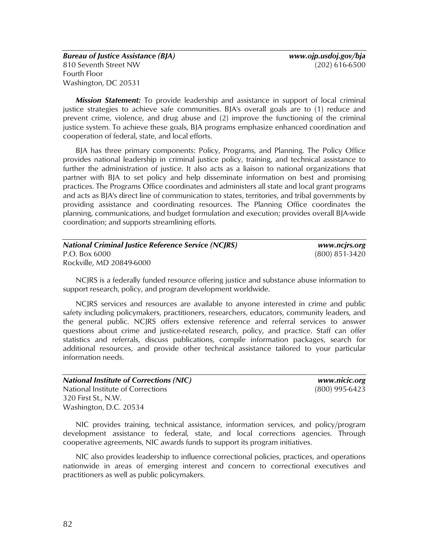*Bureau of Justice Assistance (BJA) www.ojp.usdoj.gov/bja* 810 Seventh Street NW (202) 616-6500 Fourth Floor Washington, DC 20531

*Mission Statement:* To provide leadership and assistance in support of local criminal justice strategies to achieve safe communities. BJA's overall goals are to (1) reduce and prevent crime, violence, and drug abuse and (2) improve the functioning of the criminal justice system. To achieve these goals, BJA programs emphasize enhanced coordination and cooperation of federal, state, and local efforts.

BJA has three primary components: Policy, Programs, and Planning. The Policy Office provides national leadership in criminal justice policy, training, and technical assistance to further the administration of justice. It also acts as a liaison to national organizations that partner with BJA to set policy and help disseminate information on best and promising practices. The Programs Office coordinates and administers all state and local grant programs and acts as BJA's direct line of communication to states, territories, and tribal governments by providing assistance and coordinating resources. The Planning Office coordinates the planning, communications, and budget formulation and execution; provides overall BJA-wide coordination; and supports streamlining efforts.

*National Criminal Justice Reference Service (NCJRS) www.ncjrs.org* P.O. Box 6000 (800) 851-3420 Rockville, MD 20849-6000

NCJRS is a federally funded resource offering justice and substance abuse information to support research, policy, and program development worldwide.

NCJRS services and resources are available to anyone interested in crime and public safety including policymakers, practitioners, researchers, educators, community leaders, and the general public. NCJRS offers extensive reference and referral services to answer questions about crime and justice-related research, policy, and practice. Staff can offer statistics and referrals, discuss publications, compile information packages, search for additional resources, and provide other technical assistance tailored to your particular information needs.

*National Institute of Corrections (NIC) www.nicic.org* National Institute of Corrections (800) 995-6423 320 First St., N.W. Washington, D.C. 20534

NIC provides training, technical assistance, information services, and policy/program development assistance to federal, state, and local corrections agencies. Through cooperative agreements, NIC awards funds to support its program initiatives.

NIC also provides leadership to influence correctional policies, practices, and operations nationwide in areas of emerging interest and concern to correctional executives and practitioners as well as public policymakers.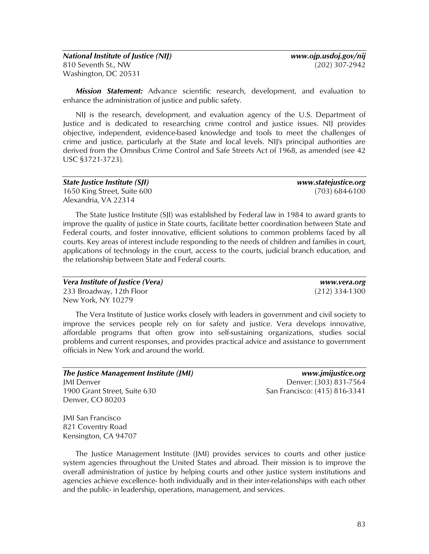*National Institute of Justice (NIJ) www.ojp.usdoj.gov/nij* 810 Seventh St., NW (202) 307-2942 Washington, DC 20531

*Mission Statement:* Advance scientific research, development, and evaluation to enhance the administration of justice and public safety.

NIJ is the research, development, and evaluation agency of the U.S. Department of Justice and is dedicated to researching crime control and justice issues. NIJ provides objective, independent, evidence-based knowledge and tools to meet the challenges of crime and justice, particularly at the State and local levels. NIJ's principal authorities are derived from the Omnibus Crime Control and Safe Streets Act of 1968, as amended (see 42 USC §3721-3723).

*State Justice Institute (SJI) www.statejustice.org* 1650 King Street, Suite 600 (703) 684-6100 Alexandria, VA 22314

The State Justice Institute (SJI) was established by Federal law in 1984 to award grants to improve the quality of justice in State courts, facilitate better coordination between State and Federal courts, and foster innovative, efficient solutions to common problems faced by all courts. Key areas of interest include responding to the needs of children and families in court, applications of technology in the court, access to the courts, judicial branch education, and the relationship between State and Federal courts.

# *Vera Institute of Justice (Vera) www.vera.org*

233 Broadway, 12th Floor (212) 334-1300 New York, NY 10279

The Vera Institute of Justice works closely with leaders in government and civil society to improve the services people rely on for safety and justice. Vera develops innovative, affordable programs that often grow into self-sustaining organizations, studies social problems and current responses, and provides practical advice and assistance to government officials in New York and around the world.

*The Justice Management Institute (JMI) www.jmijustice.org* JMI Denver Denver: (303) 831-7564 1900 Grant Street, Suite 630 San Francisco: (415) 816-3341 Denver, CO 80203

JMI San Francisco 821 Coventry Road Kensington, CA 94707

The Justice Management Institute (JMI) provides services to courts and other justice system agencies throughout the United States and abroad. Their mission is to improve the overall administration of justice by helping courts and other justice system institutions and agencies achieve excellence- both individually and in their inter-relationships with each other and the public- in leadership, operations, management, and services.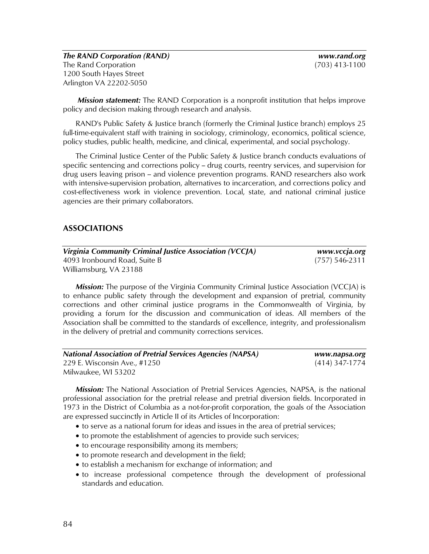*Mission statement:* The RAND Corporation is a nonprofit institution that helps improve policy and decision making through research and analysis.

RAND's Public Safety & Justice branch (formerly the Criminal Justice branch) employs 25 full-time-equivalent staff with training in sociology, criminology, economics, political science, policy studies, public health, medicine, and clinical, experimental, and social psychology.

The Criminal Justice Center of the Public Safety & Justice branch conducts evaluations of specific sentencing and corrections policy - drug courts, reentry services, and supervision for drug users leaving prison – and violence prevention programs. RAND researchers also work with intensive-supervision probation, alternatives to incarceration, and corrections policy and cost-effectiveness work in violence prevention. Local, state, and national criminal justice agencies are their primary collaborators.

# **ASSOCIATIONS**

| <b>Virginia Community Criminal Justice Association (VCCJA)</b> | www.vccja.org  |
|----------------------------------------------------------------|----------------|
| 4093 Ironbound Road, Suite B                                   | (757) 546-2311 |
| Williamsburg, VA 23188                                         |                |

*Mission:* The purpose of the Virginia Community Criminal Justice Association (VCCJA) is to enhance public safety through the development and expansion of pretrial, community corrections and other criminal justice programs in the Commonwealth of Virginia, by providing a forum for the discussion and communication of ideas. All members of the Association shall be committed to the standards of excellence, integrity, and professionalism in the delivery of pretrial and community corrections services.

| <b>National Association of Pretrial Services Agencies (NAPSA)</b> | www.napsa.org    |
|-------------------------------------------------------------------|------------------|
| 229 E. Wisconsin Ave., #1250                                      | $(414)$ 347-1774 |
| Milwaukee, WI 53202                                               |                  |

*Mission:* The National Association of Pretrial Services Agencies, NAPSA, is the national professional association for the pretrial release and pretrial diversion fields. Incorporated in 1973 in the District of Columbia as a not-for-profit corporation, the goals of the Association are expressed succinctly in Article II of its Articles of Incorporation:

- to serve as a national forum for ideas and issues in the area of pretrial services;
- $\bullet$  to promote the establishment of agencies to provide such services;
- to encourage responsibility among its members;
- $\bullet$  to promote research and development in the field;
- to establish a mechanism for exchange of information; and
- to increase professional competence through the development of professional standards and education.